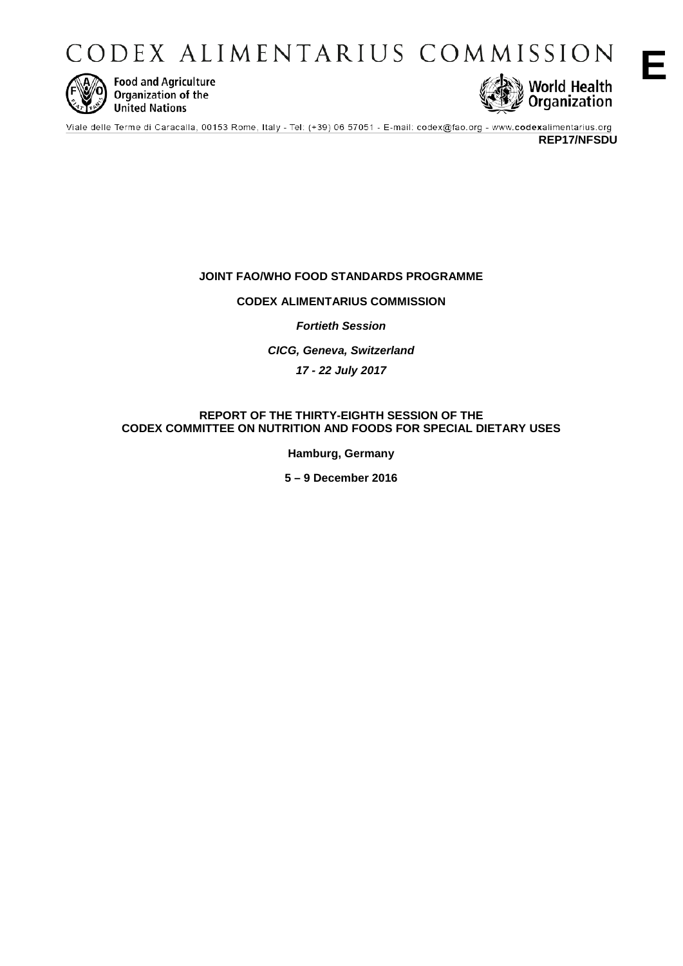CODEX ALIMENTARIUS COMMISSION



**Food and Agriculture** Organization of the **United Nations** 



Viale delle Terme di Caracalla, 00153 Rome, Italy - Tel: (+39) 06 57051 - E-mail: codex@fao.org - www.codexalimentarius.org

**REP17/NFSDU**

# **JOINT FAO/WHO FOOD STANDARDS PROGRAMME**

# **CODEX ALIMENTARIUS COMMISSION**

*Fortieth Session*

*CICG, Geneva, Switzerland* 

*17 - 22 July 2017*

# **REPORT OF THE THIRTY-EIGHTH SESSION OF THE CODEX COMMITTEE ON NUTRITION AND FOODS FOR SPECIAL DIETARY USES**

**Hamburg, Germany**

**5 – 9 December 2016**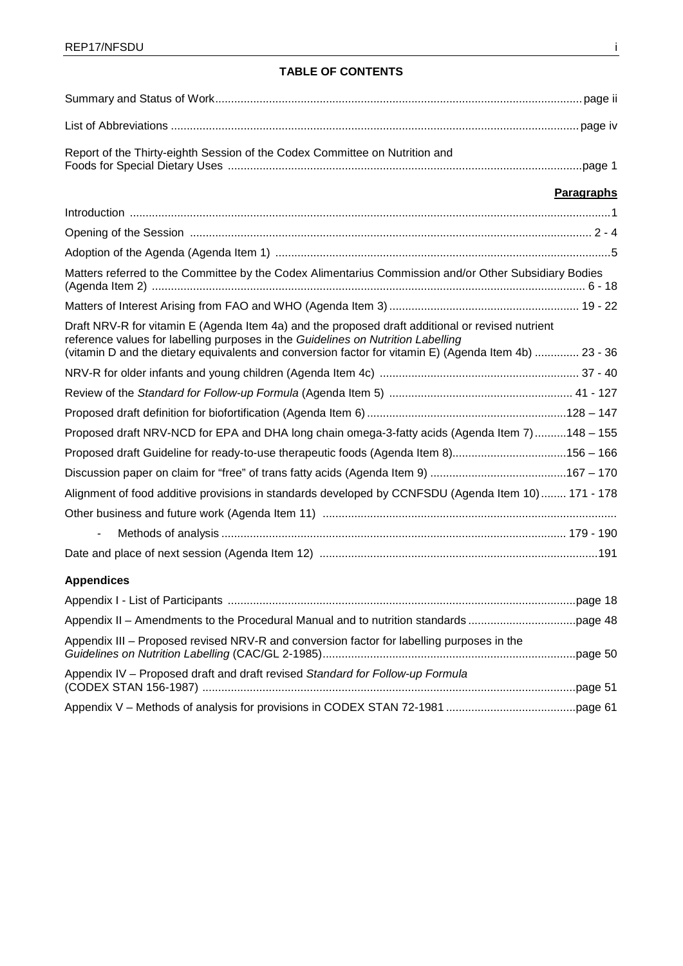# **TABLE OF CONTENTS**

| Report of the Thirty-eighth Session of the Codex Committee on Nutrition and                                                                                                                                                                                                                   |            |
|-----------------------------------------------------------------------------------------------------------------------------------------------------------------------------------------------------------------------------------------------------------------------------------------------|------------|
|                                                                                                                                                                                                                                                                                               | Paragraphs |
|                                                                                                                                                                                                                                                                                               |            |
|                                                                                                                                                                                                                                                                                               |            |
|                                                                                                                                                                                                                                                                                               |            |
| Matters referred to the Committee by the Codex Alimentarius Commission and/or Other Subsidiary Bodies                                                                                                                                                                                         |            |
|                                                                                                                                                                                                                                                                                               |            |
| Draft NRV-R for vitamin E (Agenda Item 4a) and the proposed draft additional or revised nutrient<br>reference values for labelling purposes in the Guidelines on Nutrition Labelling<br>(vitamin D and the dietary equivalents and conversion factor for vitamin E) (Agenda Item 4b)  23 - 36 |            |
|                                                                                                                                                                                                                                                                                               |            |
|                                                                                                                                                                                                                                                                                               |            |
|                                                                                                                                                                                                                                                                                               |            |
| Proposed draft NRV-NCD for EPA and DHA long chain omega-3-fatty acids (Agenda Item 7)148 - 155                                                                                                                                                                                                |            |
| Proposed draft Guideline for ready-to-use therapeutic foods (Agenda Item 8)156 - 166                                                                                                                                                                                                          |            |
|                                                                                                                                                                                                                                                                                               |            |
| Alignment of food additive provisions in standards developed by CCNFSDU (Agenda Item 10)  171 - 178                                                                                                                                                                                           |            |
|                                                                                                                                                                                                                                                                                               |            |
| $\blacksquare$                                                                                                                                                                                                                                                                                |            |
|                                                                                                                                                                                                                                                                                               |            |
| <b>Appendices</b>                                                                                                                                                                                                                                                                             |            |
|                                                                                                                                                                                                                                                                                               |            |
|                                                                                                                                                                                                                                                                                               |            |
| Appendix III – Proposed revised NRV-R and conversion factor for labelling purposes in the                                                                                                                                                                                                     |            |
| Appendix IV - Proposed draft and draft revised Standard for Follow-up Formula                                                                                                                                                                                                                 |            |
|                                                                                                                                                                                                                                                                                               |            |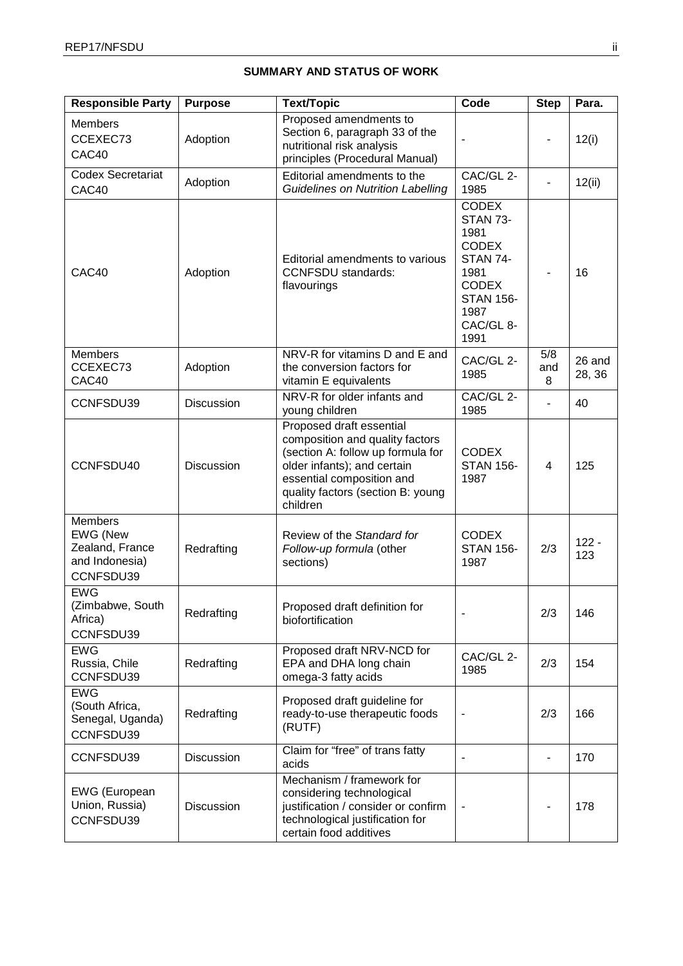# **SUMMARY AND STATUS OF WORK**

| <b>Responsible Party</b>                                                            | <b>Purpose</b>    | <b>Text/Topic</b>                                                                                                                                                                                             | Code                                                                                                                                                | <b>Step</b>              | Para.            |
|-------------------------------------------------------------------------------------|-------------------|---------------------------------------------------------------------------------------------------------------------------------------------------------------------------------------------------------------|-----------------------------------------------------------------------------------------------------------------------------------------------------|--------------------------|------------------|
| <b>Members</b><br>CCEXEC73<br>CAC40                                                 | Adoption          | Proposed amendments to<br>Section 6, paragraph 33 of the<br>nutritional risk analysis<br>principles (Procedural Manual)                                                                                       |                                                                                                                                                     |                          | 12(i)            |
| <b>Codex Secretariat</b><br>CAC40                                                   | Adoption          | Editorial amendments to the<br><b>Guidelines on Nutrition Labelling</b>                                                                                                                                       | CAC/GL 2-<br>1985                                                                                                                                   |                          | 12(ii)           |
| CAC40                                                                               | Adoption          | Editorial amendments to various<br><b>CCNFSDU</b> standards:<br>flavourings                                                                                                                                   | <b>CODEX</b><br><b>STAN 73-</b><br>1981<br><b>CODEX</b><br><b>STAN 74-</b><br>1981<br><b>CODEX</b><br><b>STAN 156-</b><br>1987<br>CAC/GL 8-<br>1991 |                          | 16               |
| <b>Members</b><br>CCEXEC73<br>CAC40                                                 | Adoption          | NRV-R for vitamins D and E and<br>the conversion factors for<br>vitamin E equivalents                                                                                                                         | CAC/GL 2-<br>1985                                                                                                                                   | 5/8<br>and<br>8          | 26 and<br>28, 36 |
| CCNFSDU39                                                                           | Discussion        | NRV-R for older infants and<br>young children                                                                                                                                                                 | CAC/GL 2-<br>1985                                                                                                                                   |                          | 40               |
| CCNFSDU40                                                                           | <b>Discussion</b> | Proposed draft essential<br>composition and quality factors<br>(section A: follow up formula for<br>older infants); and certain<br>essential composition and<br>quality factors (section B: young<br>children | <b>CODEX</b><br><b>STAN 156-</b><br>1987                                                                                                            | 4                        | 125              |
| <b>Members</b><br><b>EWG (New</b><br>Zealand, France<br>and Indonesia)<br>CCNFSDU39 | Redrafting        | Review of the Standard for<br>Follow-up formula (other<br>sections)                                                                                                                                           | <b>CODEX</b><br><b>STAN 156-</b><br>1987                                                                                                            | 2/3                      | $122 -$<br>123   |
| <b>EWG</b><br>(Zimbabwe, South<br>Africa)<br>CCNFSDU39                              | Redrafting        | Proposed draft definition for<br>biofortification                                                                                                                                                             |                                                                                                                                                     | 2/3                      | 146              |
| <b>EWG</b><br>Russia, Chile<br>CCNFSDU39                                            | Redrafting        | Proposed draft NRV-NCD for<br>EPA and DHA long chain<br>omega-3 fatty acids                                                                                                                                   | CAC/GL 2-<br>1985                                                                                                                                   | 2/3                      | 154              |
| <b>EWG</b><br>(South Africa,<br>Senegal, Uganda)<br>CCNFSDU39                       | Redrafting        | Proposed draft guideline for<br>ready-to-use therapeutic foods<br>(RUTF)                                                                                                                                      | $\overline{a}$                                                                                                                                      | 2/3                      | 166              |
| CCNFSDU39                                                                           | Discussion        | Claim for "free" of trans fatty<br>acids                                                                                                                                                                      |                                                                                                                                                     | $\overline{\phantom{0}}$ | 170              |
| <b>EWG</b> (European<br>Union, Russia)<br>CCNFSDU39                                 | Discussion        | Mechanism / framework for<br>considering technological<br>justification / consider or confirm<br>technological justification for<br>certain food additives                                                    |                                                                                                                                                     |                          | 178              |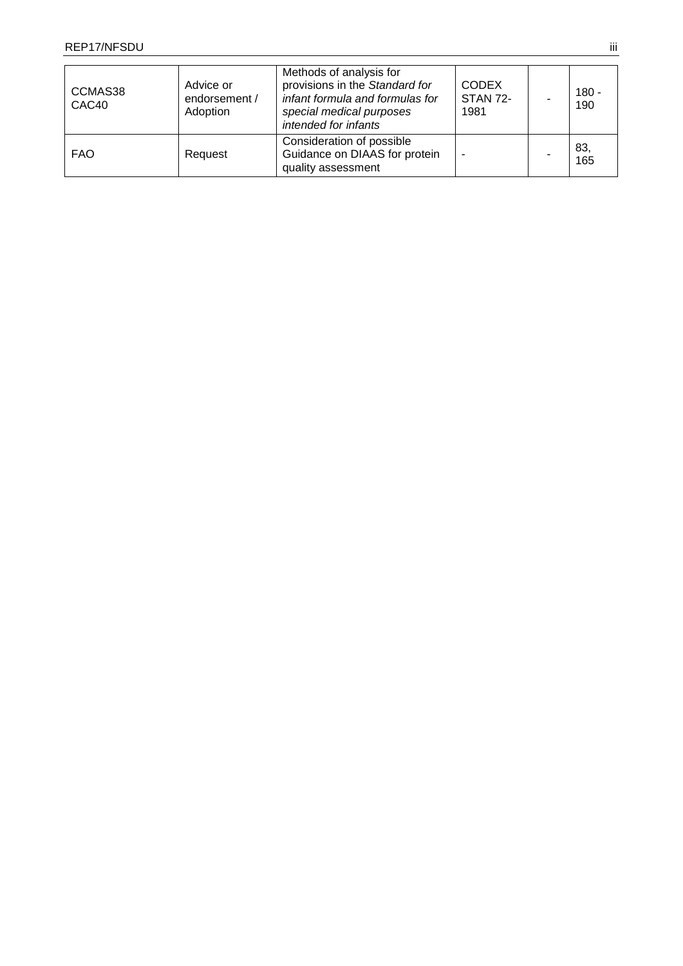| CCMAS38<br>CAC40 | Advice or<br>endorsement /<br>Adoption | Methods of analysis for<br>provisions in the Standard for<br>infant formula and formulas for<br>special medical purposes<br>intended for infants | <b>CODEX</b><br><b>STAN 72-</b><br>1981 | $180 -$<br>190 |
|------------------|----------------------------------------|--------------------------------------------------------------------------------------------------------------------------------------------------|-----------------------------------------|----------------|
| <b>FAO</b>       | Request                                | Consideration of possible<br>Guidance on DIAAS for protein<br>quality assessment                                                                 |                                         | 83,<br>165     |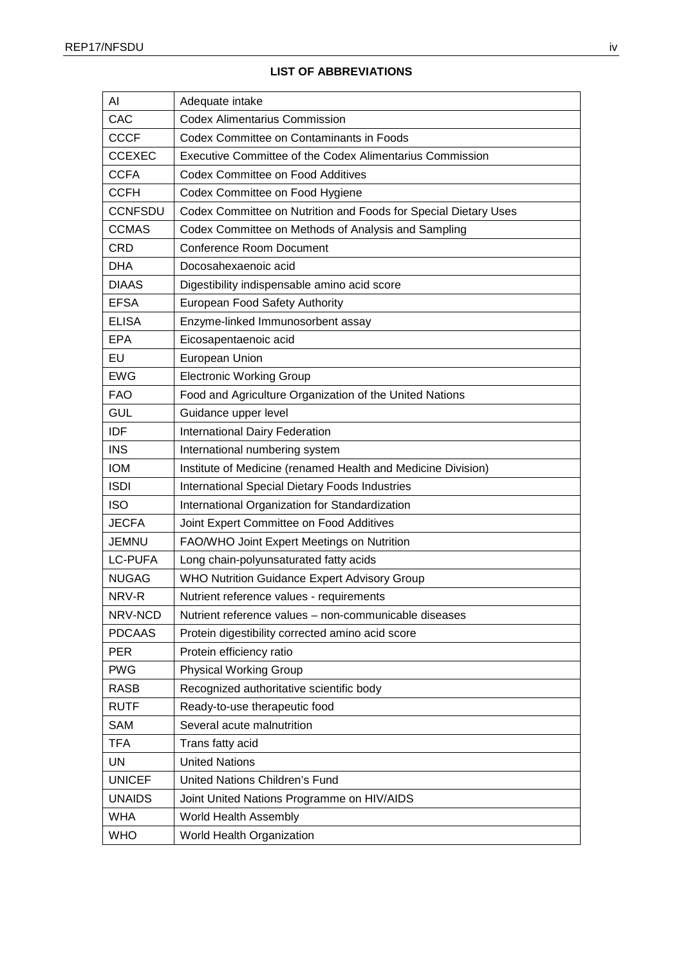| AI             | Adequate intake                                                 |
|----------------|-----------------------------------------------------------------|
| CAC            | <b>Codex Alimentarius Commission</b>                            |
| <b>CCCF</b>    | Codex Committee on Contaminants in Foods                        |
| <b>CCEXEC</b>  | Executive Committee of the Codex Alimentarius Commission        |
| <b>CCFA</b>    | Codex Committee on Food Additives                               |
| <b>CCFH</b>    | Codex Committee on Food Hygiene                                 |
| <b>CCNFSDU</b> | Codex Committee on Nutrition and Foods for Special Dietary Uses |
| <b>CCMAS</b>   | Codex Committee on Methods of Analysis and Sampling             |
| <b>CRD</b>     | <b>Conference Room Document</b>                                 |
| <b>DHA</b>     | Docosahexaenoic acid                                            |
| <b>DIAAS</b>   | Digestibility indispensable amino acid score                    |
| <b>EFSA</b>    | European Food Safety Authority                                  |
| <b>ELISA</b>   | Enzyme-linked Immunosorbent assay                               |
| <b>EPA</b>     | Eicosapentaenoic acid                                           |
| EU             | European Union                                                  |
| <b>EWG</b>     | <b>Electronic Working Group</b>                                 |
| <b>FAO</b>     | Food and Agriculture Organization of the United Nations         |
| <b>GUL</b>     | Guidance upper level                                            |
| IDF            | International Dairy Federation                                  |
| <b>INS</b>     | International numbering system                                  |
| <b>IOM</b>     | Institute of Medicine (renamed Health and Medicine Division)    |
| <b>ISDI</b>    | International Special Dietary Foods Industries                  |
| <b>ISO</b>     | International Organization for Standardization                  |
| <b>JECFA</b>   | Joint Expert Committee on Food Additives                        |
| <b>JEMNU</b>   | FAO/WHO Joint Expert Meetings on Nutrition                      |
| <b>LC-PUFA</b> | Long chain-polyunsaturated fatty acids                          |
| <b>NUGAG</b>   | <b>WHO Nutrition Guidance Expert Advisory Group</b>             |
| NRV-R          | Nutrient reference values - requirements                        |
| NRV-NCD        | Nutrient reference values - non-communicable diseases           |
| <b>PDCAAS</b>  | Protein digestibility corrected amino acid score                |
| <b>PER</b>     | Protein efficiency ratio                                        |
| <b>PWG</b>     | <b>Physical Working Group</b>                                   |
| <b>RASB</b>    | Recognized authoritative scientific body                        |
| <b>RUTF</b>    | Ready-to-use therapeutic food                                   |
| <b>SAM</b>     | Several acute malnutrition                                      |
| <b>TFA</b>     | Trans fatty acid                                                |
| <b>UN</b>      | <b>United Nations</b>                                           |
| <b>UNICEF</b>  | <b>United Nations Children's Fund</b>                           |
| <b>UNAIDS</b>  | Joint United Nations Programme on HIV/AIDS                      |
| <b>WHA</b>     | World Health Assembly                                           |
| <b>WHO</b>     | World Health Organization                                       |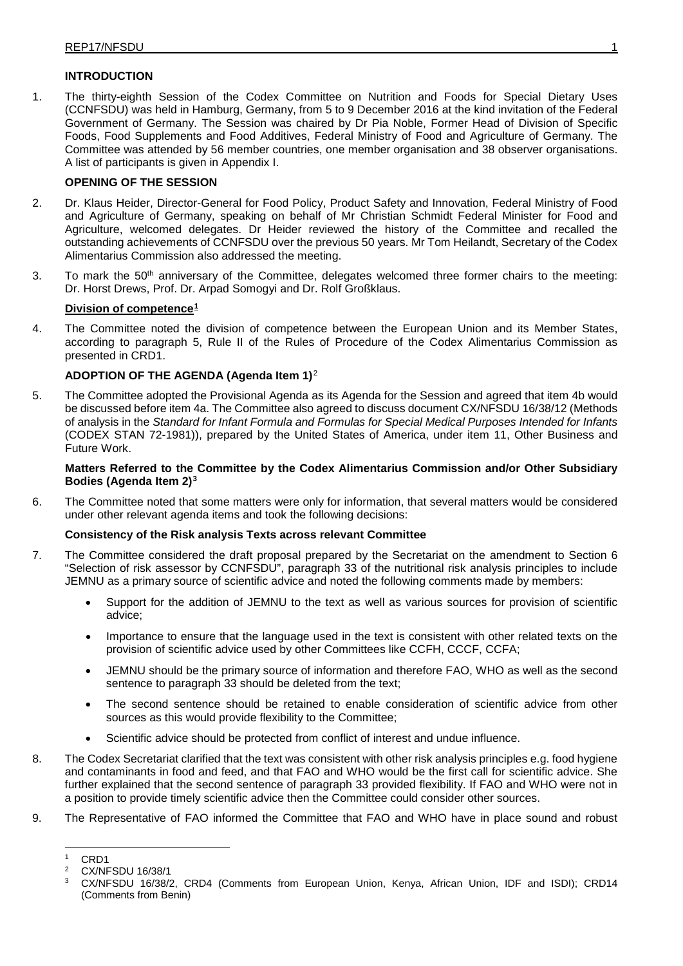## **INTRODUCTION**

1. The thirty-eighth Session of the Codex Committee on Nutrition and Foods for Special Dietary Uses (CCNFSDU) was held in Hamburg, Germany, from 5 to 9 December 2016 at the kind invitation of the Federal Government of Germany. The Session was chaired by Dr Pia Noble, Former Head of Division of Specific Foods, Food Supplements and Food Additives, Federal Ministry of Food and Agriculture of Germany. The Committee was attended by 56 member countries, one member organisation and 38 observer organisations. A list of participants is given in Appendix I.

## **OPENING OF THE SESSION**

- 2. Dr. Klaus Heider, Director-General for Food Policy, Product Safety and Innovation, Federal Ministry of Food and Agriculture of Germany, speaking on behalf of Mr Christian Schmidt Federal Minister for Food and Agriculture, welcomed delegates. Dr Heider reviewed the history of the Committee and recalled the outstanding achievements of CCNFSDU over the previous 50 years. Mr Tom Heilandt, Secretary of the Codex Alimentarius Commission also addressed the meeting.
- 3. To mark the 50<sup>th</sup> anniversary of the Committee, delegates welcomed three former chairs to the meeting: Dr. Horst Drews, Prof. Dr. Arpad Somogyi and Dr. Rolf Großklaus.

## **Division of competence[1](#page-5-0)**

4. The Committee noted the division of competence between the European Union and its Member States, according to paragraph 5, Rule II of the Rules of Procedure of the Codex Alimentarius Commission as presented in CRD1.

## **ADOPTION OF THE AGENDA (Agenda Item 1)**[2](#page-5-1)

5. The Committee adopted the Provisional Agenda as its Agenda for the Session and agreed that item 4b would be discussed before item 4a. The Committee also agreed to discuss document CX/NFSDU 16/38/12 (Methods of analysis in the *Standard for Infant Formula and Formulas for Special Medical Purposes Intended for Infants* (CODEX STAN 72-1981)), prepared by the United States of America, under item 11, Other Business and Future Work.

## **Matters Referred to the Committee by the Codex Alimentarius Commission and/or Other Subsidiary Bodies (Agenda Item 2)[3](#page-5-2)**

6. The Committee noted that some matters were only for information, that several matters would be considered under other relevant agenda items and took the following decisions:

## **Consistency of the Risk analysis Texts across relevant Committee**

- 7. The Committee considered the draft proposal prepared by the Secretariat on the amendment to Section 6 "Selection of risk assessor by CCNFSDU", paragraph 33 of the nutritional risk analysis principles to include JEMNU as a primary source of scientific advice and noted the following comments made by members:
	- Support for the addition of JEMNU to the text as well as various sources for provision of scientific advice;
	- Importance to ensure that the language used in the text is consistent with other related texts on the provision of scientific advice used by other Committees like CCFH, CCCF, CCFA;
	- JEMNU should be the primary source of information and therefore FAO, WHO as well as the second sentence to paragraph 33 should be deleted from the text;
	- The second sentence should be retained to enable consideration of scientific advice from other sources as this would provide flexibility to the Committee;
	- Scientific advice should be protected from conflict of interest and undue influence.
- 8. The Codex Secretariat clarified that the text was consistent with other risk analysis principles e.g. food hygiene and contaminants in food and feed, and that FAO and WHO would be the first call for scientific advice. She further explained that the second sentence of paragraph 33 provided flexibility. If FAO and WHO were not in a position to provide timely scientific advice then the Committee could consider other sources.
- <span id="page-5-1"></span><span id="page-5-0"></span>9. The Representative of FAO informed the Committee that FAO and WHO have in place sound and robust

 $1$  CRD1<br> $2$  CY/NE

<sup>2</sup> CX/NFSDU 16/38/1

<span id="page-5-2"></span><sup>3</sup> CX/NFSDU 16/38/2, CRD4 (Comments from European Union, Kenya, African Union, IDF and ISDI); CRD14 (Comments from Benin)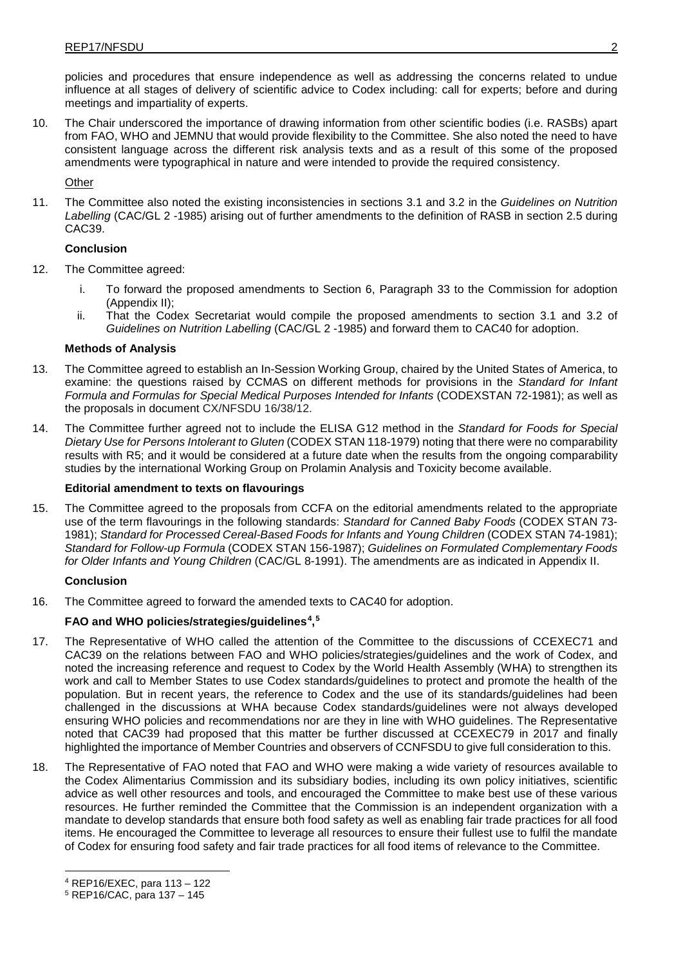policies and procedures that ensure independence as well as addressing the concerns related to undue influence at all stages of delivery of scientific advice to Codex including: call for experts; before and during meetings and impartiality of experts.

10. The Chair underscored the importance of drawing information from other scientific bodies (i.e. RASBs) apart from FAO, WHO and JEMNU that would provide flexibility to the Committee. She also noted the need to have consistent language across the different risk analysis texts and as a result of this some of the proposed amendments were typographical in nature and were intended to provide the required consistency.

**Other** 

11. The Committee also noted the existing inconsistencies in sections 3.1 and 3.2 in the *Guidelines on Nutrition Labelling* (CAC/GL 2 -1985) arising out of further amendments to the definition of RASB in section 2.5 during CAC39.

## **Conclusion**

- 12. The Committee agreed:
	- i. To forward the proposed amendments to Section 6, Paragraph 33 to the Commission for adoption (Appendix II);
	- ii. That the Codex Secretariat would compile the proposed amendments to section 3.1 and 3.2 of *Guidelines on Nutrition Labelling* (CAC/GL 2 -1985) and forward them to CAC40 for adoption.

## **Methods of Analysis**

- 13. The Committee agreed to establish an In-Session Working Group, chaired by the United States of America, to examine: the questions raised by CCMAS on different methods for provisions in the *Standard for Infant Formula and Formulas for Special Medical Purposes Intended for Infants* (CODEXSTAN 72-1981); as well as the proposals in document CX/NFSDU 16/38/12.
- 14. The Committee further agreed not to include the ELISA G12 method in the *Standard for Foods for Special Dietary Use for Persons Intolerant to Gluten* (CODEX STAN 118-1979) noting that there were no comparability results with R5; and it would be considered at a future date when the results from the ongoing comparability studies by the international Working Group on Prolamin Analysis and Toxicity become available.

### **Editorial amendment to texts on flavourings**

15. The Committee agreed to the proposals from CCFA on the editorial amendments related to the appropriate use of the term flavourings in the following standards: *Standard for Canned Baby Foods* (CODEX STAN 73- 1981); *Standard for Processed Cereal-Based Foods for Infants and Young Children* (CODEX STAN 74-1981); *Standard for Follow-up Formula* (CODEX STAN 156-1987); *Guidelines on Formulated Complementary Foods for Older Infants and Young Children* (CAC/GL 8-1991). The amendments are as indicated in Appendix II.

#### **Conclusion**

16. The Committee agreed to forward the amended texts to CAC40 for adoption.

## **FAO and WHO policies/strategies/guidelines[4,](#page-6-0) [5](#page-6-1)**

- 17. The Representative of WHO called the attention of the Committee to the discussions of CCEXEC71 and CAC39 on the relations between FAO and WHO policies/strategies/guidelines and the work of Codex, and noted the increasing reference and request to Codex by the World Health Assembly (WHA) to strengthen its work and call to Member States to use Codex standards/guidelines to protect and promote the health of the population. But in recent years, the reference to Codex and the use of its standards/guidelines had been challenged in the discussions at WHA because Codex standards/guidelines were not always developed ensuring WHO policies and recommendations nor are they in line with WHO guidelines. The Representative noted that CAC39 had proposed that this matter be further discussed at CCEXEC79 in 2017 and finally highlighted the importance of Member Countries and observers of CCNFSDU to give full consideration to this.
- 18. The Representative of FAO noted that FAO and WHO were making a wide variety of resources available to the Codex Alimentarius Commission and its subsidiary bodies, including its own policy initiatives, scientific advice as well other resources and tools, and encouraged the Committee to make best use of these various resources. He further reminded the Committee that the Commission is an independent organization with a mandate to develop standards that ensure both food safety as well as enabling fair trade practices for all food items. He encouraged the Committee to leverage all resources to ensure their fullest use to fulfil the mandate of Codex for ensuring food safety and fair trade practices for all food items of relevance to the Committee.

<span id="page-6-0"></span><sup>4</sup> REP16/EXEC, para <sup>113</sup> – <sup>122</sup>

<span id="page-6-1"></span><sup>5</sup> REP16/CAC, para 137 – 145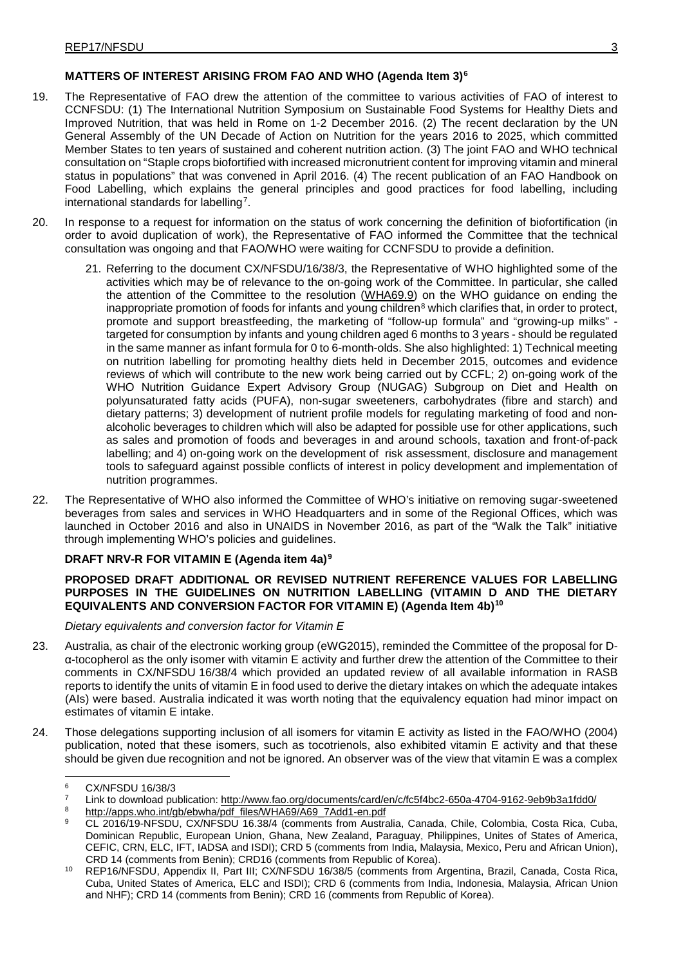## **MATTERS OF INTEREST ARISING FROM FAO AND WHO (Agenda Item 3)[6](#page-7-0)**

- 19. The Representative of FAO drew the attention of the committee to various activities of FAO of interest to CCNFSDU: (1) The International Nutrition Symposium on Sustainable Food Systems for Healthy Diets and Improved Nutrition, that was held in Rome on 1-2 December 2016. (2) The recent declaration by the UN General Assembly of the UN Decade of Action on Nutrition for the years 2016 to 2025, which committed Member States to ten years of sustained and coherent nutrition action. (3) The joint FAO and WHO technical consultation on "Staple crops biofortified with increased micronutrient content for improving vitamin and mineral status in populations" that was convened in April 2016. (4) The recent publication of an FAO Handbook on Food Labelling, which explains the general principles and good practices for food labelling, including international standards for labelling[7.](#page-7-1)
- 20. In response to a request for information on the status of work concerning the definition of biofortification (in order to avoid duplication of work), the Representative of FAO informed the Committee that the technical consultation was ongoing and that FAO/WHO were waiting for CCNFSDU to provide a definition.
	- 21. Referring to the document CX/NFSDU/16/38/3, the Representative of WHO highlighted some of the activities which may be of relevance to the on-going work of the Committee. In particular, she called the attention of the Committee to the resolution [\(WHA69.9\)](http://apps.who.int/gb/ebwha/pdf_files/WHA69/A69_R9-en.pdf) on the WHO guidance on ending the inappropriate promotion of foods for infants and young children $8$  which clarifies that, in order to protect, promote and support breastfeeding, the marketing of "follow-up formula" and "growing-up milks" targeted for consumption by infants and young children aged 6 months to 3 years - should be regulated in the same manner as infant formula for 0 to 6-month-olds. She also highlighted: 1) Technical meeting on nutrition labelling for promoting healthy diets held in December 2015, outcomes and evidence reviews of which will contribute to the new work being carried out by CCFL; 2) on-going work of the WHO Nutrition Guidance Expert Advisory Group (NUGAG) Subgroup on Diet and Health on polyunsaturated fatty acids (PUFA), non-sugar sweeteners, carbohydrates (fibre and starch) and dietary patterns; 3) development of nutrient profile models for regulating marketing of food and nonalcoholic beverages to children which will also be adapted for possible use for other applications, such as sales and promotion of foods and beverages in and around schools, taxation and front-of-pack labelling; and 4) on-going work on the development of risk assessment, disclosure and management tools to safeguard against possible conflicts of interest in policy development and implementation of nutrition programmes.
- 22. The Representative of WHO also informed the Committee of WHO's initiative on removing sugar-sweetened beverages from sales and services in WHO Headquarters and in some of the Regional Offices, which was launched in October 2016 and also in UNAIDS in November 2016, as part of the "Walk the Talk" initiative through implementing WHO's policies and guidelines.

## **DRAFT NRV-R FOR VITAMIN E (Agenda item 4a)[9](#page-7-3)**

## **PROPOSED DRAFT ADDITIONAL OR REVISED NUTRIENT REFERENCE VALUES FOR LABELLING PURPOSES IN THE GUIDELINES ON NUTRITION LABELLING (VITAMIN D AND THE DIETARY EQUIVALENTS AND CONVERSION FACTOR FOR VITAMIN E) (Agenda Item 4b)[10](#page-7-4)**

*Dietary equivalents and conversion factor for Vitamin E*

- 23. Australia, as chair of the electronic working group (eWG2015), reminded the Committee of the proposal for Dα-tocopherol as the only isomer with vitamin E activity and further drew the attention of the Committee to their comments in CX/NFSDU 16/38/4 which provided an updated review of all available information in RASB reports to identify the units of vitamin E in food used to derive the dietary intakes on which the adequate intakes (AIs) were based. Australia indicated it was worth noting that the equivalency equation had minor impact on estimates of vitamin E intake.
- 24. Those delegations supporting inclusion of all isomers for vitamin E activity as listed in the FAO/WHO (2004) publication, noted that these isomers, such as tocotrienols, also exhibited vitamin E activity and that these should be given due recognition and not be ignored. An observer was of the view that vitamin E was a complex

<span id="page-7-0"></span><sup>6</sup> CX/NFSDU 16/38/3

<span id="page-7-1"></span><sup>&</sup>lt;sup>7</sup> Link to download publication: <http://www.fao.org/documents/card/en/c/fc5f4bc2-650a-4704-9162-9eb9b3a1fdd0/>

<span id="page-7-3"></span><span id="page-7-2"></span>[http://apps.who.int/gb/ebwha/pdf\\_files/WHA69/A69\\_7Add1-en.pdf](http://apps.who.int/gb/ebwha/pdf_files/WHA69/A69_7Add1-en.pdf)

<sup>9</sup> CL 2016/19-NFSDU, CX/NFSDU 16.38/4 (comments from Australia, Canada, Chile, Colombia, Costa Rica, Cuba, Dominican Republic, European Union, Ghana, New Zealand, Paraguay, Philippines, Unites of States of America, CEFIC, CRN, ELC, IFT, IADSA and ISDI); CRD 5 (comments from India, Malaysia, Mexico, Peru and African Union), CRD 14 (comments from Benin); CRD16 (comments from Republic of Korea).

<span id="page-7-4"></span><sup>10</sup> REP16/NFSDU, Appendix II, Part III; CX/NFSDU 16/38/5 (comments from Argentina, Brazil, Canada, Costa Rica, Cuba, United States of America, ELC and ISDI); CRD 6 (comments from India, Indonesia, Malaysia, African Union and NHF); CRD 14 (comments from Benin); CRD 16 (comments from Republic of Korea).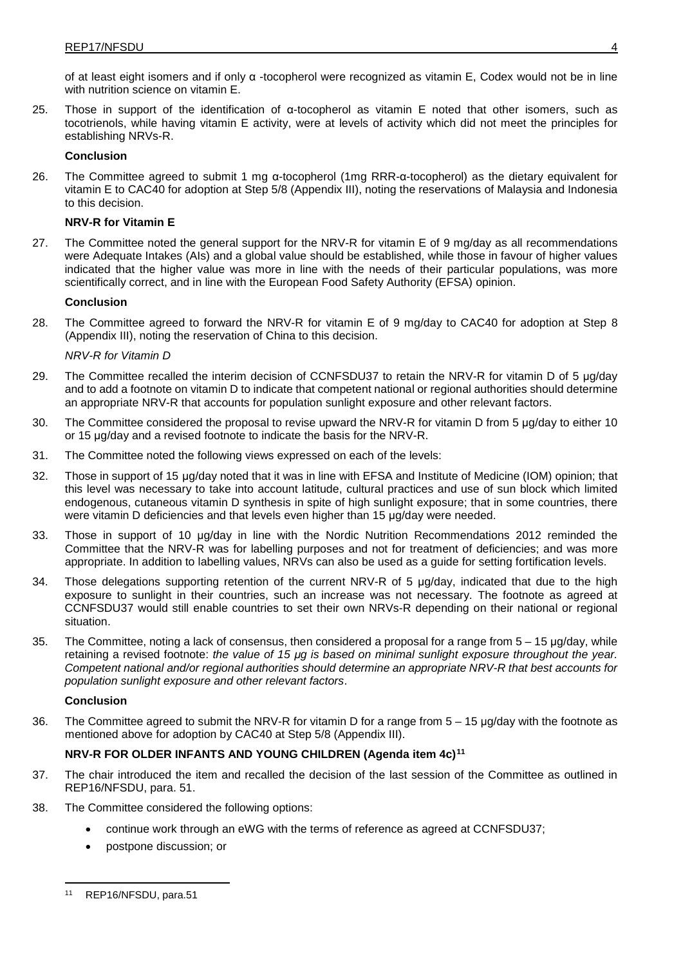of at least eight isomers and if only α -tocopherol were recognized as vitamin E, Codex would not be in line with nutrition science on vitamin E.

25. Those in support of the identification of α-tocopherol as vitamin E noted that other isomers, such as tocotrienols, while having vitamin E activity, were at levels of activity which did not meet the principles for establishing NRVs-R.

### **Conclusion**

26. The Committee agreed to submit 1 mg α-tocopherol (1mg RRR-α-tocopherol) as the dietary equivalent for vitamin E to CAC40 for adoption at Step 5/8 (Appendix III), noting the reservations of Malaysia and Indonesia to this decision.

## **NRV-R for Vitamin E**

27. The Committee noted the general support for the NRV-R for vitamin E of 9 mg/day as all recommendations were Adequate Intakes (AIs) and a global value should be established, while those in favour of higher values indicated that the higher value was more in line with the needs of their particular populations, was more scientifically correct, and in line with the European Food Safety Authority (EFSA) opinion.

#### **Conclusion**

28. The Committee agreed to forward the NRV-R for vitamin E of 9 mg/day to CAC40 for adoption at Step 8 (Appendix III), noting the reservation of China to this decision.

#### *NRV-R for Vitamin D*

- 29. The Committee recalled the interim decision of CCNFSDU37 to retain the NRV-R for vitamin D of 5 μg/day and to add a footnote on vitamin D to indicate that competent national or regional authorities should determine an appropriate NRV-R that accounts for population sunlight exposure and other relevant factors.
- 30. The Committee considered the proposal to revise upward the NRV-R for vitamin D from 5 µg/day to either 10 or 15 μg/day and a revised footnote to indicate the basis for the NRV-R.
- 31. The Committee noted the following views expressed on each of the levels:
- 32. Those in support of 15 μg/day noted that it was in line with EFSA and Institute of Medicine (IOM) opinion; that this level was necessary to take into account latitude, cultural practices and use of sun block which limited endogenous, cutaneous vitamin D synthesis in spite of high sunlight exposure; that in some countries, there were vitamin D deficiencies and that levels even higher than 15 µg/day were needed.
- 33. Those in support of 10 ug/day in line with the Nordic Nutrition Recommendations 2012 reminded the Committee that the NRV-R was for labelling purposes and not for treatment of deficiencies; and was more appropriate. In addition to labelling values, NRVs can also be used as a guide for setting fortification levels.
- 34. Those delegations supporting retention of the current NRV-R of 5 µg/day, indicated that due to the high exposure to sunlight in their countries, such an increase was not necessary. The footnote as agreed at CCNFSDU37 would still enable countries to set their own NRVs-R depending on their national or regional situation.
- 35. The Committee, noting a lack of consensus, then considered a proposal for a range from 5 15 μg/day, while retaining a revised footnote: *the value of 15 μg is based on minimal sunlight exposure throughout the year. Competent national and/or regional authorities should determine an appropriate NRV-R that best accounts for population sunlight exposure and other relevant factors*.

### **Conclusion**

36. The Committee agreed to submit the NRV-R for vitamin D for a range from 5 – 15 μg/day with the footnote as mentioned above for adoption by CAC40 at Step 5/8 (Appendix III).

## **NRV-R FOR OLDER INFANTS AND YOUNG CHILDREN (Agenda item 4c)[11](#page-8-0)**

- 37. The chair introduced the item and recalled the decision of the last session of the Committee as outlined in REP16/NFSDU, para. 51.
- 38. The Committee considered the following options:
	- continue work through an eWG with the terms of reference as agreed at CCNFSDU37;
	- postpone discussion; or

<span id="page-8-0"></span><sup>11</sup> REP16/NFSDU, para.51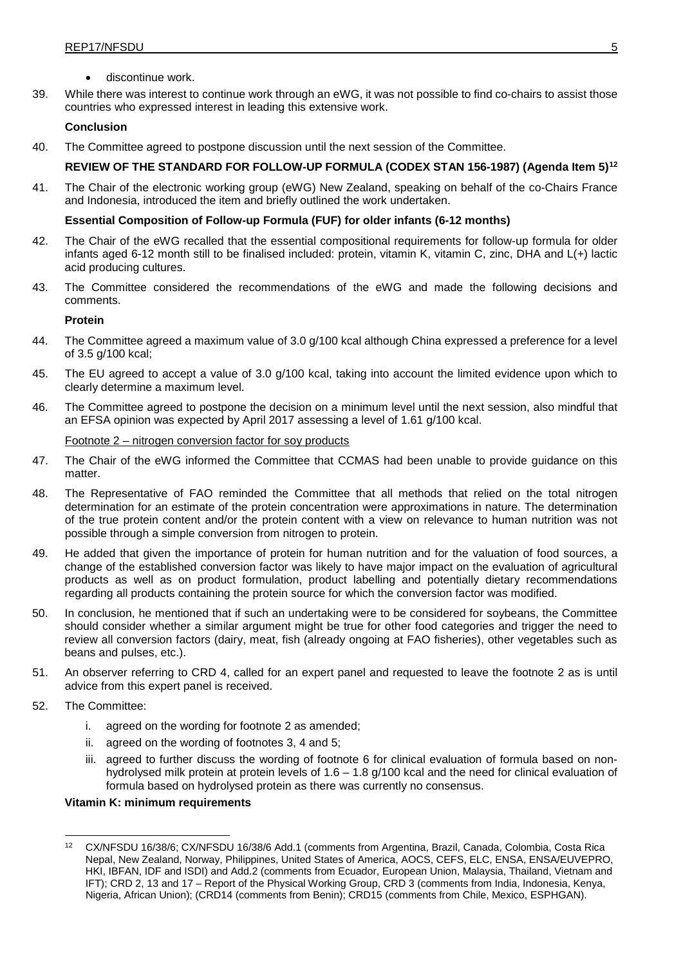- discontinue work.
- 39. While there was interest to continue work through an eWG, it was not possible to find co-chairs to assist those countries who expressed interest in leading this extensive work.

#### **Conclusion**

40. The Committee agreed to postpone discussion until the next session of the Committee.

## **REVIEW OF THE STANDARD FOR FOLLOW-UP FORMULA (CODEX STAN 156-1987) (Agenda Item 5)[12](#page-9-0)**

41. The Chair of the electronic working group (eWG) New Zealand, speaking on behalf of the co-Chairs France and Indonesia, introduced the item and briefly outlined the work undertaken.

## **Essential Composition of Follow-up Formula (FUF) for older infants (6-12 months)**

- 42. The Chair of the eWG recalled that the essential compositional requirements for follow-up formula for older infants aged 6-12 month still to be finalised included: protein, vitamin K, vitamin C, zinc, DHA and L(+) lactic acid producing cultures.
- 43. The Committee considered the recommendations of the eWG and made the following decisions and comments.

#### **Protein**

- 44. The Committee agreed a maximum value of 3.0 g/100 kcal although China expressed a preference for a level of 3.5 g/100 kcal;
- 45. The EU agreed to accept a value of 3.0 g/100 kcal, taking into account the limited evidence upon which to clearly determine a maximum level.
- 46. The Committee agreed to postpone the decision on a minimum level until the next session, also mindful that an EFSA opinion was expected by April 2017 assessing a level of 1.61 g/100 kcal.

#### Footnote 2 – nitrogen conversion factor for soy products

- 47. The Chair of the eWG informed the Committee that CCMAS had been unable to provide guidance on this matter
- 48. The Representative of FAO reminded the Committee that all methods that relied on the total nitrogen determination for an estimate of the protein concentration were approximations in nature. The determination of the true protein content and/or the protein content with a view on relevance to human nutrition was not possible through a simple conversion from nitrogen to protein.
- 49. He added that given the importance of protein for human nutrition and for the valuation of food sources, a change of the established conversion factor was likely to have major impact on the evaluation of agricultural products as well as on product formulation, product labelling and potentially dietary recommendations regarding all products containing the protein source for which the conversion factor was modified.
- 50. In conclusion, he mentioned that if such an undertaking were to be considered for soybeans, the Committee should consider whether a similar argument might be true for other food categories and trigger the need to review all conversion factors (dairy, meat, fish (already ongoing at FAO fisheries), other vegetables such as beans and pulses, etc.).
- 51. An observer referring to CRD 4, called for an expert panel and requested to leave the footnote 2 as is until advice from this expert panel is received.
- 52. The Committee:
	- i. agreed on the wording for footnote 2 as amended;
	- ii. agreed on the wording of footnotes 3, 4 and 5;
	- iii. agreed to further discuss the wording of footnote 6 for clinical evaluation of formula based on nonhydrolysed milk protein at protein levels of 1.6 – 1.8 g/100 kcal and the need for clinical evaluation of formula based on hydrolysed protein as there was currently no consensus.

#### **Vitamin K: minimum requirements**

<span id="page-9-0"></span><sup>12</sup> CX/NFSDU 16/38/6; CX/NFSDU 16/38/6 Add.1 (comments from Argentina, Brazil, Canada, Colombia, Costa Rica Nepal, New Zealand, Norway, Philippines, United States of America, AOCS, CEFS, ELC, ENSA, ENSA/EUVEPRO, HKI, IBFAN, IDF and ISDI) and Add.2 (comments from Ecuador, European Union, Malaysia, Thailand, Vietnam and IFT); CRD 2, 13 and 17 – Report of the Physical Working Group, CRD 3 (comments from India, Indonesia, Kenya, Nigeria, African Union); (CRD14 (comments from Benin); CRD15 (comments from Chile, Mexico, ESPHGAN).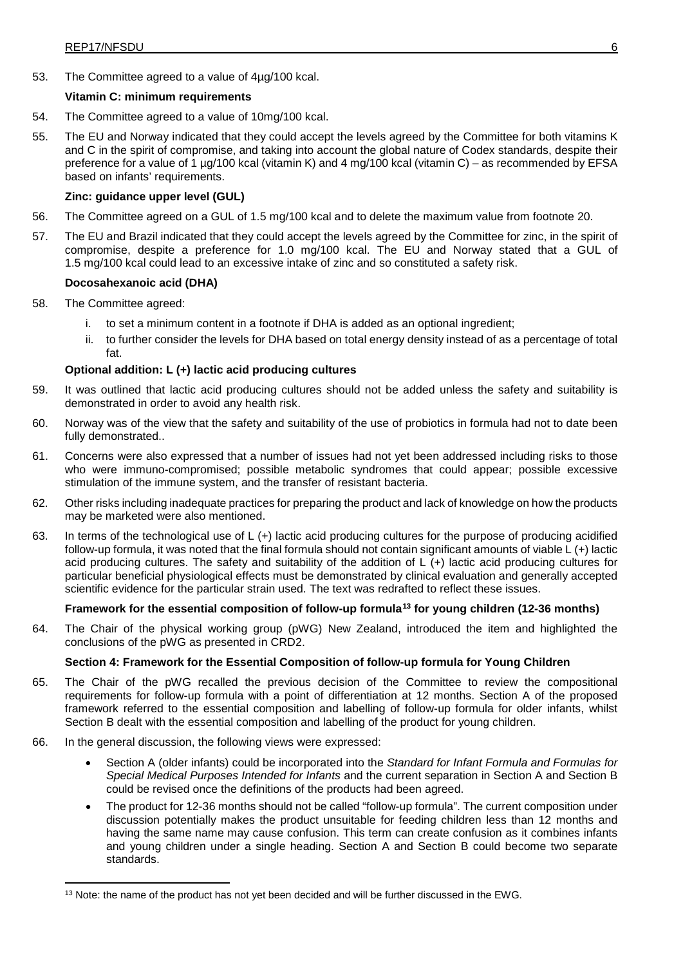53. The Committee agreed to a value of 4µg/100 kcal.

## **Vitamin C: minimum requirements**

- 54. The Committee agreed to a value of 10mg/100 kcal.
- 55. The EU and Norway indicated that they could accept the levels agreed by the Committee for both vitamins K and C in the spirit of compromise, and taking into account the global nature of Codex standards, despite their preference for a value of 1 µg/100 kcal (vitamin K) and 4 mg/100 kcal (vitamin C) – as recommended by EFSA based on infants' requirements.

## **Zinc: guidance upper level (GUL)**

- 56. The Committee agreed on a GUL of 1.5 mg/100 kcal and to delete the maximum value from footnote 20.
- 57. The EU and Brazil indicated that they could accept the levels agreed by the Committee for zinc, in the spirit of compromise, despite a preference for 1.0 mg/100 kcal. The EU and Norway stated that a GUL of 1.5 mg/100 kcal could lead to an excessive intake of zinc and so constituted a safety risk.

## **Docosahexanoic acid (DHA)**

- 58. The Committee agreed:
	- i. to set a minimum content in a footnote if DHA is added as an optional ingredient;
	- ii. to further consider the levels for DHA based on total energy density instead of as a percentage of total fat.

## **Optional addition: L (+) lactic acid producing cultures**

- 59. It was outlined that lactic acid producing cultures should not be added unless the safety and suitability is demonstrated in order to avoid any health risk.
- 60. Norway was of the view that the safety and suitability of the use of probiotics in formula had not to date been fully demonstrated..
- 61. Concerns were also expressed that a number of issues had not yet been addressed including risks to those who were immuno-compromised; possible metabolic syndromes that could appear; possible excessive stimulation of the immune system, and the transfer of resistant bacteria.
- 62. Other risks including inadequate practices for preparing the product and lack of knowledge on how the products may be marketed were also mentioned.
- 63. In terms of the technological use of L (+) lactic acid producing cultures for the purpose of producing acidified follow-up formula, it was noted that the final formula should not contain significant amounts of viable L (+) lactic acid producing cultures. The safety and suitability of the addition of L (+) lactic acid producing cultures for particular beneficial physiological effects must be demonstrated by clinical evaluation and generally accepted scientific evidence for the particular strain used. The text was redrafted to reflect these issues.

## **Framework for the essential composition of follow-up formula[13](#page-10-0) for young children (12-36 months)**

64. The Chair of the physical working group (pWG) New Zealand, introduced the item and highlighted the conclusions of the pWG as presented in CRD2.

#### **Section 4: Framework for the Essential Composition of follow-up formula for Young Children**

- 65. The Chair of the pWG recalled the previous decision of the Committee to review the compositional requirements for follow-up formula with a point of differentiation at 12 months. Section A of the proposed framework referred to the essential composition and labelling of follow-up formula for older infants, whilst Section B dealt with the essential composition and labelling of the product for young children.
- 66. In the general discussion, the following views were expressed:
	- Section A (older infants) could be incorporated into the *Standard for Infant Formula and Formulas for Special Medical Purposes Intended for Infants* and the current separation in Section A and Section B could be revised once the definitions of the products had been agreed.
	- The product for 12-36 months should not be called "follow-up formula". The current composition under discussion potentially makes the product unsuitable for feeding children less than 12 months and having the same name may cause confusion. This term can create confusion as it combines infants and young children under a single heading. Section A and Section B could become two separate standards.

<span id="page-10-0"></span><sup>&</sup>lt;sup>13</sup> Note: the name of the product has not yet been decided and will be further discussed in the EWG.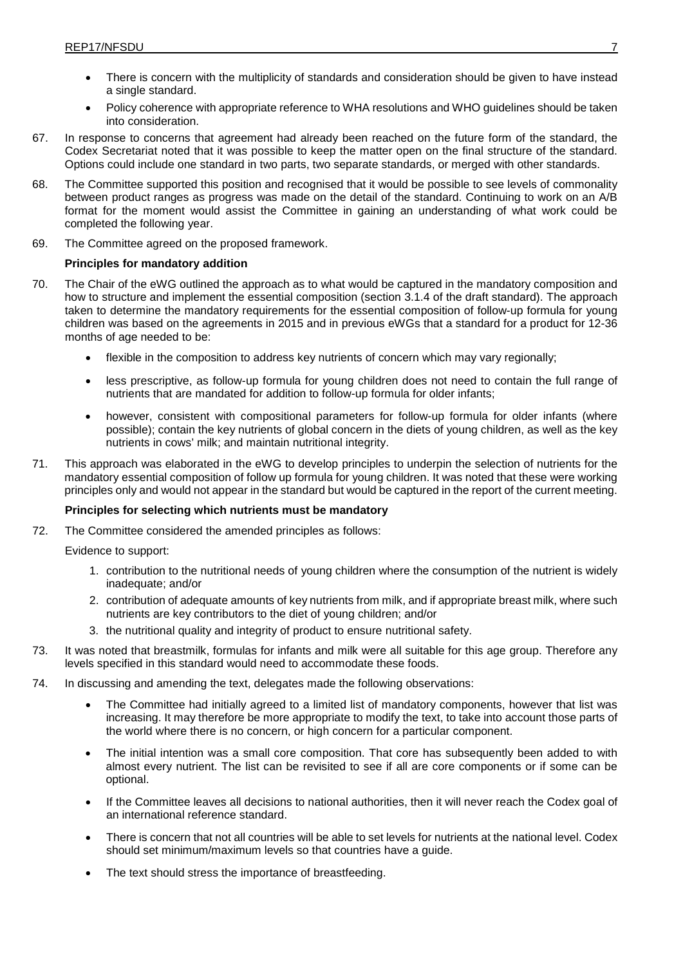- There is concern with the multiplicity of standards and consideration should be given to have instead a single standard.
- Policy coherence with appropriate reference to WHA resolutions and WHO guidelines should be taken into consideration.
- 67. In response to concerns that agreement had already been reached on the future form of the standard, the Codex Secretariat noted that it was possible to keep the matter open on the final structure of the standard. Options could include one standard in two parts, two separate standards, or merged with other standards.
- 68. The Committee supported this position and recognised that it would be possible to see levels of commonality between product ranges as progress was made on the detail of the standard. Continuing to work on an A/B format for the moment would assist the Committee in gaining an understanding of what work could be completed the following year.
- 69. The Committee agreed on the proposed framework.

## **Principles for mandatory addition**

- 70. The Chair of the eWG outlined the approach as to what would be captured in the mandatory composition and how to structure and implement the essential composition (section 3.1.4 of the draft standard). The approach taken to determine the mandatory requirements for the essential composition of follow-up formula for young children was based on the agreements in 2015 and in previous eWGs that a standard for a product for 12-36 months of age needed to be:
	- flexible in the composition to address key nutrients of concern which may vary regionally;
	- less prescriptive, as follow-up formula for young children does not need to contain the full range of nutrients that are mandated for addition to follow-up formula for older infants;
	- however, consistent with compositional parameters for follow-up formula for older infants (where possible); contain the key nutrients of global concern in the diets of young children, as well as the key nutrients in cows' milk; and maintain nutritional integrity.
- 71. This approach was elaborated in the eWG to develop principles to underpin the selection of nutrients for the mandatory essential composition of follow up formula for young children. It was noted that these were working principles only and would not appear in the standard but would be captured in the report of the current meeting.

#### **Principles for selecting which nutrients must be mandatory**

72. The Committee considered the amended principles as follows:

Evidence to support:

- 1. contribution to the nutritional needs of young children where the consumption of the nutrient is widely inadequate; and/or
- 2. contribution of adequate amounts of key nutrients from milk, and if appropriate breast milk, where such nutrients are key contributors to the diet of young children; and/or
- 3. the nutritional quality and integrity of product to ensure nutritional safety.
- 73. It was noted that breastmilk, formulas for infants and milk were all suitable for this age group. Therefore any levels specified in this standard would need to accommodate these foods.
- 74. In discussing and amending the text, delegates made the following observations:
	- The Committee had initially agreed to a limited list of mandatory components, however that list was increasing. It may therefore be more appropriate to modify the text, to take into account those parts of the world where there is no concern, or high concern for a particular component.
	- The initial intention was a small core composition. That core has subsequently been added to with almost every nutrient. The list can be revisited to see if all are core components or if some can be optional.
	- If the Committee leaves all decisions to national authorities, then it will never reach the Codex goal of an international reference standard.
	- There is concern that not all countries will be able to set levels for nutrients at the national level. Codex should set minimum/maximum levels so that countries have a guide.
	- The text should stress the importance of breastfeeding.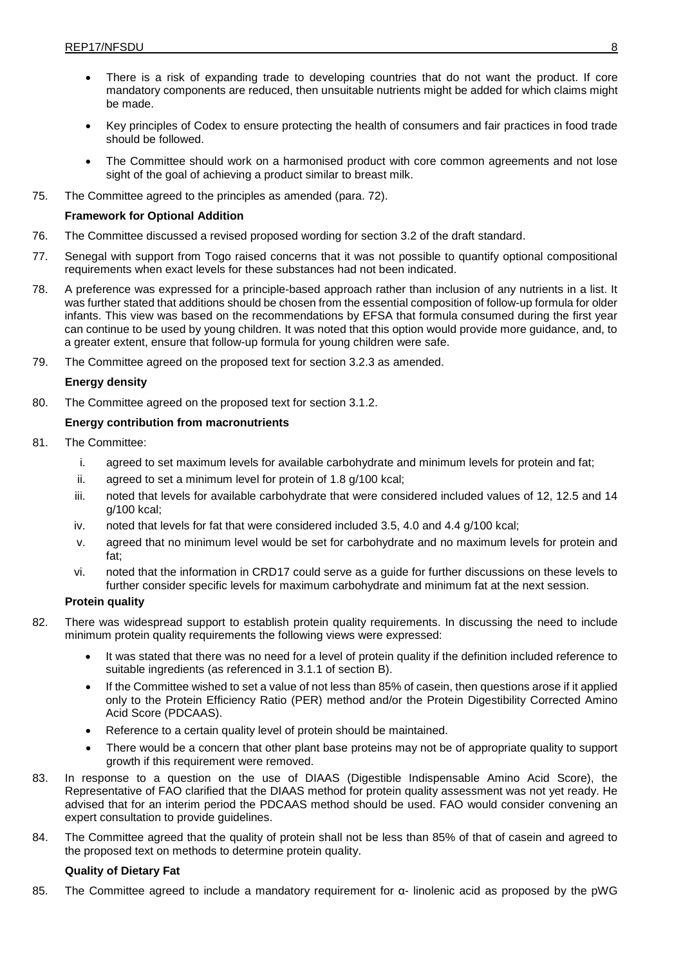- There is a risk of expanding trade to developing countries that do not want the product. If core mandatory components are reduced, then unsuitable nutrients might be added for which claims might be made.
- Key principles of Codex to ensure protecting the health of consumers and fair practices in food trade should be followed.
- The Committee should work on a harmonised product with core common agreements and not lose sight of the goal of achieving a product similar to breast milk.
- 75. The Committee agreed to the principles as amended (para. 72).

## **Framework for Optional Addition**

- 76. The Committee discussed a revised proposed wording for section 3.2 of the draft standard.
- 77. Senegal with support from Togo raised concerns that it was not possible to quantify optional compositional requirements when exact levels for these substances had not been indicated.
- 78. A preference was expressed for a principle-based approach rather than inclusion of any nutrients in a list. It was further stated that additions should be chosen from the essential composition of follow-up formula for older infants. This view was based on the recommendations by EFSA that formula consumed during the first year can continue to be used by young children. It was noted that this option would provide more guidance, and, to a greater extent, ensure that follow-up formula for young children were safe.
- 79. The Committee agreed on the proposed text for section 3.2.3 as amended.

## **Energy density**

80. The Committee agreed on the proposed text for section 3.1.2.

## **Energy contribution from macronutrients**

- 81. The Committee:
	- i. agreed to set maximum levels for available carbohydrate and minimum levels for protein and fat;
	- ii. agreed to set a minimum level for protein of 1.8 g/100 kcal;
	- iii. noted that levels for available carbohydrate that were considered included values of 12, 12.5 and 14 g/100 kcal;
	- iv. noted that levels for fat that were considered included 3.5, 4.0 and 4.4 g/100 kcal;
	- v. agreed that no minimum level would be set for carbohydrate and no maximum levels for protein and fat;
	- vi. noted that the information in CRD17 could serve as a guide for further discussions on these levels to further consider specific levels for maximum carbohydrate and minimum fat at the next session.

## **Protein quality**

- 82. There was widespread support to establish protein quality requirements. In discussing the need to include minimum protein quality requirements the following views were expressed:
	- It was stated that there was no need for a level of protein quality if the definition included reference to suitable ingredients (as referenced in 3.1.1 of section B).
	- If the Committee wished to set a value of not less than 85% of casein, then questions arose if it applied only to the Protein Efficiency Ratio (PER) method and/or the Protein Digestibility Corrected Amino Acid Score (PDCAAS).
	- Reference to a certain quality level of protein should be maintained.
	- There would be a concern that other plant base proteins may not be of appropriate quality to support growth if this requirement were removed.
- 83. In response to a question on the use of DIAAS (Digestible Indispensable Amino Acid Score), the Representative of FAO clarified that the DIAAS method for protein quality assessment was not yet ready. He advised that for an interim period the PDCAAS method should be used. FAO would consider convening an expert consultation to provide guidelines.
- 84. The Committee agreed that the quality of protein shall not be less than 85% of that of casein and agreed to the proposed text on methods to determine protein quality.

## **Quality of Dietary Fat**

85. The Committee agreed to include a mandatory requirement for α- linolenic acid as proposed by the pWG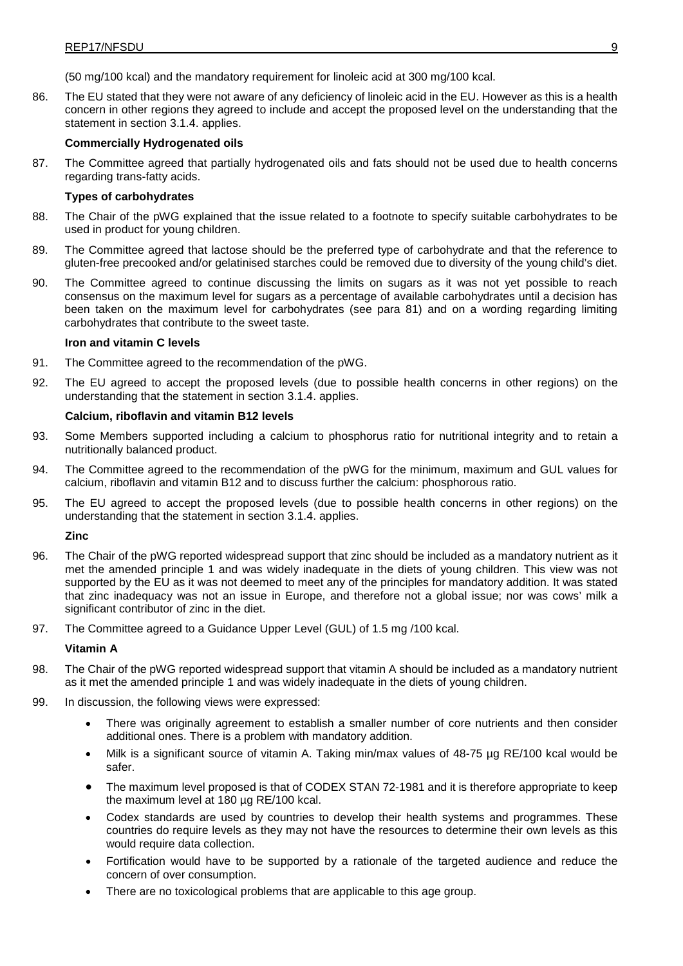(50 mg/100 kcal) and the mandatory requirement for linoleic acid at 300 mg/100 kcal.

86. The EU stated that they were not aware of any deficiency of linoleic acid in the EU. However as this is a health concern in other regions they agreed to include and accept the proposed level on the understanding that the statement in section 3.1.4. applies.

#### **Commercially Hydrogenated oils**

87. The Committee agreed that partially hydrogenated oils and fats should not be used due to health concerns regarding trans-fatty acids.

#### **Types of carbohydrates**

- 88. The Chair of the pWG explained that the issue related to a footnote to specify suitable carbohydrates to be used in product for young children.
- 89. The Committee agreed that lactose should be the preferred type of carbohydrate and that the reference to gluten-free precooked and/or gelatinised starches could be removed due to diversity of the young child's diet.
- 90. The Committee agreed to continue discussing the limits on sugars as it was not yet possible to reach consensus on the maximum level for sugars as a percentage of available carbohydrates until a decision has been taken on the maximum level for carbohydrates (see para 81) and on a wording regarding limiting carbohydrates that contribute to the sweet taste.

#### **Iron and vitamin C levels**

- 91. The Committee agreed to the recommendation of the pWG.
- 92. The EU agreed to accept the proposed levels (due to possible health concerns in other regions) on the understanding that the statement in section 3.1.4. applies.

#### **Calcium, riboflavin and vitamin B12 levels**

- 93. Some Members supported including a calcium to phosphorus ratio for nutritional integrity and to retain a nutritionally balanced product.
- 94. The Committee agreed to the recommendation of the pWG for the minimum, maximum and GUL values for calcium, riboflavin and vitamin B12 and to discuss further the calcium: phosphorous ratio.
- 95. The EU agreed to accept the proposed levels (due to possible health concerns in other regions) on the understanding that the statement in section 3.1.4. applies.

**Zinc**

- 96. The Chair of the pWG reported widespread support that zinc should be included as a mandatory nutrient as it met the amended principle 1 and was widely inadequate in the diets of young children. This view was not supported by the EU as it was not deemed to meet any of the principles for mandatory addition. It was stated that zinc inadequacy was not an issue in Europe, and therefore not a global issue; nor was cows' milk a significant contributor of zinc in the diet.
- 97. The Committee agreed to a Guidance Upper Level (GUL) of 1.5 mg /100 kcal.

### **Vitamin A**

- 98. The Chair of the pWG reported widespread support that vitamin A should be included as a mandatory nutrient as it met the amended principle 1 and was widely inadequate in the diets of young children.
- 99. In discussion, the following views were expressed:
	- There was originally agreement to establish a smaller number of core nutrients and then consider additional ones. There is a problem with mandatory addition.
	- Milk is a significant source of vitamin A. Taking min/max values of 48-75 µg RE/100 kcal would be safer.
	- The maximum level proposed is that of CODEX STAN 72-1981 and it is therefore appropriate to keep the maximum level at 180 µg RE/100 kcal.
	- Codex standards are used by countries to develop their health systems and programmes. These countries do require levels as they may not have the resources to determine their own levels as this would require data collection.
	- Fortification would have to be supported by a rationale of the targeted audience and reduce the concern of over consumption.
	- There are no toxicological problems that are applicable to this age group.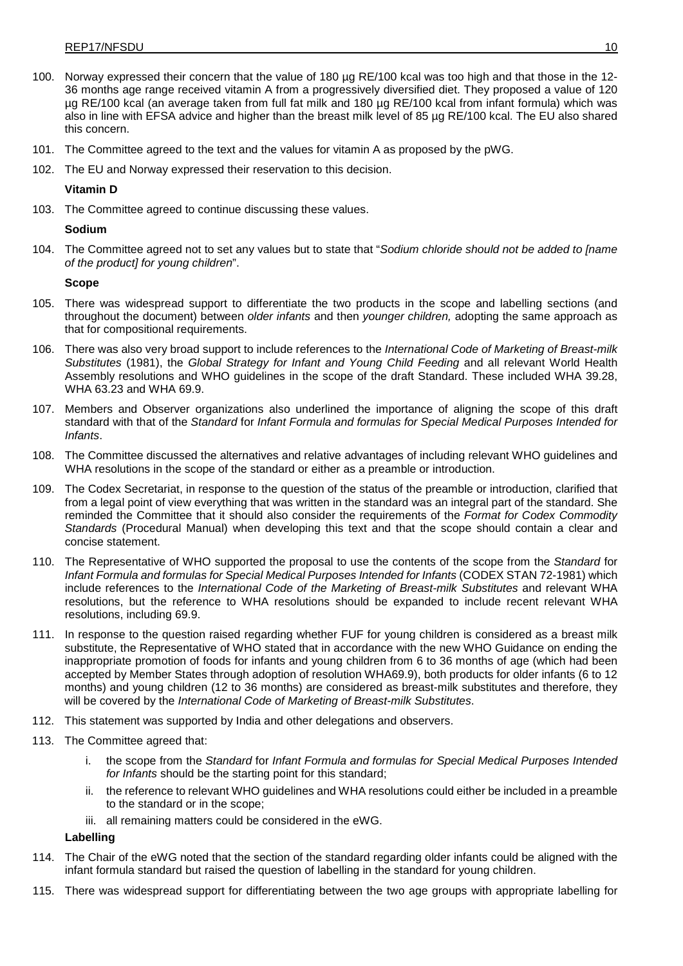- 100. Norway expressed their concern that the value of 180 µg RE/100 kcal was too high and that those in the 12- 36 months age range received vitamin A from a progressively diversified diet. They proposed a value of 120 µg RE/100 kcal (an average taken from full fat milk and 180 µg RE/100 kcal from infant formula) which was also in line with EFSA advice and higher than the breast milk level of 85 µg RE/100 kcal. The EU also shared this concern.
- 101. The Committee agreed to the text and the values for vitamin A as proposed by the pWG.
- 102. The EU and Norway expressed their reservation to this decision.

## **Vitamin D**

103. The Committee agreed to continue discussing these values.

### **Sodium**

104. The Committee agreed not to set any values but to state that "*Sodium chloride should not be added to [name of the product] for young children*".

## **Scope**

- 105. There was widespread support to differentiate the two products in the scope and labelling sections (and throughout the document) between *older infants* and then *younger children,* adopting the same approach as that for compositional requirements.
- 106. There was also very broad support to include references to the *International Code of Marketing of Breast-milk Substitutes* (1981), the *Global Strategy for Infant and Young Child Feeding* and all relevant World Health Assembly resolutions and WHO guidelines in the scope of the draft Standard. These included WHA 39.28, WHA 63.23 and WHA 69.9.
- 107. Members and Observer organizations also underlined the importance of aligning the scope of this draft standard with that of the *Standard* for *Infant Formula and formulas for Special Medical Purposes Intended for Infants*.
- 108. The Committee discussed the alternatives and relative advantages of including relevant WHO guidelines and WHA resolutions in the scope of the standard or either as a preamble or introduction.
- 109. The Codex Secretariat, in response to the question of the status of the preamble or introduction, clarified that from a legal point of view everything that was written in the standard was an integral part of the standard. She reminded the Committee that it should also consider the requirements of the *Format for Codex Commodity Standards* (Procedural Manual) when developing this text and that the scope should contain a clear and concise statement.
- 110. The Representative of WHO supported the proposal to use the contents of the scope from the *Standard* for *Infant Formula and formulas for Special Medical Purposes Intended for Infants* (CODEX STAN 72-1981) which include references to the *International Code of the Marketing of Breast-milk Substitutes* and relevant WHA resolutions, but the reference to WHA resolutions should be expanded to include recent relevant WHA resolutions, including 69.9.
- 111. In response to the question raised regarding whether FUF for young children is considered as a breast milk substitute, the Representative of WHO stated that in accordance with the new WHO Guidance on ending the inappropriate promotion of foods for infants and young children from 6 to 36 months of age (which had been accepted by Member States through adoption of resolution WHA69.9), both products for older infants (6 to 12 months) and young children (12 to 36 months) are considered as breast-milk substitutes and therefore, they will be covered by the *International Code of Marketing of Breast-milk Substitutes*.
- 112. This statement was supported by India and other delegations and observers.
- 113. The Committee agreed that:
	- i. the scope from the *Standard* for *Infant Formula and formulas for Special Medical Purposes Intended for Infants* should be the starting point for this standard;
	- ii. the reference to relevant WHO guidelines and WHA resolutions could either be included in a preamble to the standard or in the scope;
	- iii. all remaining matters could be considered in the eWG.

#### **Labelling**

- 114. The Chair of the eWG noted that the section of the standard regarding older infants could be aligned with the infant formula standard but raised the question of labelling in the standard for young children.
- 115. There was widespread support for differentiating between the two age groups with appropriate labelling for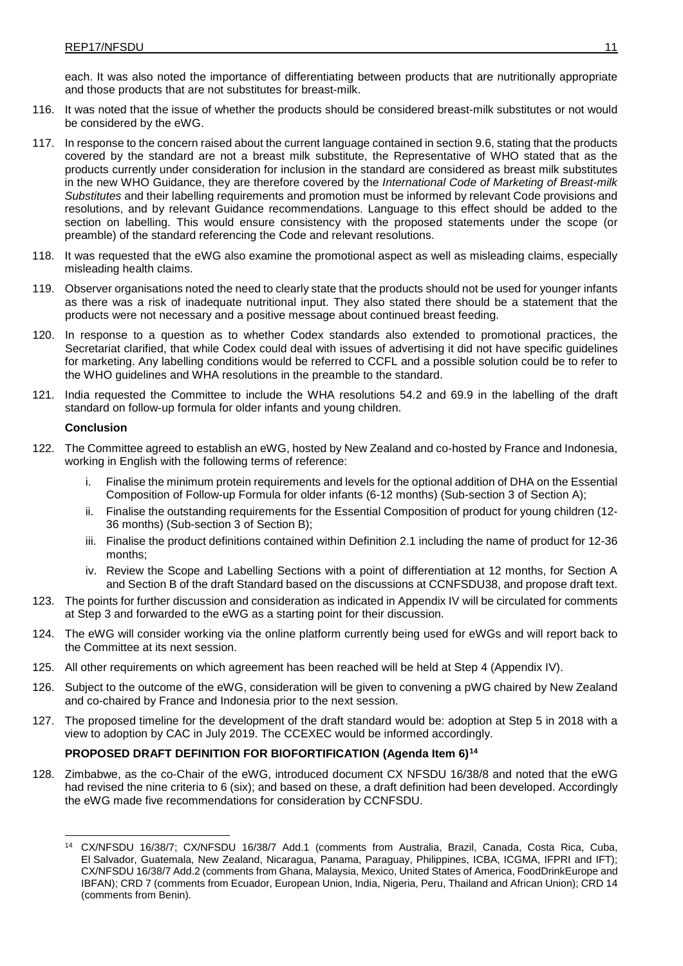each. It was also noted the importance of differentiating between products that are nutritionally appropriate and those products that are not substitutes for breast-milk.

- 116. It was noted that the issue of whether the products should be considered breast-milk substitutes or not would be considered by the eWG.
- 117. In response to the concern raised about the current language contained in section 9.6, stating that the products covered by the standard are not a breast milk substitute, the Representative of WHO stated that as the products currently under consideration for inclusion in the standard are considered as breast milk substitutes in the new WHO Guidance, they are therefore covered by the *International Code of Marketing of Breast-milk Substitutes* and their labelling requirements and promotion must be informed by relevant Code provisions and resolutions, and by relevant Guidance recommendations. Language to this effect should be added to the section on labelling. This would ensure consistency with the proposed statements under the scope (or preamble) of the standard referencing the Code and relevant resolutions.
- 118. It was requested that the eWG also examine the promotional aspect as well as misleading claims, especially misleading health claims.
- 119. Observer organisations noted the need to clearly state that the products should not be used for younger infants as there was a risk of inadequate nutritional input. They also stated there should be a statement that the products were not necessary and a positive message about continued breast feeding.
- 120. In response to a question as to whether Codex standards also extended to promotional practices, the Secretariat clarified, that while Codex could deal with issues of advertising it did not have specific guidelines for marketing. Any labelling conditions would be referred to CCFL and a possible solution could be to refer to the WHO guidelines and WHA resolutions in the preamble to the standard.
- 121. India requested the Committee to include the WHA resolutions 54.2 and 69.9 in the labelling of the draft standard on follow-up formula for older infants and young children.

#### **Conclusion**

- 122. The Committee agreed to establish an eWG, hosted by New Zealand and co-hosted by France and Indonesia, working in English with the following terms of reference:
	- i. Finalise the minimum protein requirements and levels for the optional addition of DHA on the Essential Composition of Follow-up Formula for older infants (6-12 months) (Sub-section 3 of Section A);
	- ii. Finalise the outstanding requirements for the Essential Composition of product for young children (12- 36 months) (Sub-section 3 of Section B);
	- iii. Finalise the product definitions contained within Definition 2.1 including the name of product for 12-36 months;
	- iv. Review the Scope and Labelling Sections with a point of differentiation at 12 months, for Section A and Section B of the draft Standard based on the discussions at CCNFSDU38, and propose draft text.
- 123. The points for further discussion and consideration as indicated in Appendix IV will be circulated for comments at Step 3 and forwarded to the eWG as a starting point for their discussion.
- 124. The eWG will consider working via the online platform currently being used for eWGs and will report back to the Committee at its next session.
- 125. All other requirements on which agreement has been reached will be held at Step 4 (Appendix IV).
- 126. Subject to the outcome of the eWG, consideration will be given to convening a pWG chaired by New Zealand and co-chaired by France and Indonesia prior to the next session.
- 127. The proposed timeline for the development of the draft standard would be: adoption at Step 5 in 2018 with a view to adoption by CAC in July 2019. The CCEXEC would be informed accordingly.

## **PROPOSED DRAFT DEFINITION FOR BIOFORTIFICATION (Agenda Item 6)[14](#page-15-0)**

128. Zimbabwe, as the co-Chair of the eWG, introduced document CX NFSDU 16/38/8 and noted that the eWG had revised the nine criteria to 6 (six); and based on these, a draft definition had been developed. Accordingly the eWG made five recommendations for consideration by CCNFSDU.

<span id="page-15-0"></span><sup>14</sup> CX/NFSDU 16/38/7; CX/NFSDU 16/38/7 Add.1 (comments from Australia, Brazil, Canada, Costa Rica, Cuba, El Salvador, Guatemala, New Zealand, Nicaragua, Panama, Paraguay, Philippines, ICBA, ICGMA, IFPRI and IFT); CX/NFSDU 16/38/7 Add.2 (comments from Ghana, Malaysia, Mexico, United States of America, FoodDrinkEurope and IBFAN); CRD 7 (comments from Ecuador, European Union, India, Nigeria, Peru, Thailand and African Union); CRD 14 (comments from Benin).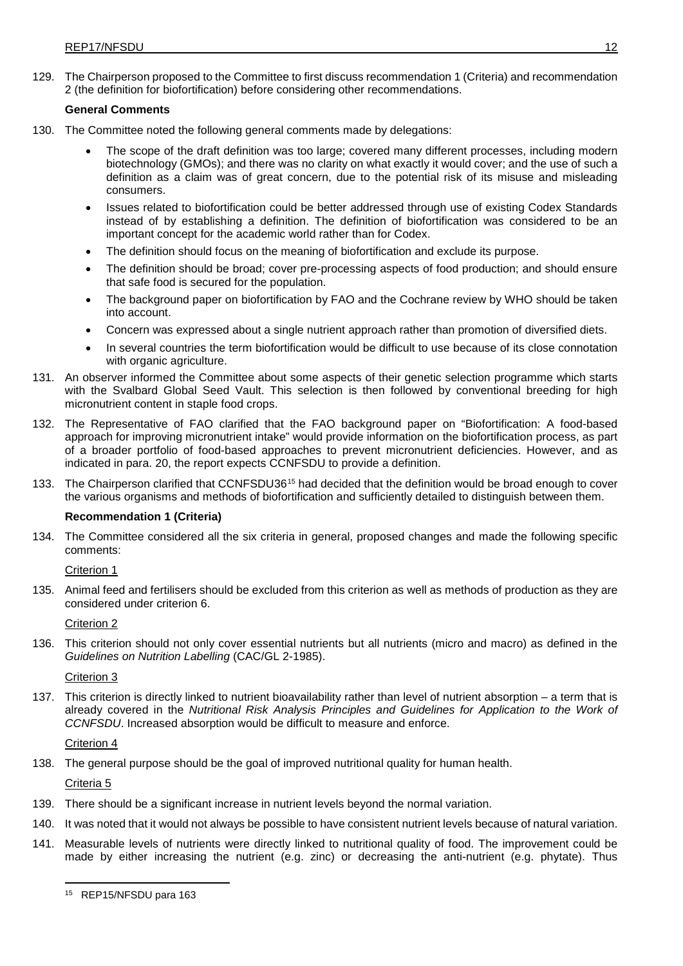129. The Chairperson proposed to the Committee to first discuss recommendation 1 (Criteria) and recommendation 2 (the definition for biofortification) before considering other recommendations.

## **General Comments**

- 130. The Committee noted the following general comments made by delegations:
	- The scope of the draft definition was too large; covered many different processes, including modern biotechnology (GMOs); and there was no clarity on what exactly it would cover; and the use of such a definition as a claim was of great concern, due to the potential risk of its misuse and misleading consumers.
	- Issues related to biofortification could be better addressed through use of existing Codex Standards instead of by establishing a definition. The definition of biofortification was considered to be an important concept for the academic world rather than for Codex.
	- The definition should focus on the meaning of biofortification and exclude its purpose.
	- The definition should be broad; cover pre-processing aspects of food production; and should ensure that safe food is secured for the population.
	- The background paper on biofortification by FAO and the Cochrane review by WHO should be taken into account.
	- Concern was expressed about a single nutrient approach rather than promotion of diversified diets.
	- In several countries the term biofortification would be difficult to use because of its close connotation with organic agriculture.
- 131. An observer informed the Committee about some aspects of their genetic selection programme which starts with the Svalbard Global Seed Vault. This selection is then followed by conventional breeding for high micronutrient content in staple food crops.
- 132. The Representative of FAO clarified that the FAO background paper on "Biofortification: A food-based approach for improving micronutrient intake" would provide information on the biofortification process, as part of a broader portfolio of food-based approaches to prevent micronutrient deficiencies. However, and as indicated in para. 20, the report expects CCNFSDU to provide a definition.
- 133. The Chairperson clarified that CCNFSDU36[15](#page-16-0) had decided that the definition would be broad enough to cover the various organisms and methods of biofortification and sufficiently detailed to distinguish between them.

#### **Recommendation 1 (Criteria)**

134. The Committee considered all the six criteria in general, proposed changes and made the following specific comments:

Criterion 1

135. Animal feed and fertilisers should be excluded from this criterion as well as methods of production as they are considered under criterion 6.

Criterion 2

136. This criterion should not only cover essential nutrients but all nutrients (micro and macro) as defined in the *Guidelines on Nutrition Labelling* (CAC/GL 2-1985).

### Criterion 3

137. This criterion is directly linked to nutrient bioavailability rather than level of nutrient absorption – a term that is already covered in the *Nutritional Risk Analysis Principles and Guidelines for Application to the Work of CCNFSDU*. Increased absorption would be difficult to measure and enforce.

Criterion 4

138. The general purpose should be the goal of improved nutritional quality for human health.

Criteria 5

- 139. There should be a significant increase in nutrient levels beyond the normal variation.
- 140. It was noted that it would not always be possible to have consistent nutrient levels because of natural variation.
- <span id="page-16-0"></span>141. Measurable levels of nutrients were directly linked to nutritional quality of food. The improvement could be made by either increasing the nutrient (e.g. zinc) or decreasing the anti-nutrient (e.g. phytate). Thus

<sup>15</sup> REP15/NFSDU para 163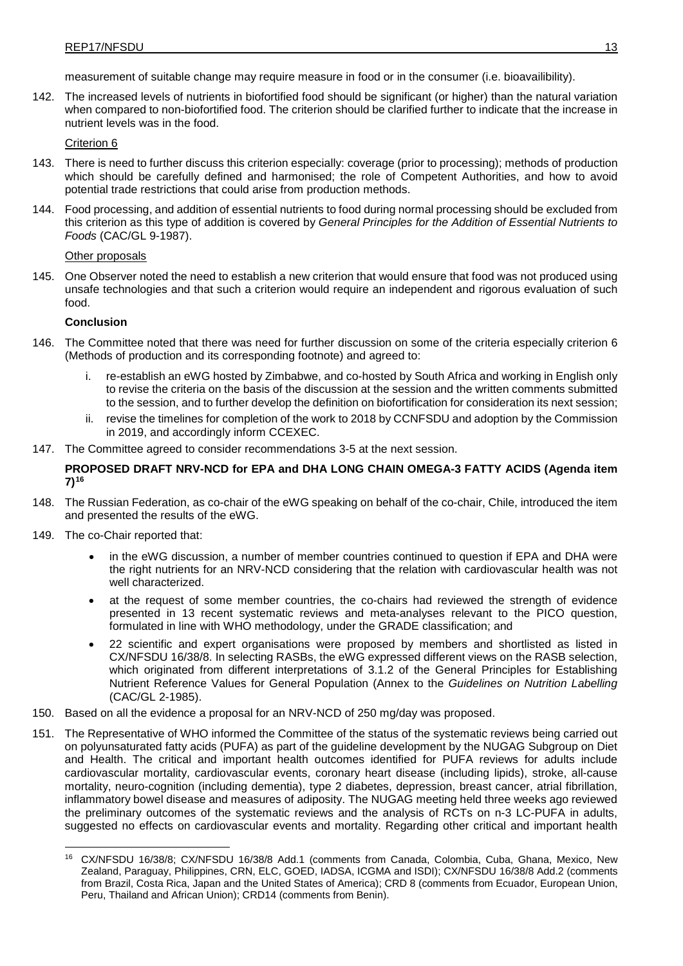measurement of suitable change may require measure in food or in the consumer (i.e. bioavailibility).

142. The increased levels of nutrients in biofortified food should be significant (or higher) than the natural variation when compared to non-biofortified food. The criterion should be clarified further to indicate that the increase in nutrient levels was in the food.

Criterion 6

- 143. There is need to further discuss this criterion especially: coverage (prior to processing); methods of production which should be carefully defined and harmonised; the role of Competent Authorities, and how to avoid potential trade restrictions that could arise from production methods.
- 144. Food processing, and addition of essential nutrients to food during normal processing should be excluded from this criterion as this type of addition is covered by *General Principles for the Addition of Essential Nutrients to Foods* (CAC/GL 9-1987).

Other proposals

145. One Observer noted the need to establish a new criterion that would ensure that food was not produced using unsafe technologies and that such a criterion would require an independent and rigorous evaluation of such food.

#### **Conclusion**

- 146. The Committee noted that there was need for further discussion on some of the criteria especially criterion 6 (Methods of production and its corresponding footnote) and agreed to:
	- re-establish an eWG hosted by Zimbabwe, and co-hosted by South Africa and working in English only to revise the criteria on the basis of the discussion at the session and the written comments submitted to the session, and to further develop the definition on biofortification for consideration its next session;
	- ii. revise the timelines for completion of the work to 2018 by CCNFSDU and adoption by the Commission in 2019, and accordingly inform CCEXEC.
- 147. The Committee agreed to consider recommendations 3-5 at the next session.

## **PROPOSED DRAFT NRV-NCD for EPA and DHA LONG CHAIN OMEGA-3 FATTY ACIDS (Agenda item 7)[16](#page-17-0)**

- 148. The Russian Federation, as co-chair of the eWG speaking on behalf of the co-chair, Chile, introduced the item and presented the results of the eWG.
- 149. The co-Chair reported that:
	- in the eWG discussion, a number of member countries continued to question if EPA and DHA were the right nutrients for an NRV-NCD considering that the relation with cardiovascular health was not well characterized.
	- at the request of some member countries, the co-chairs had reviewed the strength of evidence presented in 13 recent systematic reviews and meta-analyses relevant to the PICO question, formulated in line with WHO methodology, under the GRADE classification; and
	- 22 scientific and expert organisations were proposed by members and shortlisted as listed in CX/NFSDU 16/38/8. In selecting RASBs, the eWG expressed different views on the RASB selection, which originated from different interpretations of 3.1.2 of the General Principles for Establishing Nutrient Reference Values for General Population (Annex to the *Guidelines on Nutrition Labelling* (CAC/GL 2-1985).
- 150. Based on all the evidence a proposal for an NRV-NCD of 250 mg/day was proposed.
- 151. The Representative of WHO informed the Committee of the status of the systematic reviews being carried out on polyunsaturated fatty acids (PUFA) as part of the guideline development by the NUGAG Subgroup on Diet and Health. The critical and important health outcomes identified for PUFA reviews for adults include cardiovascular mortality, cardiovascular events, coronary heart disease (including lipids), stroke, all-cause mortality, neuro-cognition (including dementia), type 2 diabetes, depression, breast cancer, atrial fibrillation, inflammatory bowel disease and measures of adiposity. The NUGAG meeting held three weeks ago reviewed the preliminary outcomes of the systematic reviews and the analysis of RCTs on n-3 LC-PUFA in adults, suggested no effects on cardiovascular events and mortality. Regarding other critical and important health

<span id="page-17-0"></span><sup>16</sup> CX/NFSDU 16/38/8; CX/NFSDU 16/38/8 Add.1 (comments from Canada, Colombia, Cuba, Ghana, Mexico, New Zealand, Paraguay, Philippines, CRN, ELC, GOED, IADSA, ICGMA and ISDI); CX/NFSDU 16/38/8 Add.2 (comments from Brazil, Costa Rica, Japan and the United States of America); CRD 8 (comments from Ecuador, European Union, Peru, Thailand and African Union); CRD14 (comments from Benin).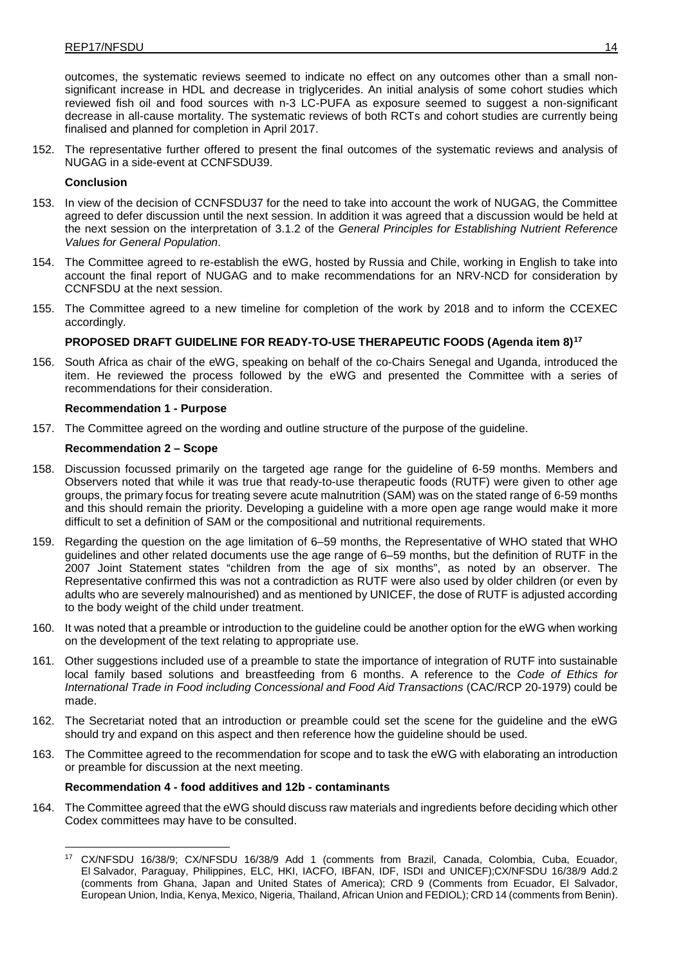outcomes, the systematic reviews seemed to indicate no effect on any outcomes other than a small nonsignificant increase in HDL and decrease in triglycerides. An initial analysis of some cohort studies which reviewed fish oil and food sources with n-3 LC-PUFA as exposure seemed to suggest a non-significant decrease in all-cause mortality. The systematic reviews of both RCTs and cohort studies are currently being finalised and planned for completion in April 2017.

152. The representative further offered to present the final outcomes of the systematic reviews and analysis of NUGAG in a side-event at CCNFSDU39.

### **Conclusion**

- 153. In view of the decision of CCNFSDU37 for the need to take into account the work of NUGAG, the Committee agreed to defer discussion until the next session. In addition it was agreed that a discussion would be held at the next session on the interpretation of 3.1.2 of the *General Principles for Establishing Nutrient Reference Values for General Population*.
- 154. The Committee agreed to re-establish the eWG, hosted by Russia and Chile, working in English to take into account the final report of NUGAG and to make recommendations for an NRV-NCD for consideration by CCNFSDU at the next session.
- 155. The Committee agreed to a new timeline for completion of the work by 2018 and to inform the CCEXEC accordingly.

## **PROPOSED DRAFT GUIDELINE FOR READY-TO-USE THERAPEUTIC FOODS (Agenda item 8)[17](#page-18-0)**

156. South Africa as chair of the eWG, speaking on behalf of the co-Chairs Senegal and Uganda, introduced the item. He reviewed the process followed by the eWG and presented the Committee with a series of recommendations for their consideration.

#### **Recommendation 1 - Purpose**

157. The Committee agreed on the wording and outline structure of the purpose of the guideline.

## **Recommendation 2 – Scope**

- 158. Discussion focussed primarily on the targeted age range for the guideline of 6-59 months. Members and Observers noted that while it was true that ready-to-use therapeutic foods (RUTF) were given to other age groups, the primary focus for treating severe acute malnutrition (SAM) was on the stated range of 6-59 months and this should remain the priority. Developing a guideline with a more open age range would make it more difficult to set a definition of SAM or the compositional and nutritional requirements.
- 159. Regarding the question on the age limitation of 6–59 months, the Representative of WHO stated that WHO guidelines and other related documents use the age range of 6–59 months, but the definition of RUTF in the 2007 Joint Statement states "children from the age of six months", as noted by an observer. The Representative confirmed this was not a contradiction as RUTF were also used by older children (or even by adults who are severely malnourished) and as mentioned by UNICEF, the dose of RUTF is adjusted according to the body weight of the child under treatment.
- 160. It was noted that a preamble or introduction to the guideline could be another option for the eWG when working on the development of the text relating to appropriate use.
- 161. Other suggestions included use of a preamble to state the importance of integration of RUTF into sustainable local family based solutions and breastfeeding from 6 months. A reference to the *Code of Ethics for International Trade in Food including Concessional and Food Aid Transactions* (CAC/RCP 20-1979) could be made.
- 162. The Secretariat noted that an introduction or preamble could set the scene for the guideline and the eWG should try and expand on this aspect and then reference how the guideline should be used.
- 163. The Committee agreed to the recommendation for scope and to task the eWG with elaborating an introduction or preamble for discussion at the next meeting.

#### **Recommendation 4 - food additives and 12b - contaminants**

<span id="page-18-0"></span>164. The Committee agreed that the eWG should discuss raw materials and ingredients before deciding which other Codex committees may have to be consulted.

<sup>17</sup> CX/NFSDU 16/38/9; CX/NFSDU 16/38/9 Add 1 (comments from Brazil, Canada, Colombia, Cuba, Ecuador, El Salvador, Paraguay, Philippines, ELC, HKI, IACFO, IBFAN, IDF, ISDI and UNICEF);CX/NFSDU 16/38/9 Add.2 (comments from Ghana, Japan and United States of America); CRD 9 (Comments from Ecuador, El Salvador, European Union, India, Kenya, Mexico, Nigeria, Thailand, African Union and FEDIOL); CRD 14 (comments from Benin).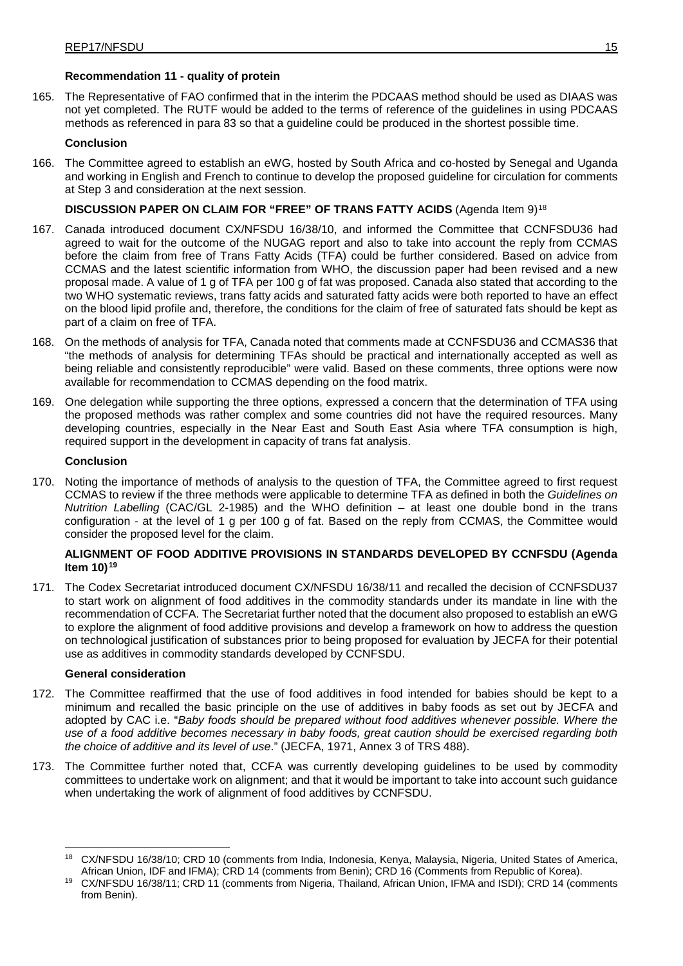## **Recommendation 11 - quality of protein**

165. The Representative of FAO confirmed that in the interim the PDCAAS method should be used as DIAAS was not yet completed. The RUTF would be added to the terms of reference of the guidelines in using PDCAAS methods as referenced in para 83 so that a guideline could be produced in the shortest possible time.

## **Conclusion**

166. The Committee agreed to establish an eWG, hosted by South Africa and co-hosted by Senegal and Uganda and working in English and French to continue to develop the proposed guideline for circulation for comments at Step 3 and consideration at the next session.

## **DISCUSSION PAPER ON CLAIM FOR "FREE" OF TRANS FATTY ACIDS** (Agenda Item 9)[18](#page-19-0)

- 167. Canada introduced document CX/NFSDU 16/38/10, and informed the Committee that CCNFSDU36 had agreed to wait for the outcome of the NUGAG report and also to take into account the reply from CCMAS before the claim from free of Trans Fatty Acids (TFA) could be further considered. Based on advice from CCMAS and the latest scientific information from WHO, the discussion paper had been revised and a new proposal made. A value of 1 g of TFA per 100 g of fat was proposed. Canada also stated that according to the two WHO systematic reviews, trans fatty acids and saturated fatty acids were both reported to have an effect on the blood lipid profile and, therefore, the conditions for the claim of free of saturated fats should be kept as part of a claim on free of TFA.
- 168. On the methods of analysis for TFA, Canada noted that comments made at CCNFSDU36 and CCMAS36 that "the methods of analysis for determining TFAs should be practical and internationally accepted as well as being reliable and consistently reproducible" were valid. Based on these comments, three options were now available for recommendation to CCMAS depending on the food matrix.
- 169. One delegation while supporting the three options, expressed a concern that the determination of TFA using the proposed methods was rather complex and some countries did not have the required resources. Many developing countries, especially in the Near East and South East Asia where TFA consumption is high, required support in the development in capacity of trans fat analysis.

## **Conclusion**

170. Noting the importance of methods of analysis to the question of TFA, the Committee agreed to first request CCMAS to review if the three methods were applicable to determine TFA as defined in both the *Guidelines on Nutrition Labelling* (CAC/GL 2-1985) and the WHO definition – at least one double bond in the trans configuration - at the level of 1 g per 100 g of fat. Based on the reply from CCMAS, the Committee would consider the proposed level for the claim.

## **ALIGNMENT OF FOOD ADDITIVE PROVISIONS IN STANDARDS DEVELOPED BY CCNFSDU (Agenda Item 10)[19](#page-19-1)**

171. The Codex Secretariat introduced document CX/NFSDU 16/38/11 and recalled the decision of CCNFSDU37 to start work on alignment of food additives in the commodity standards under its mandate in line with the recommendation of CCFA. The Secretariat further noted that the document also proposed to establish an eWG to explore the alignment of food additive provisions and develop a framework on how to address the question on technological justification of substances prior to being proposed for evaluation by JECFA for their potential use as additives in commodity standards developed by CCNFSDU.

## **General consideration**

- 172. The Committee reaffirmed that the use of food additives in food intended for babies should be kept to a minimum and recalled the basic principle on the use of additives in baby foods as set out by JECFA and adopted by CAC i.e. "*Baby foods should be prepared without food additives whenever possible. Where the use of a food additive becomes necessary in baby foods, great caution should be exercised regarding both the choice of additive and its level of use*." (JECFA, 1971, Annex 3 of TRS 488).
- 173. The Committee further noted that, CCFA was currently developing guidelines to be used by commodity committees to undertake work on alignment; and that it would be important to take into account such guidance when undertaking the work of alignment of food additives by CCNFSDU.

<span id="page-19-0"></span><sup>&</sup>lt;sup>18</sup> CX/NFSDU 16/38/10; CRD 10 (comments from India, Indonesia, Kenya, Malaysia, Nigeria, United States of America, African Union, IDF and IFMA); CRD 14 (comments from Benin); CRD 16 (Comments from Republic of Korea).

<span id="page-19-1"></span><sup>&</sup>lt;sup>19</sup> CX/NFSDU 16/38/11; CRD 11 (comments from Nigeria, Thailand, African Union, IFMA and ISDI); CRD 14 (comments from Benin).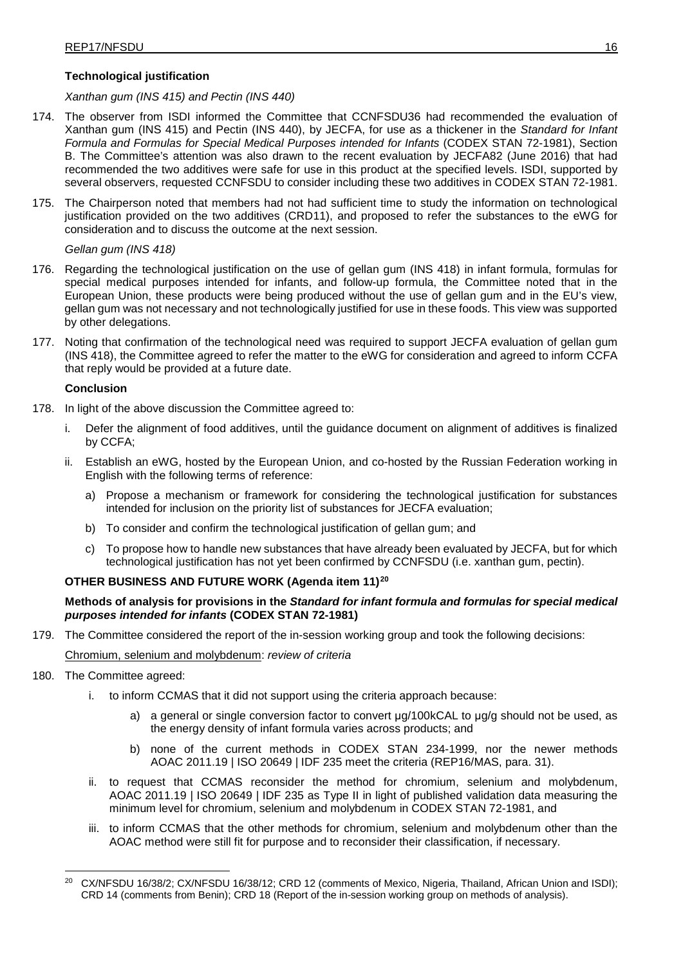## **Technological justification**

*Xanthan gum (INS 415) and Pectin (INS 440)*

- 174. The observer from ISDI informed the Committee that CCNFSDU36 had recommended the evaluation of Xanthan gum (INS 415) and Pectin (INS 440), by JECFA, for use as a thickener in the *Standard for Infant Formula and Formulas for Special Medical Purposes intended for Infants* (CODEX STAN 72-1981), Section B. The Committee's attention was also drawn to the recent evaluation by JECFA82 (June 2016) that had recommended the two additives were safe for use in this product at the specified levels. ISDI, supported by several observers, requested CCNFSDU to consider including these two additives in CODEX STAN 72-1981.
- 175. The Chairperson noted that members had not had sufficient time to study the information on technological justification provided on the two additives (CRD11), and proposed to refer the substances to the eWG for consideration and to discuss the outcome at the next session.

*Gellan gum (INS 418)*

- 176. Regarding the technological justification on the use of gellan gum (INS 418) in infant formula, formulas for special medical purposes intended for infants, and follow-up formula, the Committee noted that in the European Union, these products were being produced without the use of gellan gum and in the EU's view, gellan gum was not necessary and not technologically justified for use in these foods. This view was supported by other delegations.
- 177. Noting that confirmation of the technological need was required to support JECFA evaluation of gellan gum (INS 418), the Committee agreed to refer the matter to the eWG for consideration and agreed to inform CCFA that reply would be provided at a future date.

## **Conclusion**

- 178. In light of the above discussion the Committee agreed to:
	- Defer the alignment of food additives, until the guidance document on alignment of additives is finalized by CCFA;
	- ii. Establish an eWG, hosted by the European Union, and co-hosted by the Russian Federation working in English with the following terms of reference:
		- a) Propose a mechanism or framework for considering the technological justification for substances intended for inclusion on the priority list of substances for JECFA evaluation;
		- b) To consider and confirm the technological justification of gellan gum; and
		- c) To propose how to handle new substances that have already been evaluated by JECFA, but for which technological justification has not yet been confirmed by CCNFSDU (i.e. xanthan gum, pectin).

## **OTHER BUSINESS AND FUTURE WORK (Agenda item 11)[20](#page-20-0)**

**Methods of analysis for provisions in the** *Standard for infant formula and formulas for special medical purposes intended for infants* **(CODEX STAN 72-1981)**

179. The Committee considered the report of the in-session working group and took the following decisions:

#### Chromium, selenium and molybdenum: *review of criteria*

- 180. The Committee agreed:
	- i. to inform CCMAS that it did not support using the criteria approach because:
		- a) a general or single conversion factor to convert μg/100kCAL to μg/g should not be used, as the energy density of infant formula varies across products; and
		- b) none of the current methods in CODEX STAN 234-1999, nor the newer methods AOAC 2011.19 | ISO 20649 | IDF 235 meet the criteria (REP16/MAS, para. 31).
	- ii. to request that CCMAS reconsider the method for chromium, selenium and molybdenum, AOAC 2011.19 | ISO 20649 | IDF 235 as Type II in light of published validation data measuring the minimum level for chromium, selenium and molybdenum in CODEX STAN 72-1981, and
	- iii. to inform CCMAS that the other methods for chromium, selenium and molybdenum other than the AOAC method were still fit for purpose and to reconsider their classification, if necessary.

<span id="page-20-0"></span><sup>&</sup>lt;sup>20</sup> CX/NFSDU 16/38/2; CX/NFSDU 16/38/12; CRD 12 (comments of Mexico, Nigeria, Thailand, African Union and ISDI); CRD 14 (comments from Benin); CRD 18 (Report of the in-session working group on methods of analysis).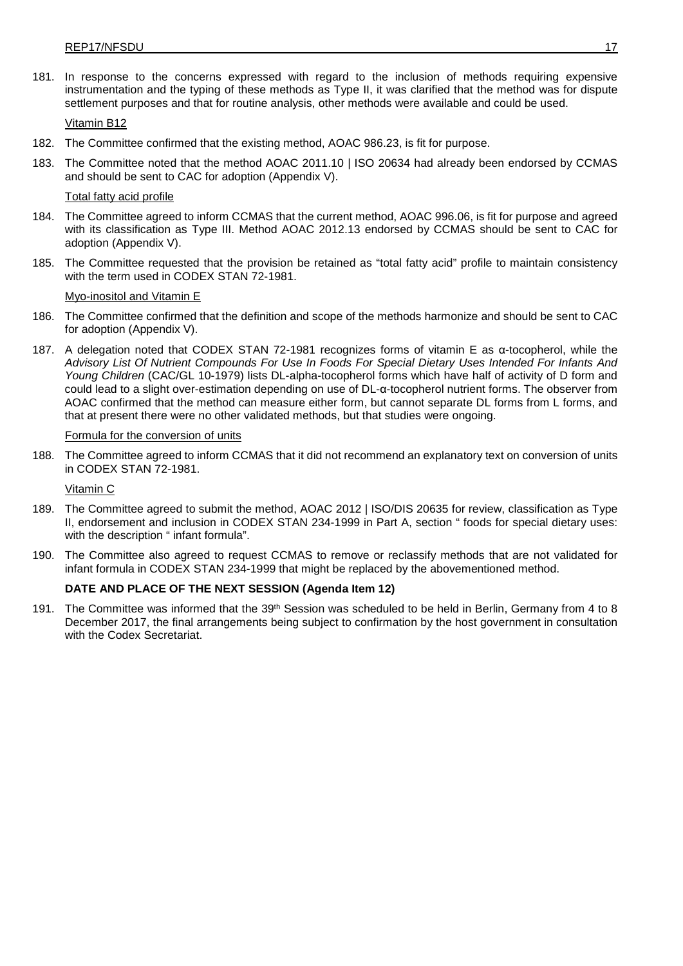181. In response to the concerns expressed with regard to the inclusion of methods requiring expensive instrumentation and the typing of these methods as Type II, it was clarified that the method was for dispute settlement purposes and that for routine analysis, other methods were available and could be used.

Vitamin B12

- 182. The Committee confirmed that the existing method, AOAC 986.23, is fit for purpose.
- 183. The Committee noted that the method AOAC 2011.10 | ISO 20634 had already been endorsed by CCMAS and should be sent to CAC for adoption (Appendix V).

#### Total fatty acid profile

- 184. The Committee agreed to inform CCMAS that the current method, AOAC 996.06, is fit for purpose and agreed with its classification as Type III. Method AOAC 2012.13 endorsed by CCMAS should be sent to CAC for adoption (Appendix V).
- 185. The Committee requested that the provision be retained as "total fatty acid" profile to maintain consistency with the term used in CODEX STAN 72-1981.

#### Myo-inositol and Vitamin E

- 186. The Committee confirmed that the definition and scope of the methods harmonize and should be sent to CAC for adoption (Appendix V).
- 187. A delegation noted that CODEX STAN 72-1981 recognizes forms of vitamin E as α-tocopherol, while the *Advisory List Of Nutrient Compounds For Use In Foods For Special Dietary Uses Intended For Infants And Young Children* (CAC/GL 10-1979) lists DL-alpha-tocopherol forms which have half of activity of D form and could lead to a slight over-estimation depending on use of DL-α-tocopherol nutrient forms. The observer from AOAC confirmed that the method can measure either form, but cannot separate DL forms from L forms, and that at present there were no other validated methods, but that studies were ongoing.

#### Formula for the conversion of units

188. The Committee agreed to inform CCMAS that it did not recommend an explanatory text on conversion of units in CODEX STAN 72-1981.

#### Vitamin C

- 189. The Committee agreed to submit the method, AOAC 2012 | ISO/DIS 20635 for review, classification as Type II, endorsement and inclusion in CODEX STAN 234-1999 in Part A, section " foods for special dietary uses: with the description " infant formula".
- 190. The Committee also agreed to request CCMAS to remove or reclassify methods that are not validated for infant formula in CODEX STAN 234-1999 that might be replaced by the abovementioned method.

#### **DATE AND PLACE OF THE NEXT SESSION (Agenda Item 12)**

191. The Committee was informed that the 39<sup>th</sup> Session was scheduled to be held in Berlin, Germany from 4 to 8 December 2017, the final arrangements being subject to confirmation by the host government in consultation with the Codex Secretariat.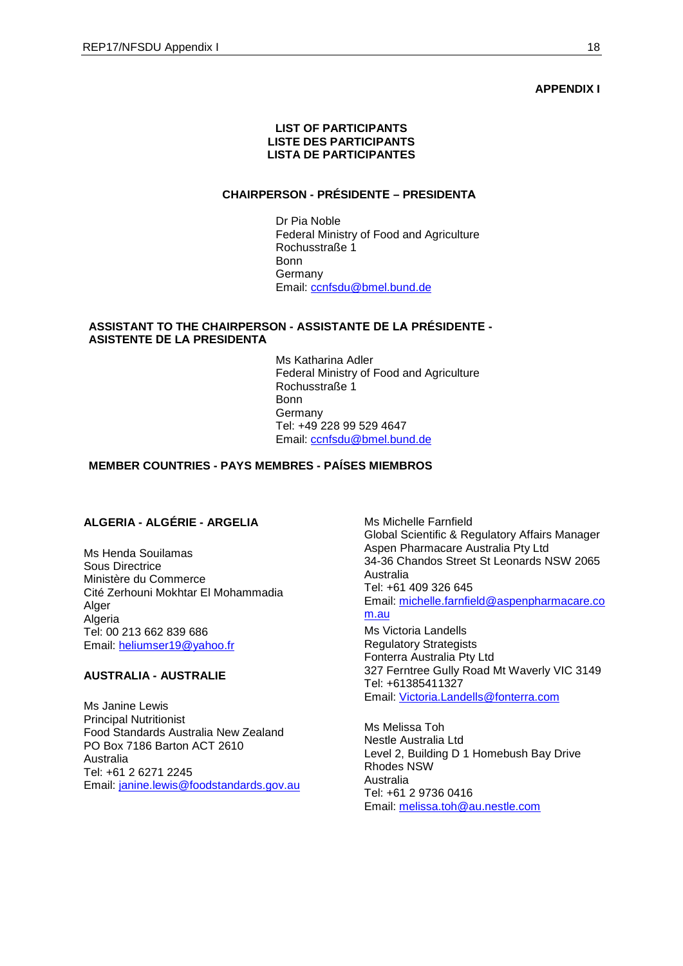#### **APPENDIX I**

### **LIST OF PARTICIPANTS LISTE DES PARTICIPANTS LISTA DE PARTICIPANTES**

## **CHAIRPERSON - PRÉSIDENTE – PRESIDENTA**

Dr Pia Noble Federal Ministry of Food and Agriculture Rochusstraße 1 Bonn Germany Email: [ccnfsdu@bmel.bund.de](mailto:ccnfsdu@bmel.bund.de)

## **ASSISTANT TO THE CHAIRPERSON - ASSISTANTE DE LA PRÉSIDENTE - ASISTENTE DE LA PRESIDENTA**

Ms Katharina Adler Federal Ministry of Food and Agriculture Rochusstraße 1 Bonn **Germany** Tel: +49 228 99 529 4647 Email: [ccnfsdu@bmel.bund.de](mailto:ccnfsdu@bmel.bund.de)

# **MEMBER COUNTRIES - PAYS MEMBRES - PAÍSES MIEMBROS**

## **ALGERIA - ALGÉRIE - ARGELIA**

Ms Henda Souilamas Sous Directrice Ministère du Commerce Cité Zerhouni Mokhtar El Mohammadia Alger Algeria Tel: 00 213 662 839 686 Email: [heliumser19@yahoo.fr](mailto:heliumser19@yahoo.fr)

## **AUSTRALIA - AUSTRALIE**

Ms Janine Lewis Principal Nutritionist Food Standards Australia New Zealand PO Box 7186 Barton ACT 2610 Australia Tel: +61 2 6271 2245 Email: [janine.lewis@foodstandards.gov.au](mailto:janine.lewis@foodstandards.gov.au) Ms Michelle Farnfield Global Scientific & Regulatory Affairs Manager Aspen Pharmacare Australia Pty Ltd 34-36 Chandos Street St Leonards NSW 2065 Australia Tel: +61 409 326 645 Email: [michelle.farnfield@aspenpharmacare.co](mailto:michelle.farnfield@aspenpharmacare.com.au) [m.au](mailto:michelle.farnfield@aspenpharmacare.com.au)

Ms Victoria Landells Regulatory Strategists Fonterra Australia Pty Ltd 327 Ferntree Gully Road Mt Waverly VIC 3149 Tel: +61385411327 Email: [Victoria.Landells@fonterra.com](mailto:Victoria.Landells@fonterra.com)

Ms Melissa Toh Nestle Australia Ltd Level 2, Building D 1 Homebush Bay Drive Rhodes NSW Australia Tel: +61 2 9736 0416 Email: [melissa.toh@au.nestle.com](mailto:melissa.toh@au.nestle.com)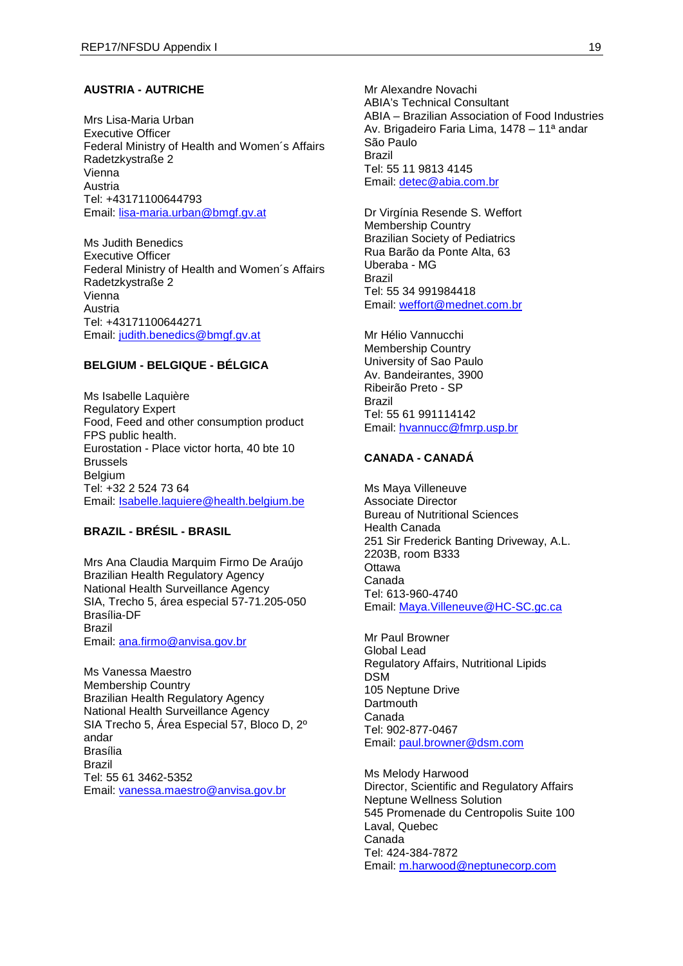## **AUSTRIA - AUTRICHE**

Mrs Lisa-Maria Urban Executive Officer Federal Ministry of Health and Women´s Affairs Radetzkystraße 2 Vienna Austria Tel: +43171100644793 Email: [lisa-maria.urban@bmgf.gv.at](mailto:lisa-maria.urban@bmgf.gv.at)

Ms Judith Benedics Executive Officer Federal Ministry of Health and Women´s Affairs Radetzkystraße 2 Vienna Austria Tel: +43171100644271 Email: [judith.benedics@bmgf.gv.at](mailto:judith.benedics@bmgf.gv.at)

## **BELGIUM - BELGIQUE - BÉLGICA**

Ms Isabelle Laquière Regulatory Expert Food, Feed and other consumption product FPS public health. Eurostation - Place victor horta, 40 bte 10 Brussels Belgium Tel: +32 2 524 73 64 Email: [Isabelle.laquiere@health.belgium.be](mailto:Isabelle.laquiere@health.belgium.be)

#### **BRAZIL - BRÉSIL - BRASIL**

Mrs Ana Claudia Marquim Firmo De Araújo Brazilian Health Regulatory Agency National Health Surveillance Agency SIA, Trecho 5, área especial 57-71.205-050 Brasília-DF Brazil Email: [ana.firmo@anvisa.gov.br](mailto:ana.firmo@anvisa.gov.br)

Ms Vanessa Maestro Membership Country Brazilian Health Regulatory Agency National Health Surveillance Agency SIA Trecho 5, Área Especial 57, Bloco D, 2º andar Brasília Brazil Tel: 55 61 3462-5352 Email: [vanessa.maestro@anvisa.gov.br](mailto:vanessa.maestro@anvisa.gov.br)

Mr Alexandre Novachi ABIA's Technical Consultant ABIA – Brazilian Association of Food Industries Av. Brigadeiro Faria Lima, 1478 – 11ª andar São Paulo Brazil Tel: 55 11 9813 4145 Email: [detec@abia.com.br](mailto:detec@abia.com.br)

Dr Virgínia Resende S. Weffort Membership Country Brazilian Society of Pediatrics Rua Barão da Ponte Alta, 63 Uberaba - MG Brazil Tel: 55 34 991984418 Email: [weffort@mednet.com.br](mailto:weffort@mednet.com.br)

Mr Hélio Vannucchi Membership Country University of Sao Paulo Av. Bandeirantes, 3900 Ribeirão Preto - SP Brazil Tel: 55 61 991114142 Email: [hvannucc@fmrp.usp.br](mailto:hvannucc@fmrp.usp.br)

### **CANADA - CANADÁ**

Ms Maya Villeneuve Associate Director Bureau of Nutritional Sciences Health Canada 251 Sir Frederick Banting Driveway, A.L. 2203B, room B333 **Ottawa** Canada Tel: 613-960-4740 Email: [Maya.Villeneuve@HC-SC.gc.ca](mailto:Maya.Villeneuve@HC-SC.gc.ca)

Mr Paul Browner Global Lead Regulatory Affairs, Nutritional Lipids DSM 105 Neptune Drive **Dartmouth** Canada Tel: 902-877-0467 Email: [paul.browner@dsm.com](mailto:paul.browner@dsm.com)

Ms Melody Harwood Director, Scientific and Regulatory Affairs Neptune Wellness Solution 545 Promenade du Centropolis Suite 100 Laval, Quebec Canada Tel: 424-384-7872 Email: [m.harwood@neptunecorp.com](mailto:m.harwood@neptunecorp.com)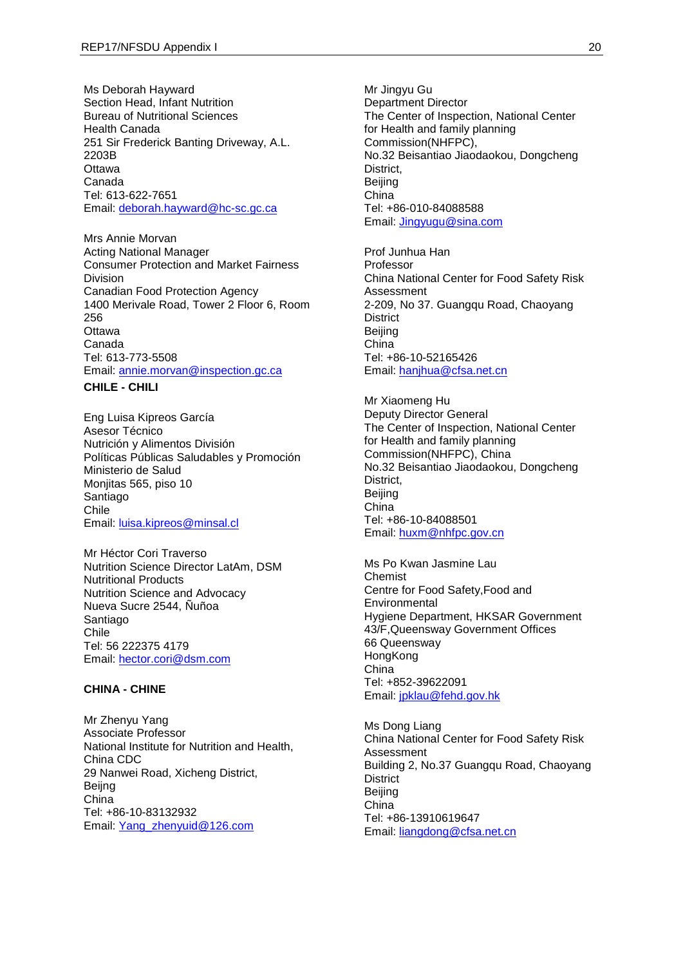Ms Deborah Hayward Section Head, Infant Nutrition Bureau of Nutritional Sciences Health Canada 251 Sir Frederick Banting Driveway, A.L. 2203B **Ottawa** Canada Tel: 613-622-7651 Email: [deborah.hayward@hc-sc.gc.ca](mailto:deborah.hayward@hc-sc.gc.ca)

Mrs Annie Morvan Acting National Manager Consumer Protection and Market Fairness Division Canadian Food Protection Agency 1400 Merivale Road, Tower 2 Floor 6, Room 256 **Ottawa** Canada Tel: 613-773-5508 Email: [annie.morvan@inspection.gc.ca](mailto:annie.morvan@inspection.gc.ca)

#### **CHILE - CHILI**

Eng Luisa Kipreos García Asesor Técnico Nutrición y Alimentos División Políticas Públicas Saludables y Promoción Ministerio de Salud Monjitas 565, piso 10 Santiago Chile Email: [luisa.kipreos@minsal.cl](mailto:luisa.kipreos@minsal.cl)

Mr Héctor Cori Traverso Nutrition Science Director LatAm, DSM Nutritional Products Nutrition Science and Advocacy Nueva Sucre 2544, Ñuñoa Santiago Chile Tel: 56 222375 4179 Email: [hector.cori@dsm.com](mailto:hector.cori@dsm.com)

#### **CHINA - CHINE**

Mr Zhenyu Yang Associate Professor National Institute for Nutrition and Health, China CDC 29 Nanwei Road, Xicheng District, Beijng China Tel: +86-10-83132932 Email: [Yang\\_zhenyuid@126.com](mailto:Yang_zhenyuid@126.com)

Mr Jingyu Gu Department Director The Center of Inspection, National Center for Health and family planning Commission(NHFPC), No.32 Beisantiao Jiaodaokou, Dongcheng District, Beijing China Tel: +86-010-84088588 Email: [Jingyugu@sina.com](mailto:Jingyugu@sina.com)

Prof Junhua Han Professor China National Center for Food Safety Risk Assessment 2-209, No 37. Guangqu Road, Chaoyang **District** Beijing China Tel: +86-10-52165426 Email: [hanjhua@cfsa.net.cn](mailto:hanjhua@cfsa.net.cn)

Mr Xiaomeng Hu Deputy Director General The Center of Inspection, National Center for Health and family planning Commission(NHFPC), China No.32 Beisantiao Jiaodaokou, Dongcheng District, Beijing China Tel: +86-10-84088501 Email: [huxm@nhfpc.gov.cn](mailto:huxm@nhfpc.gov.cn)

Ms Po Kwan Jasmine Lau Chemist Centre for Food Safety,Food and **Environmental** Hygiene Department, HKSAR Government 43/F,Queensway Government Offices 66 Queensway **HongKong** China Tel: +852-39622091 Email: [jpklau@fehd.gov.hk](mailto:jpklau@fehd.gov.hk)

Ms Dong Liang China National Center for Food Safety Risk Assessment Building 2, No.37 Guangqu Road, Chaoyang **District** Beijing China Tel: +86-13910619647 Email: [liangdong@cfsa.net.cn](mailto:liangdong@cfsa.net.cn)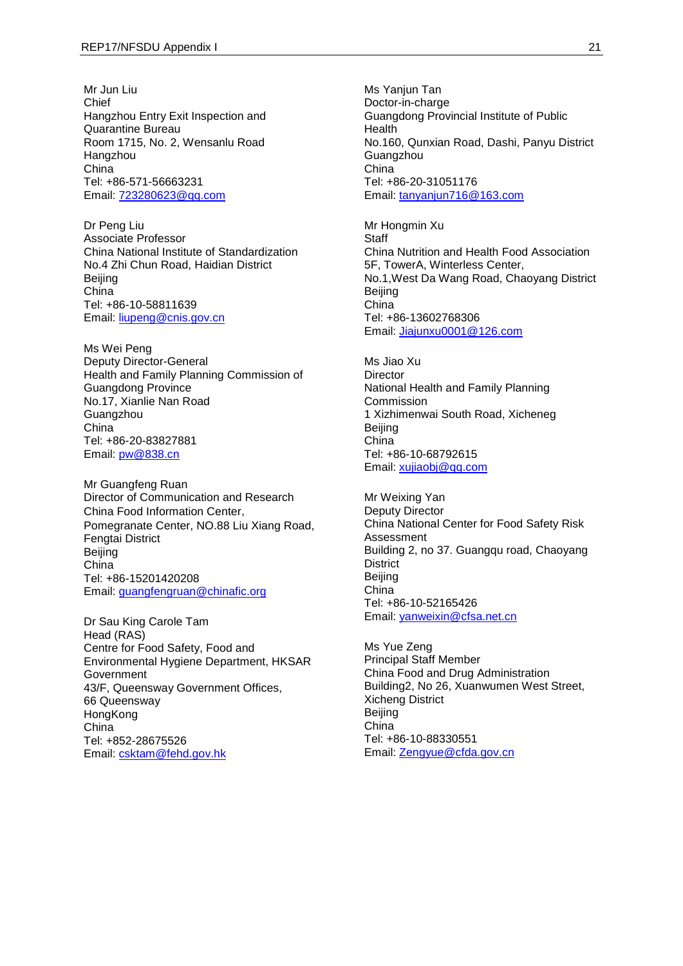Mr Jun Liu Chief Hangzhou Entry Exit Inspection and Quarantine Bureau Room 1715, No. 2, Wensanlu Road Hangzhou China Tel: +86-571-56663231 Email: [723280623@qq.com](mailto:723280623@qq.com)

Dr Peng Liu Associate Professor China National Institute of Standardization No.4 Zhi Chun Road, Haidian District **Beijing** China Tel: +86-10-58811639 Email: [liupeng@cnis.gov.cn](mailto:liupeng@cnis.gov.cn)

Ms Wei Peng Deputy Director-General Health and Family Planning Commission of Guangdong Province No.17, Xianlie Nan Road **Guangzhou** China Tel: +86-20-83827881 Email: [pw@838.cn](mailto:pw@838.cn)

Mr Guangfeng Ruan Director of Communication and Research China Food Information Center, Pomegranate Center, NO.88 Liu Xiang Road, Fengtai District **Beijing** China Tel: +86-15201420208 Email: [guangfengruan@chinafic.org](mailto:guangfengruan@chinafic.org)

Dr Sau King Carole Tam Head (RAS) Centre for Food Safety, Food and Environmental Hygiene Department, HKSAR Government 43/F, Queensway Government Offices, 66 Queensway **HongKong** China Tel: +852-28675526 Email: [csktam@fehd.gov.hk](mailto:csktam@fehd.gov.hk)

Ms Yanjun Tan Doctor-in-charge Guangdong Provincial Institute of Public Health No.160, Qunxian Road, Dashi, Panyu District **Guangzhou** China Tel: +86-20-31051176 Email: [tanyanjun716@163.com](mailto:tanyanjun716@163.com)

Mr Hongmin Xu **Staff** China Nutrition and Health Food Association 5F, TowerA, Winterless Center, No.1,West Da Wang Road, Chaoyang District Beijing China Tel: +86-13602768306 Email: [Jiajunxu0001@126.com](mailto:Jiajunxu0001@126.com)

Ms Jiao Xu Director National Health and Family Planning Commission 1 Xizhimenwai South Road, Xicheneg Beijing China Tel: +86-10-68792615 Email: [xujiaobj@qq.com](mailto:xujiaobj@qq.com)

Mr Weixing Yan Deputy Director China National Center for Food Safety Risk Assessment Building 2, no 37. Guangqu road, Chaoyang **District** Beijing China Tel: +86-10-52165426 Email: [yanweixin@cfsa.net.cn](mailto:yanweixin@cfsa.net.cn)

Ms Yue Zeng Principal Staff Member China Food and Drug Administration Building2, No 26, Xuanwumen West Street, Xicheng District Beijing China Tel: +86-10-88330551 Email: [Zengyue@cfda.gov.cn](mailto:Zengyue@cfda.gov.cn)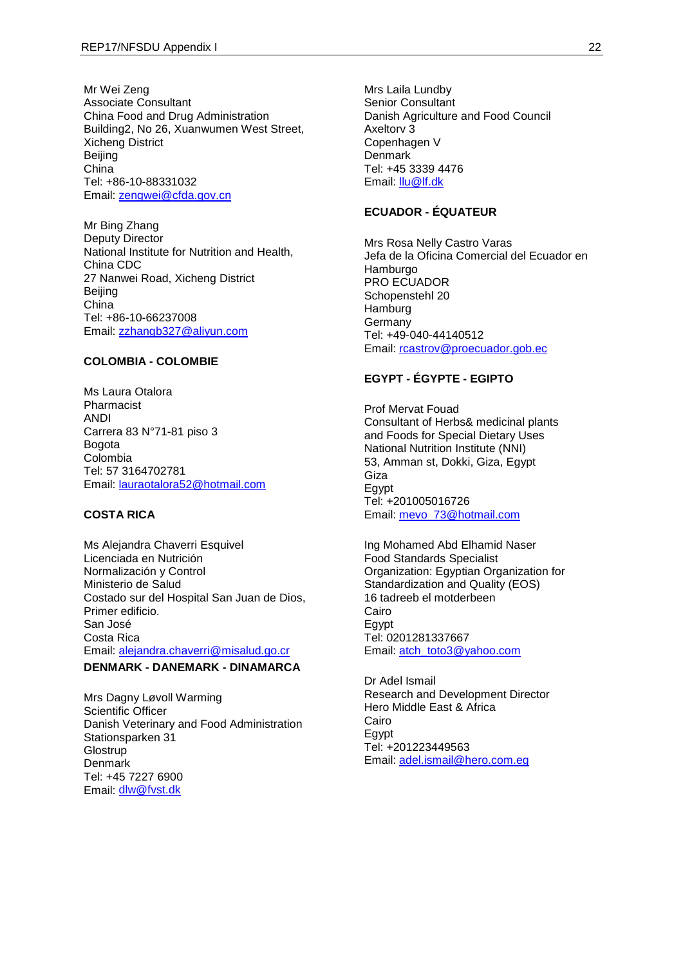Mr Wei Zeng Associate Consultant China Food and Drug Administration Building2, No 26, Xuanwumen West Street, Xicheng District Beijing China Tel: +86-10-88331032 Email: [zengwei@cfda.gov.cn](mailto:zengwei@cfda.gov.cn)

Mr Bing Zhang Deputy Director National Institute for Nutrition and Health, China CDC 27 Nanwei Road, Xicheng District Beijing China Tel: +86-10-66237008 Email: [zzhangb327@aliyun.com](mailto:zzhangb327@aliyun.com)

## **COLOMBIA - COLOMBIE**

Ms Laura Otalora Pharmacist ANDI Carrera 83 N°71-81 piso 3 Bogota Colombia Tel: 57 3164702781 Email: [lauraotalora52@hotmail.com](mailto:lauraotalora52@hotmail.com)

#### **COSTA RICA**

Ms Alejandra Chaverri Esquivel Licenciada en Nutrición Normalización y Control Ministerio de Salud Costado sur del Hospital San Juan de Dios, Primer edificio. San José Costa Rica Email: [alejandra.chaverri@misalud.go.cr](mailto:alejandra.chaverri@misalud.go.cr) **DENMARK - DANEMARK - DINAMARCA**

Mrs Dagny Løvoll Warming Scientific Officer Danish Veterinary and Food Administration Stationsparken 31 **Glostrup** Denmark Tel: +45 7227 6900 Email: [dlw@fvst.dk](mailto:dlw@fvst.dk)

Mrs Laila Lundby Senior Consultant Danish Agriculture and Food Council Axeltorv 3 Copenhagen V **Denmark** Tel: +45 3339 4476 Email: **Ilu@lf.dk** 

## **ECUADOR - ÉQUATEUR**

Mrs Rosa Nelly Castro Varas Jefa de la Oficina Comercial del Ecuador en Hamburgo PRO ECUADOR Schopenstehl 20 **Hamburg** Germany Tel: +49-040-44140512 Email: [rcastrov@proecuador.gob.ec](mailto:rcastrov@proecuador.gob.ec)

## **EGYPT - ÉGYPTE - EGIPTO**

Prof Mervat Fouad Consultant of Herbs& medicinal plants and Foods for Special Dietary Uses National Nutrition Institute (NNI) 53, Amman st, Dokki, Giza, Egypt Giza **E**gypt Tel: +201005016726 Email: [mevo\\_73@hotmail.com](mailto:mevo_73@hotmail.com)

Ing Mohamed Abd Elhamid Naser Food Standards Specialist Organization: Egyptian Organization for Standardization and Quality (EOS) 16 tadreeb el motderbeen Cairo **E**gypt Tel: 0201281337667 Email: [atch\\_toto3@yahoo.com](mailto:atch_toto3@yahoo.com)

Dr Adel Ismail Research and Development Director Hero Middle East & Africa Cairo Egypt Tel: +201223449563 Email: [adel.ismail@hero.com.eg](mailto:adel.ismail@hero.com.eg)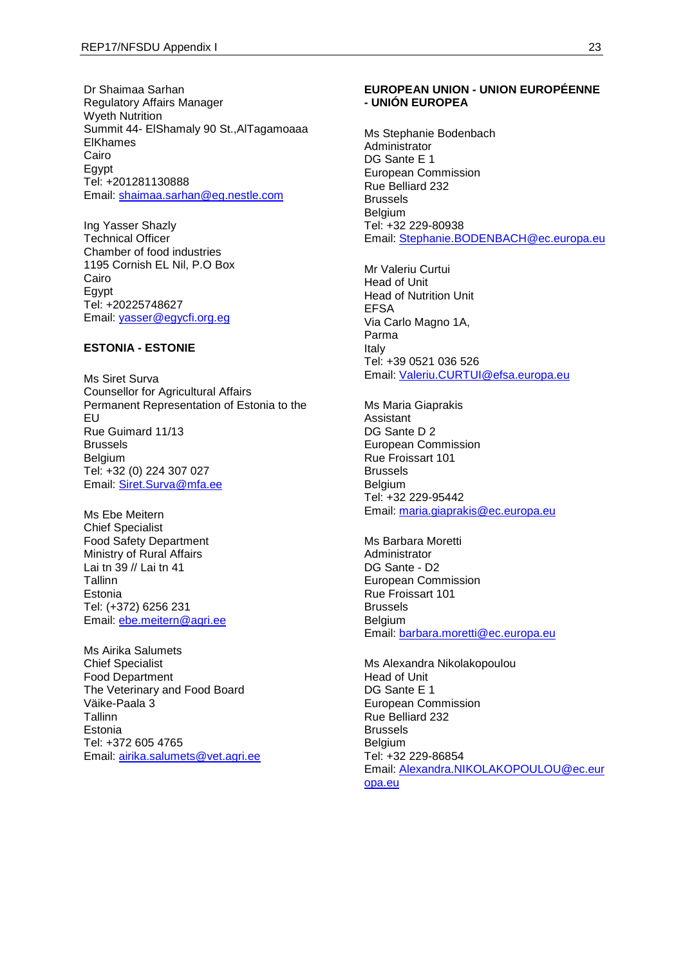Dr Shaimaa Sarhan Regulatory Affairs Manager Wyeth Nutrition Summit 44- ElShamaly 90 St.,AlTagamoaaa ElKhames Cairo Egypt Tel: +201281130888 Email: [shaimaa.sarhan@eg.nestle.com](mailto:shaimaa.sarhan@eg.nestle.com)

Ing Yasser Shazly Technical Officer Chamber of food industries 1195 Cornish EL Nil, P.O Box Cairo Egypt Tel: +20225748627 Email: [yasser@egycfi.org.eg](mailto:yasser@egycfi.org.eg)

## **ESTONIA - ESTONIE**

Ms Siret Surva Counsellor for Agricultural Affairs Permanent Representation of Estonia to the EU Rue Guimard 11/13 Brussels Belgium Tel: +32 (0) 224 307 027 Email: [Siret.Surva@mfa.ee](mailto:Siret.Surva@mfa.ee)

Ms Ebe Meitern Chief Specialist Food Safety Department Ministry of Rural Affairs Lai tn 39 // Lai tn 41 Tallinn Estonia Tel: (+372) 6256 231 Email: [ebe.meitern@agri.ee](mailto:ebe.meitern@agri.ee)

Ms Airika Salumets Chief Specialist Food Department The Veterinary and Food Board Väike-Paala 3 Tallinn Estonia Tel: +372 605 4765 Email: [airika.salumets@vet.agri.ee](mailto:airika.salumets@vet.agri.ee)

#### **EUROPEAN UNION - UNION EUROPÉENNE - UNIÓN EUROPEA**

Ms Stephanie Bodenbach **Administrator** DG Sante E 1 European Commission Rue Belliard 232 Brussels Belgium Tel: +32 229-80938 Email: [Stephanie.BODENBACH@ec.europa.eu](mailto:Stephanie.BODENBACH@ec.europa.eu)

Mr Valeriu Curtui Head of Unit Head of Nutrition Unit EFSA Via Carlo Magno 1A, Parma Italy Tel: +39 0521 036 526 Email: [Valeriu.CURTUI@efsa.europa.eu](mailto:Valeriu.CURTUI@efsa.europa.eu)

Ms Maria Giaprakis Assistant DG Sante D 2 European Commission Rue Froissart 101 Brussels Belgium Tel: +32 229-95442 Email: [maria.giaprakis@ec.europa.eu](mailto:maria.giaprakis@ec.europa.eu)

Ms Barbara Moretti Administrator DG Sante - D2 European Commission Rue Froissart 101 Brussels Belgium Email: [barbara.moretti@ec.europa.eu](mailto:barbara.moretti@ec.europa.eu)

Ms Alexandra Nikolakopoulou Head of Unit DG Sante E 1 European Commission Rue Belliard 232 Brussels **Belgium** Tel: +32 229-86854 Email: [Alexandra.NIKOLAKOPOULOU@ec.eur](mailto:Alexandra.NIKOLAKOPOULOU@ec.europa.eu) [opa.eu](mailto:Alexandra.NIKOLAKOPOULOU@ec.europa.eu)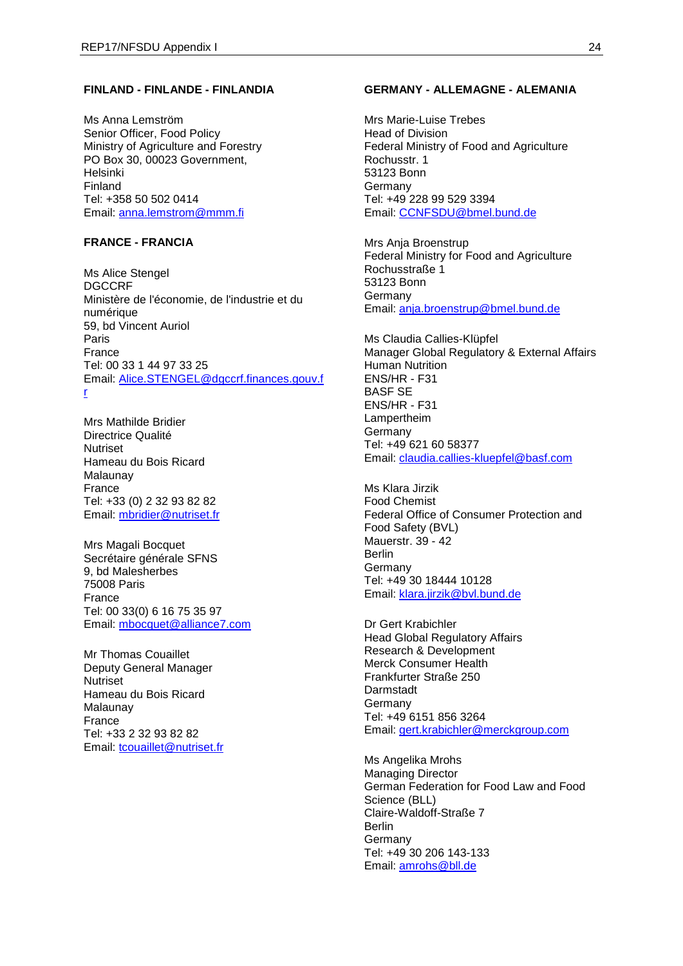## **FINLAND - FINLANDE - FINLANDIA**

Ms Anna Lemström Senior Officer, Food Policy Ministry of Agriculture and Forestry PO Box 30, 00023 Government, Helsinki Finland Tel: +358 50 502 0414 Email: [anna.lemstrom@mmm.fi](mailto:anna.lemstrom@mmm.fi)

## **FRANCE - FRANCIA**

Ms Alice Stengel DGCCRF Ministère de l'économie, de l'industrie et du numérique 59, bd Vincent Auriol Paris France Tel: 00 33 1 44 97 33 25 Email: [Alice.STENGEL@dgccrf.finances.gouv.f](mailto:Alice.STENGEL@dgccrf.finances.gouv.fr) [r](mailto:Alice.STENGEL@dgccrf.finances.gouv.fr)

Mrs Mathilde Bridier Directrice Qualité Nutriset Hameau du Bois Ricard Malaunay France Tel: +33 (0) 2 32 93 82 82 Email: [mbridier@nutriset.fr](mailto:mbridier@nutriset.fr)

Mrs Magali Bocquet Secrétaire générale SFNS 9, bd Malesherbes 75008 Paris France Tel: 00 33(0) 6 16 75 35 97 Email: [mbocquet@alliance7.com](mailto:mbocquet@alliance7.com)

Mr Thomas Couaillet Deputy General Manager Nutriset Hameau du Bois Ricard Malaunay France Tel: +33 2 32 93 82 82 Email: [tcouaillet@nutriset.fr](mailto:tcouaillet@nutriset.fr)

#### **GERMANY - ALLEMAGNE - ALEMANIA**

Mrs Marie-Luise Trebes Head of Division Federal Ministry of Food and Agriculture Rochusstr. 1 53123 Bonn Germany Tel: +49 228 99 529 3394 Email: [CCNFSDU@bmel.bund.de](mailto:CCNFSDU@bmel.bund.de)

Mrs Anja Broenstrup Federal Ministry for Food and Agriculture Rochusstraße 1 53123 Bonn Germany Email: [anja.broenstrup@bmel.bund.de](mailto:anja.broenstrup@bmel.bund.de)

Ms Claudia Callies-Klüpfel Manager Global Regulatory & External Affairs Human Nutrition ENS/HR - F31 BASF SE ENS/HR - F31 Lampertheim **Germany** Tel: +49 621 60 58377 Email: [claudia.callies-kluepfel@basf.com](mailto:claudia.callies-kluepfel@basf.com)

Ms Klara Jirzik Food Chemist Federal Office of Consumer Protection and Food Safety (BVL) Mauerstr. 39 - 42 Berlin Germany Tel: +49 30 18444 10128 Email: [klara.jirzik@bvl.bund.de](mailto:klara.jirzik@bvl.bund.de)

Dr Gert Krabichler Head Global Regulatory Affairs Research & Development Merck Consumer Health Frankfurter Straße 250 Darmstadt **Germany** Tel: +49 6151 856 3264 Email: [gert.krabichler@merckgroup.com](mailto:gert.krabichler@merckgroup.com)

Ms Angelika Mrohs Managing Director German Federation for Food Law and Food Science (BLL) Claire-Waldoff-Straße 7 Berlin Germany Tel: +49 30 206 143-133 Email: [amrohs@bll.de](mailto:amrohs@bll.de)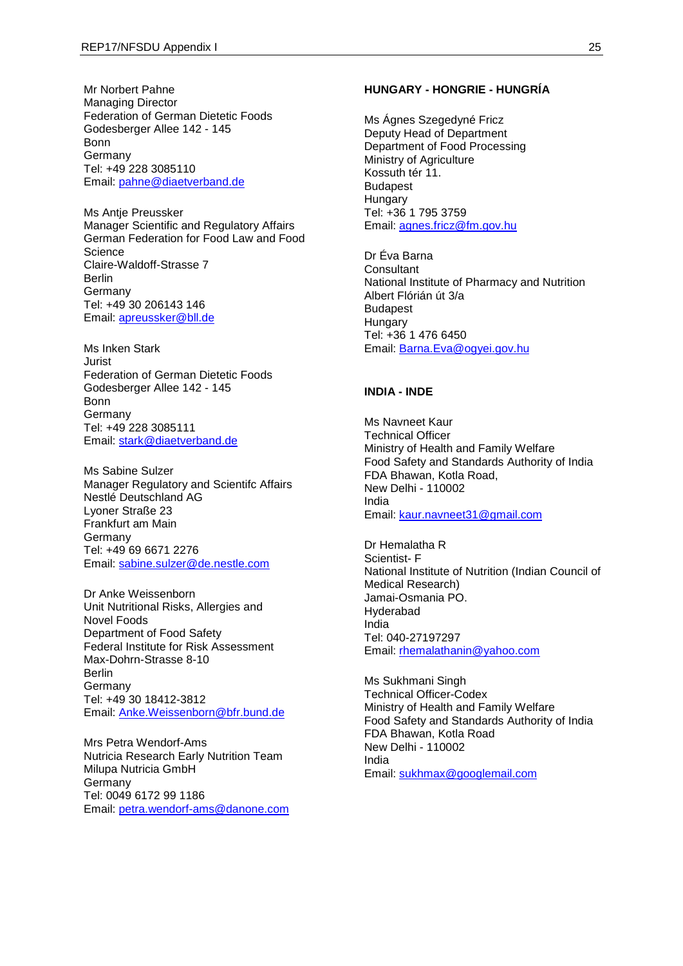Mr Norbert Pahne Managing Director Federation of German Dietetic Foods Godesberger Allee 142 - 145 Bonn Germany Tel: +49 228 3085110 Email: [pahne@diaetverband.de](mailto:pahne@diaetverband.de)

Ms Antje Preussker Manager Scientific and Regulatory Affairs German Federation for Food Law and Food **Science** Claire-Waldoff-Strasse 7 Berlin Germany Tel: +49 30 206143 146 Email: [apreussker@bll.de](mailto:apreussker@bll.de)

Ms Inken Stark Jurist Federation of German Dietetic Foods Godesberger Allee 142 - 145 Bonn **Germany** Tel: +49 228 3085111 Email: [stark@diaetverband.de](mailto:stark@diaetverband.de)

Ms Sabine Sulzer Manager Regulatory and Scientifc Affairs Nestlé Deutschland AG Lyoner Straße 23 Frankfurt am Main Germany Tel: +49 69 6671 2276 Email: [sabine.sulzer@de.nestle.com](mailto:sabine.sulzer@de.nestle.com)

Dr Anke Weissenborn Unit Nutritional Risks, Allergies and Novel Foods Department of Food Safety Federal Institute for Risk Assessment Max-Dohrn-Strasse 8-10 Berlin Germany Tel: +49 30 18412-3812 Email: [Anke.Weissenborn@bfr.bund.de](mailto:Anke.Weissenborn@bfr.bund.de)

Mrs Petra Wendorf-Ams Nutricia Research Early Nutrition Team Milupa Nutricia GmbH Germany Tel: 0049 6172 99 1186 Email: [petra.wendorf-ams@danone.com](mailto:petra.wendorf-ams@danone.com)

### **HUNGARY - HONGRIE - HUNGRÍA**

Ms Ágnes Szegedyné Fricz Deputy Head of Department Department of Food Processing Ministry of Agriculture Kossuth tér 11. Budapest **Hungary** Tel: +36 1 795 3759 Email: [agnes.fricz@fm.gov.hu](mailto:agnes.fricz@fm.gov.hu)

Dr Éva Barna **Consultant** National Institute of Pharmacy and Nutrition Albert Flórián út 3/a Budapest **Hungary** Tel: +36 1 476 6450 Email: [Barna.Eva@ogyei.gov.hu](mailto:Barna.Eva@ogyei.gov.hu)

## **INDIA - INDE**

Ms Navneet Kaur Technical Officer Ministry of Health and Family Welfare Food Safety and Standards Authority of India FDA Bhawan, Kotla Road, New Delhi - 110002 India Email: [kaur.navneet31@gmail.com](mailto:kaur.navneet31@gmail.com)

Dr Hemalatha R Scientist- F National Institute of Nutrition (Indian Council of Medical Research) Jamai-Osmania PO. Hyderabad India Tel: 040-27197297 Email: [rhemalathanin@yahoo.com](mailto:rhemalathanin@yahoo.com)

Ms Sukhmani Singh Technical Officer-Codex Ministry of Health and Family Welfare Food Safety and Standards Authority of India FDA Bhawan, Kotla Road New Delhi - 110002 India Email: [sukhmax@googlemail.com](mailto:sukhmax@googlemail.com)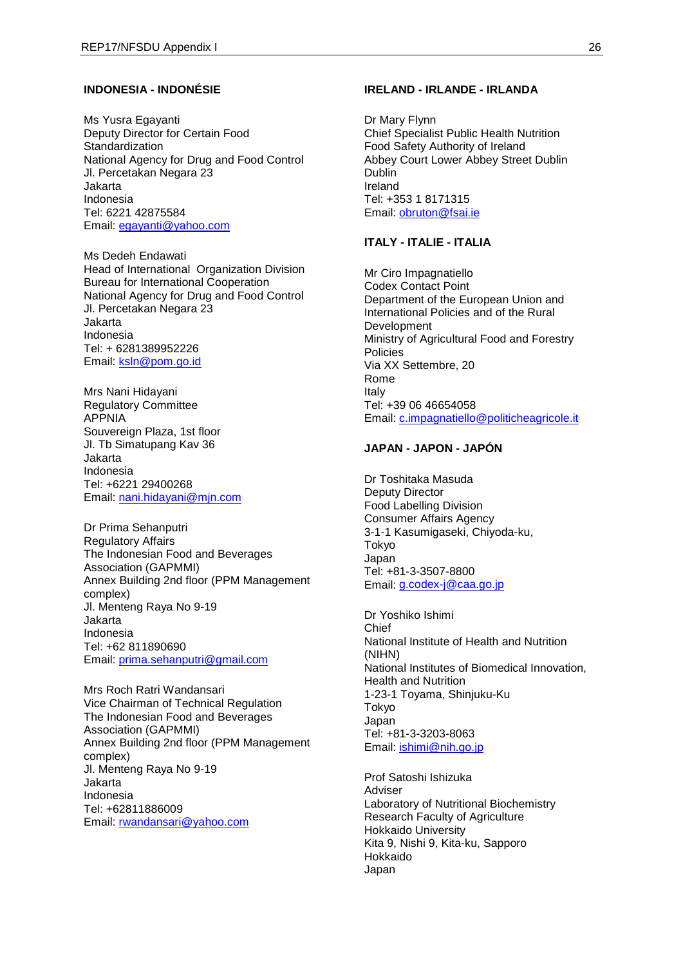#### **INDONESIA - INDONÉSIE**

Ms Yusra Egayanti Deputy Director for Certain Food **Standardization** National Agency for Drug and Food Control Jl. Percetakan Negara 23 Jakarta Indonesia Tel: 6221 42875584 Email: [egayanti@yahoo.com](mailto:egayanti@yahoo.com)

Ms Dedeh Endawati Head of International Organization Division Bureau for International Cooperation National Agency for Drug and Food Control Jl. Percetakan Negara 23 Jakarta Indonesia Tel: + 6281389952226 Email: [ksln@pom.go.id](mailto:ksln@pom.go.id)

Mrs Nani Hidayani Regulatory Committee APPNIA Souvereign Plaza, 1st floor Jl. Tb Simatupang Kav 36 Jakarta Indonesia Tel: +6221 29400268 Email: [nani.hidayani@mjn.com](mailto:nani.hidayani@mjn.com)

Dr Prima Sehanputri Regulatory Affairs The Indonesian Food and Beverages Association (GAPMMI) Annex Building 2nd floor (PPM Management complex) Jl. Menteng Raya No 9-19 Jakarta Indonesia Tel: +62 811890690 Email: [prima.sehanputri@gmail.com](mailto:prima.sehanputri@gmail.com)

Mrs Roch Ratri Wandansari Vice Chairman of Technical Regulation The Indonesian Food and Beverages Association (GAPMMI) Annex Building 2nd floor (PPM Management complex) Jl. Menteng Raya No 9-19 Jakarta Indonesia Tel: +62811886009 Email: [rwandansari@yahoo.com](mailto:rwandansari@yahoo.com)

#### **IRELAND - IRLANDE - IRLANDA**

Dr Mary Flynn Chief Specialist Public Health Nutrition Food Safety Authority of Ireland Abbey Court Lower Abbey Street Dublin Dublin Ireland Tel: +353 1 8171315 Email: [obruton@fsai.ie](mailto:obruton@fsai.ie)

#### **ITALY - ITALIE - ITALIA**

Mr Ciro Impagnatiello Codex Contact Point Department of the European Union and International Policies and of the Rural Development Ministry of Agricultural Food and Forestry Policies Via XX Settembre, 20 Rome Italy Tel: +39 06 46654058 Email: [c.impagnatiello@politicheagricole.it](mailto:c.impagnatiello@politicheagricole.it)

## **JAPAN - JAPON - JAPÓN**

Dr Toshitaka Masuda Deputy Director Food Labelling Division Consumer Affairs Agency 3-1-1 Kasumigaseki, Chiyoda-ku, Tokyo Japan Tel: +81-3-3507-8800 Email: [g.codex-j@caa.go.jp](mailto:g.codex-j@caa.go.jp)

Dr Yoshiko Ishimi Chief National Institute of Health and Nutrition (NIHN) National Institutes of Biomedical Innovation, Health and Nutrition 1-23-1 Toyama, Shinjuku-Ku Tokyo Japan Tel: +81-3-3203-8063 Email: [ishimi@nih.go.jp](mailto:ishimi@nih.go.jp)

Prof Satoshi Ishizuka Adviser Laboratory of Nutritional Biochemistry Research Faculty of Agriculture Hokkaido University Kita 9, Nishi 9, Kita-ku, Sapporo Hokkaido Japan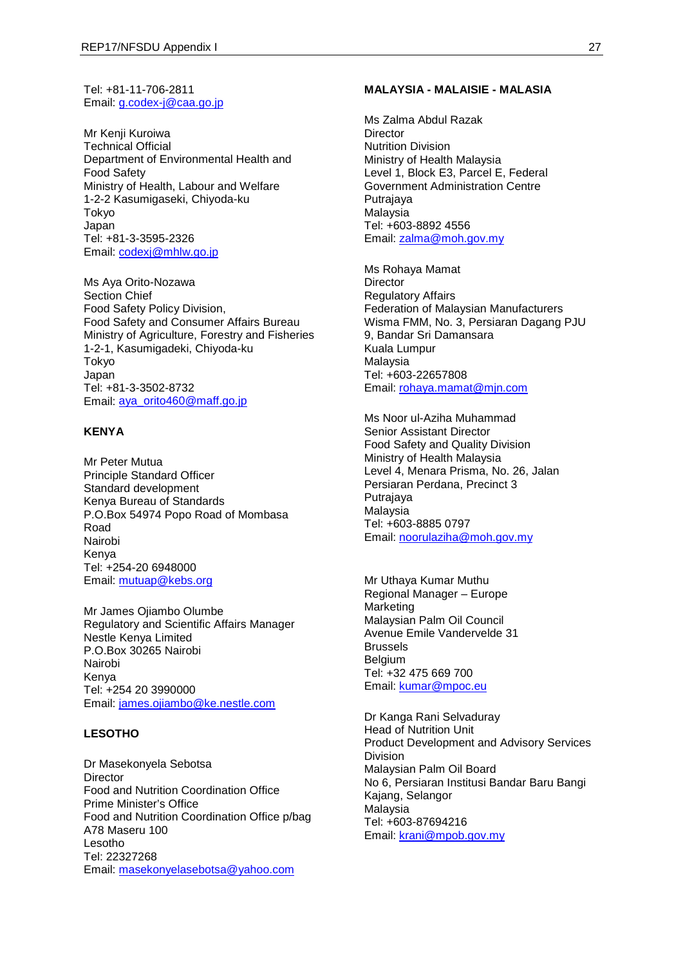Tel: +81-11-706-2811 Email: [g.codex-j@caa.go.jp](mailto:g.codex-j@caa.go.jp)

Mr Kenji Kuroiwa Technical Official Department of Environmental Health and Food Safety Ministry of Health, Labour and Welfare 1-2-2 Kasumigaseki, Chiyoda-ku Tokyo Japan Tel: +81-3-3595-2326 Email: [codexj@mhlw.go.jp](mailto:codexj@mhlw.go.jp)

Ms Aya Orito-Nozawa Section Chief Food Safety Policy Division, Food Safety and Consumer Affairs Bureau Ministry of Agriculture, Forestry and Fisheries 1-2-1, Kasumigadeki, Chiyoda-ku Tokyo Japan Tel: +81-3-3502-8732 Email: [aya\\_orito460@maff.go.jp](mailto:aya_orito460@maff.go.jp)

### **KENYA**

Mr Peter Mutua Principle Standard Officer Standard development Kenya Bureau of Standards P.O.Box 54974 Popo Road of Mombasa Road Nairobi Kenya Tel: +254-20 6948000 Email: [mutuap@kebs.org](mailto:mutuap@kebs.org)

Mr James Ojiambo Olumbe Regulatory and Scientific Affairs Manager Nestle Kenya Limited P.O.Box 30265 Nairobi Nairobi Kenya Tel: +254 20 3990000 Email: [james.ojiambo@ke.nestle.com](mailto:james.ojiambo@ke.nestle.com)

## **LESOTHO**

Dr Masekonyela Sebotsa Director Food and Nutrition Coordination Office Prime Minister's Office Food and Nutrition Coordination Office p/bag A78 Maseru 100 Lesotho Tel: 22327268 Email: [masekonyelasebotsa@yahoo.com](mailto:masekonyelasebotsa@yahoo.com)

#### **MALAYSIA - MALAISIE - MALASIA**

Ms Zalma Abdul Razak **Director** Nutrition Division Ministry of Health Malaysia Level 1, Block E3, Parcel E, Federal Government Administration Centre Putrajaya Malaysia Tel: +603-8892 4556 Email: [zalma@moh.gov.my](mailto:zalma@moh.gov.my)

Ms Rohaya Mamat **Director** Regulatory Affairs Federation of Malaysian Manufacturers Wisma FMM, No. 3, Persiaran Dagang PJU 9, Bandar Sri Damansara Kuala Lumpur Malaysia Tel: +603-22657808 Email: [rohaya.mamat@mjn.com](mailto:rohaya.mamat@mjn.com)

Ms Noor ul-Aziha Muhammad Senior Assistant Director Food Safety and Quality Division Ministry of Health Malaysia Level 4, Menara Prisma, No. 26, Jalan Persiaran Perdana, Precinct 3 Putrajaya Malaysia Tel: +603-8885 0797 Email: [noorulaziha@moh.gov.my](mailto:noorulaziha@moh.gov.my)

Mr Uthaya Kumar Muthu Regional Manager – Europe Marketing Malaysian Palm Oil Council Avenue Emile Vandervelde 31 Brussels Belgium Tel: +32 475 669 700 Email: [kumar@mpoc.eu](mailto:kumar@mpoc.eu)

Dr Kanga Rani Selvaduray Head of Nutrition Unit Product Development and Advisory Services Division Malaysian Palm Oil Board No 6, Persiaran Institusi Bandar Baru Bangi Kajang, Selangor Malaysia Tel: +603-87694216 Email: [krani@mpob.gov.my](mailto:krani@mpob.gov.my)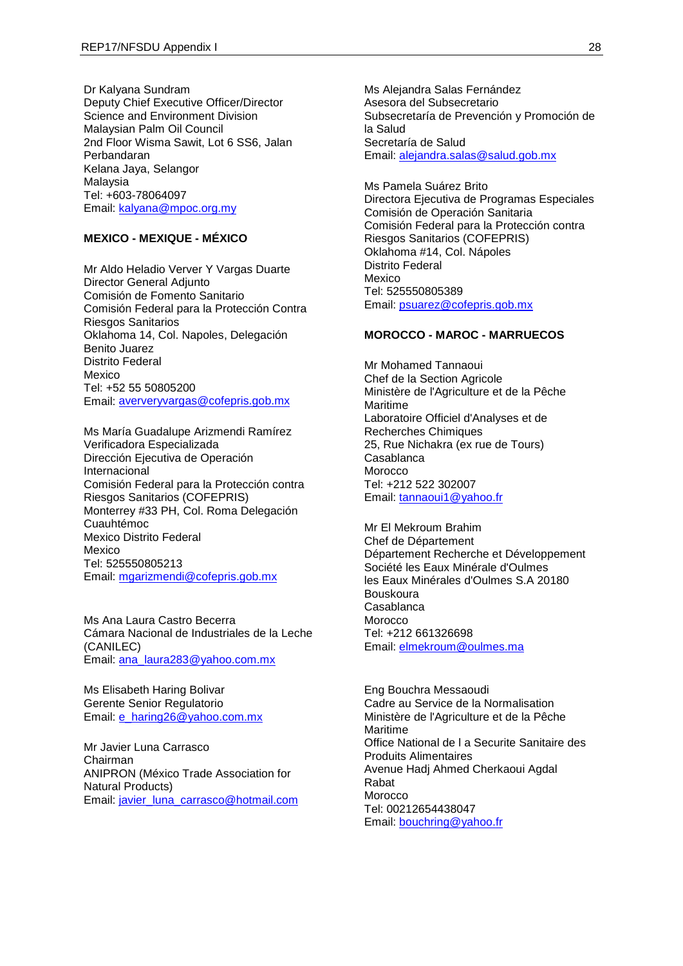Dr Kalyana Sundram Deputy Chief Executive Officer/Director Science and Environment Division Malaysian Palm Oil Council 2nd Floor Wisma Sawit, Lot 6 SS6, Jalan Perbandaran Kelana Jaya, Selangor Malaysia Tel: +603-78064097 Email: [kalyana@mpoc.org.my](mailto:kalyana@mpoc.org.my)

## **MEXICO - MEXIQUE - MÉXICO**

Mr Aldo Heladio Verver Y Vargas Duarte Director General Adjunto Comisión de Fomento Sanitario Comisión Federal para la Protección Contra Riesgos Sanitarios Oklahoma 14, Col. Napoles, Delegación Benito Juarez Distrito Federal Mexico Tel: +52 55 50805200 Email: [aververyvargas@cofepris.gob.mx](mailto:aververyvargas@cofepris.gob.mx)

Ms María Guadalupe Arizmendi Ramírez Verificadora Especializada Dirección Ejecutiva de Operación Internacional Comisión Federal para la Protección contra Riesgos Sanitarios (COFEPRIS) Monterrey #33 PH, Col. Roma Delegación Cuauhtémoc Mexico Distrito Federal Mexico Tel: 525550805213 Email: [mgarizmendi@cofepris.gob.mx](mailto:mgarizmendi@cofepris.gob.mx)

Ms Ana Laura Castro Becerra Cámara Nacional de Industriales de la Leche (CANILEC) Email: [ana\\_laura283@yahoo.com.mx](mailto:ana_laura283@yahoo.com.mx)

Ms Elisabeth Haring Bolivar Gerente Senior Regulatorio Email: [e\\_haring26@yahoo.com.mx](mailto:e_haring26@yahoo.com.mx)

Mr Javier Luna Carrasco Chairman ANIPRON (México Trade Association for Natural Products) Email: [javier\\_luna\\_carrasco@hotmail.com](mailto:javier_luna_carrasco@hotmail.com) Ms Alejandra Salas Fernández Asesora del Subsecretario Subsecretaría de Prevención y Promoción de la Salud Secretaría de Salud Email: [alejandra.salas@salud.gob.mx](mailto:alejandra.salas@salud.gob.mx)

Ms Pamela Suárez Brito Directora Ejecutiva de Programas Especiales Comisión de Operación Sanitaria Comisión Federal para la Protección contra Riesgos Sanitarios (COFEPRIS) Oklahoma #14, Col. Nápoles Distrito Federal Mexico Tel: 525550805389 Email: [psuarez@cofepris.gob.mx](mailto:psuarez@cofepris.gob.mx)

#### **MOROCCO - MAROC - MARRUECOS**

Mr Mohamed Tannaoui Chef de la Section Agricole Ministère de l'Agriculture et de la Pêche Maritime Laboratoire Officiel d'Analyses et de Recherches Chimiques 25, Rue Nichakra (ex rue de Tours) Casablanca Morocco Tel: +212 522 302007 Email: [tannaoui1@yahoo.fr](mailto:tannaoui1@yahoo.fr)

Mr El Mekroum Brahim Chef de Département Département Recherche et Développement Société les Eaux Minérale d'Oulmes les Eaux Minérales d'Oulmes S.A 20180 Bouskoura Casablanca Morocco Tel: +212 661326698 Email: [elmekroum@oulmes.ma](mailto:elmekroum@oulmes.ma)

Eng Bouchra Messaoudi Cadre au Service de la Normalisation Ministère de l'Agriculture et de la Pêche Maritime Office National de l a Securite Sanitaire des Produits Alimentaires Avenue Hadj Ahmed Cherkaoui Agdal Rabat Morocco Tel: 00212654438047 Email: [bouchring@yahoo.fr](mailto:bouchring@yahoo.fr)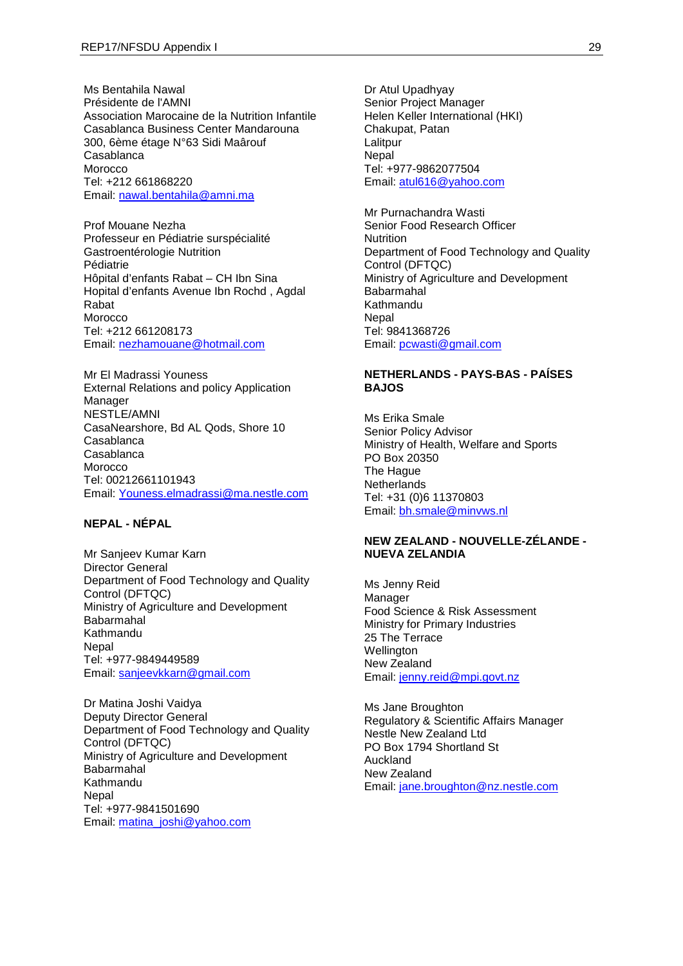Ms Bentahila Nawal Présidente de l'AMNI Association Marocaine de la Nutrition Infantile Casablanca Business Center Mandarouna 300, 6ème étage N°63 Sidi Maârouf Casablanca Morocco Tel: +212 661868220 Email: [nawal.bentahila@amni.ma](mailto:nawal.bentahila@amni.ma)

Prof Mouane Nezha Professeur en Pédiatrie surspécialité Gastroentérologie Nutrition Pédiatrie Hôpital d'enfants Rabat – CH Ibn Sina Hopital d'enfants Avenue Ibn Rochd , Agdal Rabat **Morocco** Tel: +212 661208173 Email: [nezhamouane@hotmail.com](mailto:nezhamouane@hotmail.com)

Mr El Madrassi Youness External Relations and policy Application Manager NESTLE/AMNI CasaNearshore, Bd AL Qods, Shore 10 Casablanca Casablanca Morocco Tel: 00212661101943 Email: [Youness.elmadrassi@ma.nestle.com](mailto:Youness.elmadrassi@ma.nestle.com)

## **NEPAL - NÉPAL**

Mr Sanjeev Kumar Karn Director General Department of Food Technology and Quality Control (DFTQC) Ministry of Agriculture and Development Babarmahal Kathmandu **Nepal** Tel: +977-9849449589 Email: [sanjeevkkarn@gmail.com](mailto:sanjeevkkarn@gmail.com)

Dr Matina Joshi Vaidya Deputy Director General Department of Food Technology and Quality Control (DFTQC) Ministry of Agriculture and Development Babarmahal Kathmandu **Nepal** Tel: +977-9841501690 Email: [matina\\_joshi@yahoo.com](mailto:matina_joshi@yahoo.com)

Dr Atul Upadhyay Senior Project Manager Helen Keller International (HKI) Chakupat, Patan Lalitpur **Nepal** Tel: +977-9862077504 Email: [atul616@yahoo.com](mailto:atul616@yahoo.com)

Mr Purnachandra Wasti Senior Food Research Officer **Nutrition** Department of Food Technology and Quality Control (DFTQC) Ministry of Agriculture and Development Babarmahal Kathmandu Nepal Tel: 9841368726 Email: [pcwasti@gmail.com](mailto:pcwasti@gmail.com)

## **NETHERLANDS - PAYS-BAS - PAÍSES BAJOS**

Ms Erika Smale Senior Policy Advisor Ministry of Health, Welfare and Sports PO Box 20350 The Hague **Netherlands** Tel: +31 (0)6 11370803 Email: [bh.smale@minvws.nl](mailto:bh.smale@minvws.nl)

## **NEW ZEALAND - NOUVELLE-ZÉLANDE - NUEVA ZELANDIA**

Ms Jenny Reid Manager Food Science & Risk Assessment Ministry for Primary Industries 25 The Terrace **Wellington** New Zealand Email: [jenny.reid@mpi.govt.nz](mailto:jenny.reid@mpi.govt.nz)

Ms Jane Broughton Regulatory & Scientific Affairs Manager Nestle New Zealand Ltd PO Box 1794 Shortland St Auckland New Zealand Email: [jane.broughton@nz.nestle.com](mailto:jane.broughton@nz.nestle.com)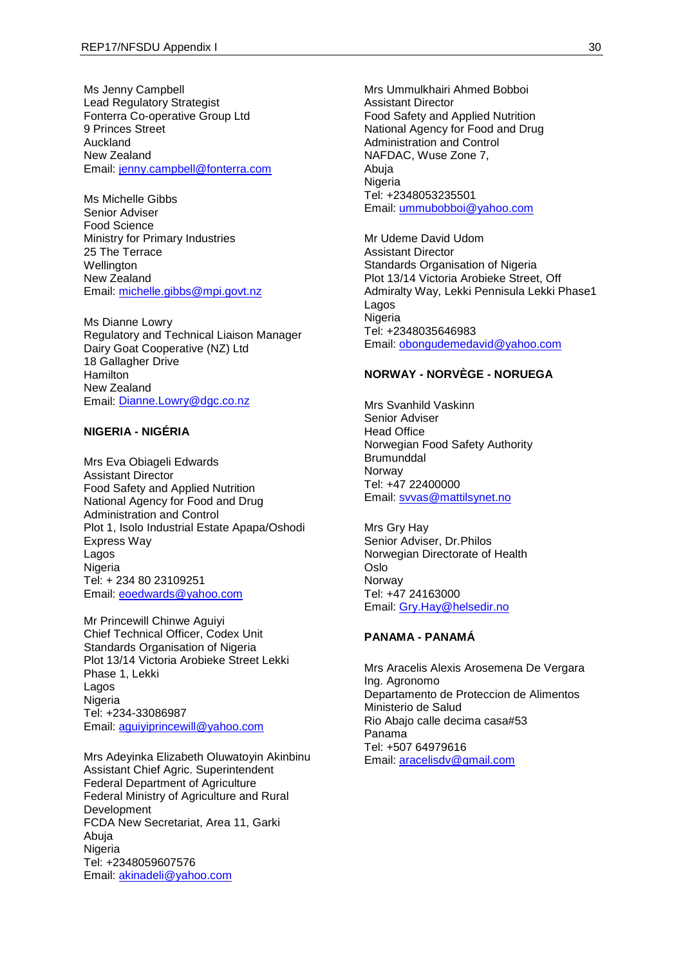Ms Jenny Campbell Lead Regulatory Strategist Fonterra Co-operative Group Ltd 9 Princes Street Auckland New Zealand Email: [jenny.campbell@fonterra.com](mailto:jenny.campbell@fonterra.com)

Ms Michelle Gibbs Senior Adviser Food Science Ministry for Primary Industries 25 The Terrace **Wellington** New Zealand Email: [michelle.gibbs@mpi.govt.nz](mailto:michelle.gibbs@mpi.govt.nz)

Ms Dianne Lowry Regulatory and Technical Liaison Manager Dairy Goat Cooperative (NZ) Ltd 18 Gallagher Drive **Hamilton** New Zealand Email: [Dianne.Lowry@dgc.co.nz](mailto:Dianne.Lowry@dgc.co.nz)

#### **NIGERIA - NIGÉRIA**

Mrs Eva Obiageli Edwards Assistant Director Food Safety and Applied Nutrition National Agency for Food and Drug Administration and Control Plot 1, Isolo Industrial Estate Apapa/Oshodi Express Way Lagos **Nigeria** Tel: + 234 80 23109251 Email: [eoedwards@yahoo.com](mailto:eoedwards@yahoo.com)

Mr Princewill Chinwe Aguiyi Chief Technical Officer, Codex Unit Standards Organisation of Nigeria Plot 13/14 Victoria Arobieke Street Lekki Phase 1, Lekki Lagos **Nigeria** Tel: +234-33086987 Email: [aguiyiprincewill@yahoo.com](mailto:aguiyiprincewill@yahoo.com)

Mrs Adeyinka Elizabeth Oluwatoyin Akinbinu Assistant Chief Agric. Superintendent Federal Department of Agriculture Federal Ministry of Agriculture and Rural Development FCDA New Secretariat, Area 11, Garki Abuja **Nigeria** Tel: +2348059607576 Email: [akinadeli@yahoo.com](mailto:akinadeli@yahoo.com)

Mrs Ummulkhairi Ahmed Bobboi Assistant Director Food Safety and Applied Nutrition National Agency for Food and Drug Administration and Control NAFDAC, Wuse Zone 7, Abuja Nigeria Tel: +2348053235501 Email: [ummubobboi@yahoo.com](mailto:ummubobboi@yahoo.com)

Mr Udeme David Udom Assistant Director Standards Organisation of Nigeria Plot 13/14 Victoria Arobieke Street, Off Admiralty Way, Lekki Pennisula Lekki Phase1 Lagos Nigeria Tel: +2348035646983 Email: [obongudemedavid@yahoo.com](mailto:obongudemedavid@yahoo.com)

## **NORWAY - NORVÈGE - NORUEGA**

Mrs Svanhild Vaskinn Senior Adviser Head Office Norwegian Food Safety Authority **Brumunddal** Norway Tel: +47 22400000 Email: [svvas@mattilsynet.no](mailto:svvas@mattilsynet.no)

Mrs Gry Hay Senior Adviser, Dr.Philos Norwegian Directorate of Health Oslo Norway Tel: +47 24163000 Email: [Gry.Hay@helsedir.no](mailto:Gry.Hay@helsedir.no)

#### **PANAMA - PANAMÁ**

Mrs Aracelis Alexis Arosemena De Vergara Ing. Agronomo Departamento de Proteccion de Alimentos Ministerio de Salud Rio Abajo calle decima casa#53 Panama Tel: +507 64979616 Email: [aracelisdv@gmail.com](mailto:aracelisdv@gmail.com)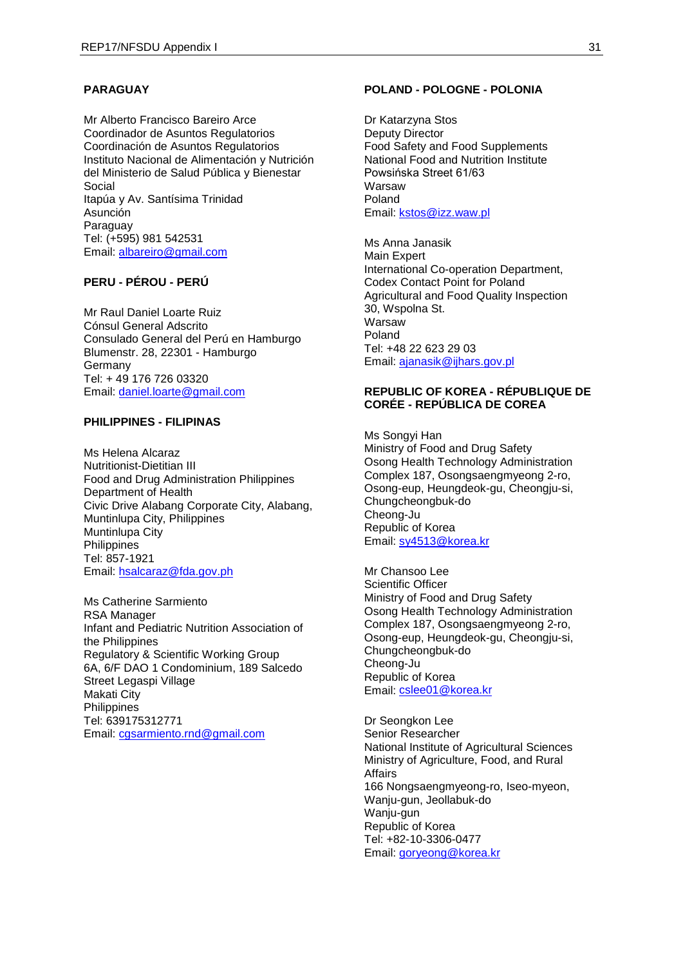## **PARAGUAY**

Mr Alberto Francisco Bareiro Arce Coordinador de Asuntos Regulatorios Coordinación de Asuntos Regulatorios Instituto Nacional de Alimentación y Nutrición del Ministerio de Salud Pública y Bienestar Social Itapúa y Av. Santísima Trinidad Asunción Paraguay Tel: (+595) 981 542531 Email: [albareiro@gmail.com](mailto:albareiro@gmail.com)

## **PERU - PÉROU - PERÚ**

Mr Raul Daniel Loarte Ruiz Cónsul General Adscrito Consulado General del Perú en Hamburgo Blumenstr. 28, 22301 - Hamburgo Germany Tel: + 49 176 726 03320 Email: [daniel.loarte@gmail.com](mailto:daniel.loarte@gmail.com)

## **PHILIPPINES - FILIPINAS**

Ms Helena Alcaraz Nutritionist-Dietitian III Food and Drug Administration Philippines Department of Health Civic Drive Alabang Corporate City, Alabang, Muntinlupa City, Philippines Muntinlupa City Philippines Tel: 857-1921 Email: [hsalcaraz@fda.gov.ph](mailto:hsalcaraz@fda.gov.ph)

Ms Catherine Sarmiento RSA Manager Infant and Pediatric Nutrition Association of the Philippines Regulatory & Scientific Working Group 6A, 6/F DAO 1 Condominium, 189 Salcedo Street Legaspi Village Makati City **Philippines** Tel: 639175312771 Email: [cgsarmiento.rnd@gmail.com](mailto:cgsarmiento.rnd@gmail.com)

#### **POLAND - POLOGNE - POLONIA**

Dr Katarzyna Stos Deputy Director Food Safety and Food Supplements National Food and Nutrition Institute Powsińska Street 61/63 Warsaw Poland Email: [kstos@izz.waw.pl](mailto:kstos@izz.waw.pl)

Ms Anna Janasik Main Expert International Co-operation Department, Codex Contact Point for Poland Agricultural and Food Quality Inspection 30, Wspolna St. Warsaw Poland Tel: +48 22 623 29 03 Email: [ajanasik@ijhars.gov.pl](mailto:ajanasik@ijhars.gov.pl)

### **REPUBLIC OF KOREA - RÉPUBLIQUE DE CORÉE - REPÚBLICA DE COREA**

Ms Songyi Han Ministry of Food and Drug Safety Osong Health Technology Administration Complex 187, Osongsaengmyeong 2-ro, Osong-eup, Heungdeok-gu, Cheongju-si, Chungcheongbuk-do Cheong-Ju Republic of Korea Email: [sy4513@korea.kr](mailto:sy4513@korea.kr)

Mr Chansoo Lee Scientific Officer Ministry of Food and Drug Safety Osong Health Technology Administration Complex 187, Osongsaengmyeong 2-ro, Osong-eup, Heungdeok-gu, Cheongju-si, Chungcheongbuk-do Cheong-Ju Republic of Korea Email: [cslee01@korea.kr](mailto:cslee01@korea.kr)

Dr Seongkon Lee Senior Researcher National Institute of Agricultural Sciences Ministry of Agriculture, Food, and Rural Affairs 166 Nongsaengmyeong-ro, Iseo-myeon, Wanju-gun, Jeollabuk-do Wanju-gun Republic of Korea Tel: +82-10-3306-0477 Email: [goryeong@korea.kr](mailto:goryeong@korea.kr)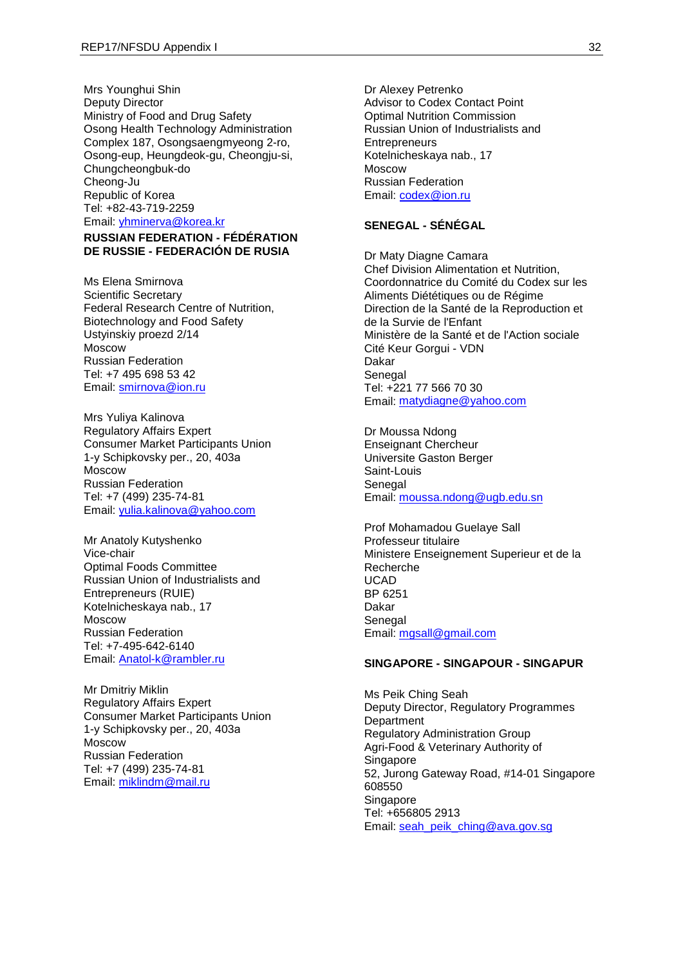Mrs Younghui Shin Deputy Director Ministry of Food and Drug Safety Osong Health Technology Administration Complex 187, Osongsaengmyeong 2-ro, Osong-eup, Heungdeok-gu, Cheongju-si, Chungcheongbuk-do Cheong-Ju Republic of Korea Tel: +82-43-719-2259 Email: [yhminerva@korea.kr](mailto:yhminerva@korea.kr)

## **RUSSIAN FEDERATION - FÉDÉRATION DE RUSSIE - FEDERACIÓN DE RUSIA**

Ms Elena Smirnova Scientific Secretary Federal Research Centre of Nutrition, Biotechnology and Food Safety Ustyinskiy proezd 2/14 Moscow Russian Federation Tel: +7 495 698 53 42 Email: [smirnova@ion.ru](mailto:smirnova@ion.ru)

Mrs Yuliya Kalinova Regulatory Affairs Expert Consumer Market Participants Union 1-y Schipkovsky per., 20, 403а Moscow Russian Federation Tel: +7 (499) 235-74-81 Email: [yulia.kalinova@yahoo.com](mailto:yulia.kalinova@yahoo.com)

Mr Anatoly Kutyshenko Vice-chair Optimal Foods Committee Russian Union of Industrialists and Entrepreneurs (RUIE) Kotelnicheskaya nab., 17 Moscow Russian Federation Tel: +7-495-642-6140 Email: [Anatol-k@rambler.ru](mailto:Anatol-k@rambler.ru)

Mr Dmitriy Miklin Regulatory Affairs Expert Consumer Market Participants Union 1-y Schipkovsky per., 20, 403а Moscow Russian Federation Tel: +7 (499) 235-74-81 Email: [miklindm@mail.ru](mailto:miklindm@mail.ru)

Dr Alexey Petrenko Advisor to Codex Contact Point Optimal Nutrition Commission Russian Union of Industrialists and **Entrepreneurs** Kotelnicheskaya nab., 17 Moscow Russian Federation Email: [codex@ion.ru](mailto:codex@ion.ru) 

## **SENEGAL - SÉNÉGAL**

Dr Maty Diagne Camara Chef Division Alimentation et Nutrition, Coordonnatrice du Comité du Codex sur les Aliments Diététiques ou de Régime Direction de la Santé de la Reproduction et de la Survie de l'Enfant Ministère de la Santé et de l'Action sociale Cité Keur Gorgui - VDN Dakar **Senegal** Tel: +221 77 566 70 30 Email: [matydiagne@yahoo.com](mailto:matydiagne@yahoo.com)

Dr Moussa Ndong Enseignant Chercheur Universite Gaston Berger Saint-Louis Senegal Email: [moussa.ndong@ugb.edu.sn](mailto:moussa.ndong@ugb.edu.sn)

Prof Mohamadou Guelaye Sall Professeur titulaire Ministere Enseignement Superieur et de la Recherche UCAD BP 6251 Dakar Senegal Email: [mgsall@gmail.com](mailto:mgsall@gmail.com)

#### **SINGAPORE - SINGAPOUR - SINGAPUR**

Ms Peik Ching Seah Deputy Director, Regulatory Programmes **Department** Regulatory Administration Group Agri-Food & Veterinary Authority of **Singapore** 52, Jurong Gateway Road, #14-01 Singapore 608550 **Singapore** Tel: +656805 2913 Email: [seah\\_peik\\_ching@ava.gov.sg](mailto:seah_peik_ching@ava.gov.sg)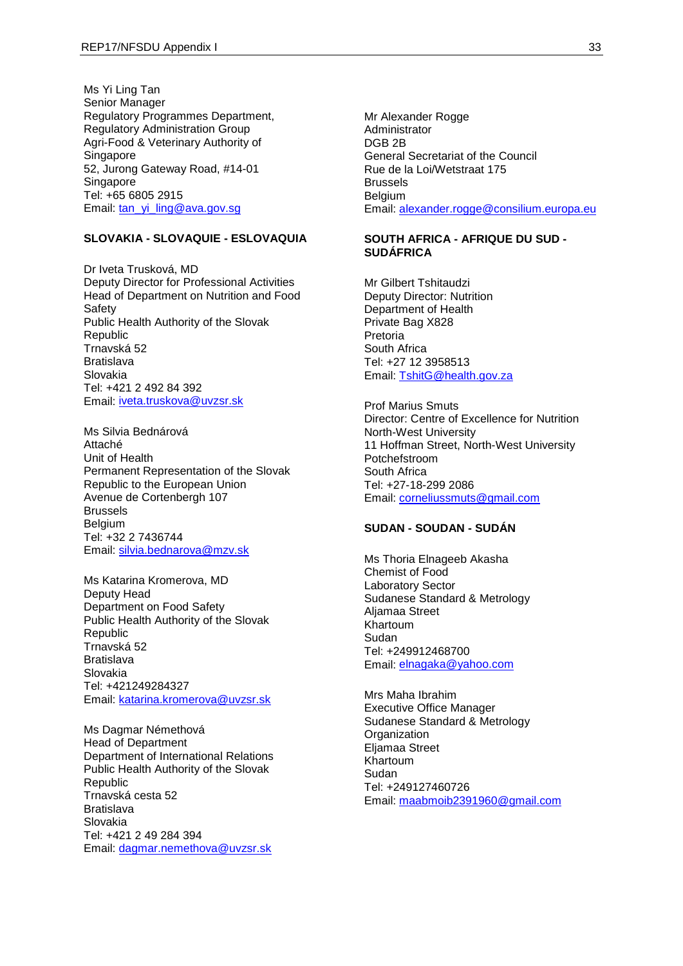Ms Yi Ling Tan Senior Manager Regulatory Programmes Department, Regulatory Administration Group Agri-Food & Veterinary Authority of Singapore 52, Jurong Gateway Road, #14-01 **Singapore** Tel: +65 6805 2915 Email: [tan\\_yi\\_ling@ava.gov.sg](mailto:tan_yi_ling@ava.gov.sg)

## **SLOVAKIA - SLOVAQUIE - ESLOVAQUIA**

Dr Iveta Trusková, MD Deputy Director for Professional Activities Head of Department on Nutrition and Food **Safety** Public Health Authority of the Slovak Republic Trnavská 52 Bratislava Slovakia Tel: +421 2 492 84 392 Email: [iveta.truskova@uvzsr.sk](mailto:iveta.truskova@uvzsr.sk)

Ms Silvia Bednárová Attaché Unit of Health Permanent Representation of the Slovak Republic to the European Union Avenue de Cortenbergh 107 Brussels **Belgium** Tel: +32 2 7436744 Email: [silvia.bednarova@mzv.sk](mailto:silvia.bednarova@mzv.sk)

Ms Katarina Kromerova, MD Deputy Head Department on Food Safety Public Health Authority of the Slovak Republic Trnavská 52 Bratislava Slovakia Tel: +421249284327 Email: [katarina.kromerova@uvzsr.sk](mailto:katarina.kromerova@uvzsr.sk)

Ms Dagmar Némethová Head of Department Department of International Relations Public Health Authority of the Slovak **Republic** Trnavská cesta 52 Bratislava Slovakia Tel: +421 2 49 284 394 Email: [dagmar.nemethova@uvzsr.sk](mailto:dagmar.nemethova@uvzsr.sk)

Mr Alexander Rogge Administrator DGB 2B General Secretariat of the Council Rue de la Loi/Wetstraat 175 **Brussels Belgium** Email: [alexander.rogge@consilium.europa.eu](mailto:alexander.rogge@consilium.europa.eu)

#### **SOUTH AFRICA - AFRIQUE DU SUD - SUDÁFRICA**

Mr Gilbert Tshitaudzi Deputy Director: Nutrition Department of Health Private Bag X828 Pretoria South Africa Tel: +27 12 3958513 Email: [TshitG@health.gov.za](mailto:TshitG@health.gov.za)

Prof Marius Smuts Director: Centre of Excellence for Nutrition North-West University 11 Hoffman Street, North-West University Potchefstroom South Africa Tel: +27-18-299 2086 Email: [corneliussmuts@gmail.com](mailto:corneliussmuts@gmail.com)

#### **SUDAN - SOUDAN - SUDÁN**

Ms Thoria Elnageeb Akasha Chemist of Food Laboratory Sector Sudanese Standard & Metrology Aljamaa Street Khartoum Sudan Tel: +249912468700 Email: [elnagaka@yahoo.com](mailto:elnagaka@yahoo.com)

Mrs Maha Ibrahim Executive Office Manager Sudanese Standard & Metrology **Organization** Eljamaa Street Khartoum Sudan Tel: +249127460726 Email: [maabmoib2391960@gmail.com](mailto:maabmoib2391960@gmail.com)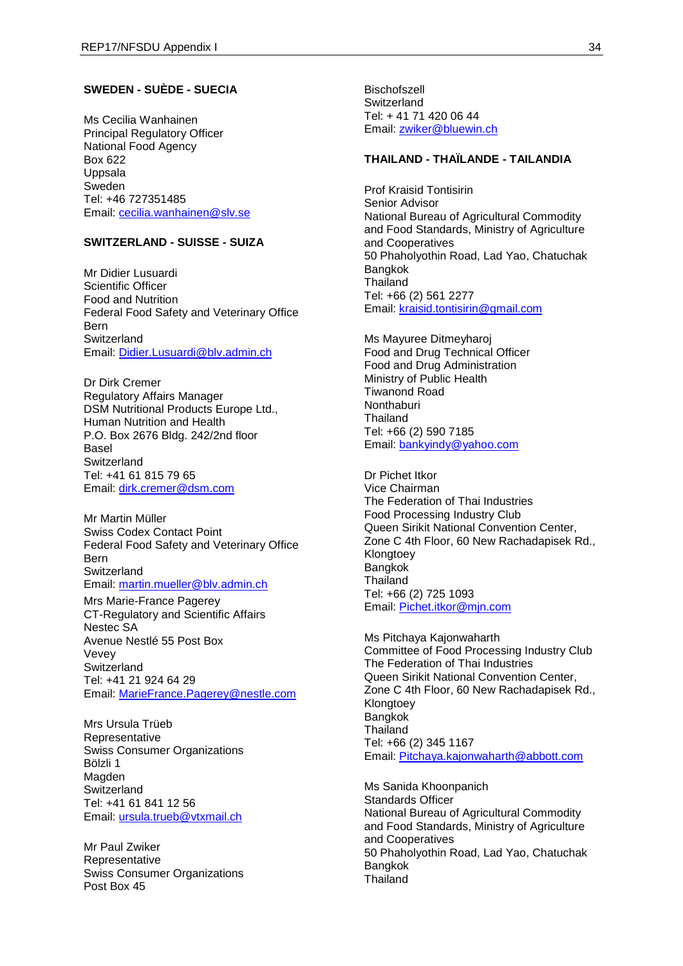## **SWEDEN - SUÈDE - SUECIA**

Ms Cecilia Wanhainen Principal Regulatory Officer National Food Agency Box 622 Uppsala Sweden Tel: +46 727351485 Email: [cecilia.wanhainen@slv.se](mailto:cecilia.wanhainen@slv.se)

## **SWITZERLAND - SUISSE - SUIZA**

Mr Didier Lusuardi Scientific Officer Food and Nutrition Federal Food Safety and Veterinary Office Bern Switzerland Email: [Didier.Lusuardi@blv.admin.ch](mailto:Didier.Lusuardi@blv.admin.ch)

Dr Dirk Cremer Regulatory Affairs Manager DSM Nutritional Products Europe Ltd., Human Nutrition and Health P.O. Box 2676 Bldg. 242/2nd floor Basel **Switzerland** Tel: +41 61 815 79 65 Email: [dirk.cremer@dsm.com](mailto:dirk.cremer@dsm.com)

Mr Martin Müller Swiss Codex Contact Point Federal Food Safety and Veterinary Office Bern **Switzerland** Email: [martin.mueller@blv.admin.ch](mailto:martin.mueller@blv.admin.ch)

Mrs Marie-France Pagerey CT-Regulatory and Scientific Affairs Nestec SA Avenue Nestlé 55 Post Box Vevey **Switzerland** Tel: +41 21 924 64 29 Email: [MarieFrance.Pagerey@nestle.com](mailto:MarieFrance.Pagerey@nestle.com)

Mrs Ursula Trüeb **Representative** Swiss Consumer Organizations Bölzli 1 Magden **Switzerland** Tel: +41 61 841 12 56 Email: [ursula.trueb@vtxmail.ch](mailto:ursula.trueb@vtxmail.ch)

Mr Paul Zwiker Representative Swiss Consumer Organizations Post Box 45

**Bischofszell Switzerland** Tel: + 41 71 420 06 44 Email: [zwiker@bluewin.ch](mailto:zwiker@bluewin.ch)

## **THAILAND - THAÏLANDE - TAILANDIA**

Prof Kraisid Tontisirin Senior Advisor National Bureau of Agricultural Commodity and Food Standards, Ministry of Agriculture and Cooperatives 50 Phaholyothin Road, Lad Yao, Chatuchak Bangkok **Thailand** Tel: +66 (2) 561 2277 Email: [kraisid.tontisirin@gmail.com](mailto:kraisid.tontisirin@gmail.com)

Ms Mayuree Ditmeyharoj Food and Drug Technical Officer Food and Drug Administration Ministry of Public Health Tiwanond Road **Nonthaburi** Thailand Tel: +66 (2) 590 7185 Email: [bankyindy@yahoo.com](mailto:bankyindy@yahoo.com)

Dr Pichet Itkor Vice Chairman The Federation of Thai Industries Food Processing Industry Club Queen Sirikit National Convention Center, Zone C 4th Floor, 60 New Rachadapisek Rd., Klongtoey Bangkok Thailand Tel: +66 (2) 725 1093 Email: [Pichet.itkor@mjn.com](mailto:Pichet.itkor@mjn.com)

Ms Pitchaya Kajonwaharth Committee of Food Processing Industry Club The Federation of Thai Industries Queen Sirikit National Convention Center, Zone C 4th Floor, 60 New Rachadapisek Rd., Klongtoey Bangkok **Thailand** Tel: +66 (2) 345 1167 Email: [Pitchaya.kajonwaharth@abbott.com](mailto:Pitchaya.kajonwaharth@abbott.com)

Ms Sanida Khoonpanich Standards Officer National Bureau of Agricultural Commodity and Food Standards, Ministry of Agriculture and Cooperatives 50 Phaholyothin Road, Lad Yao, Chatuchak Bangkok **Thailand**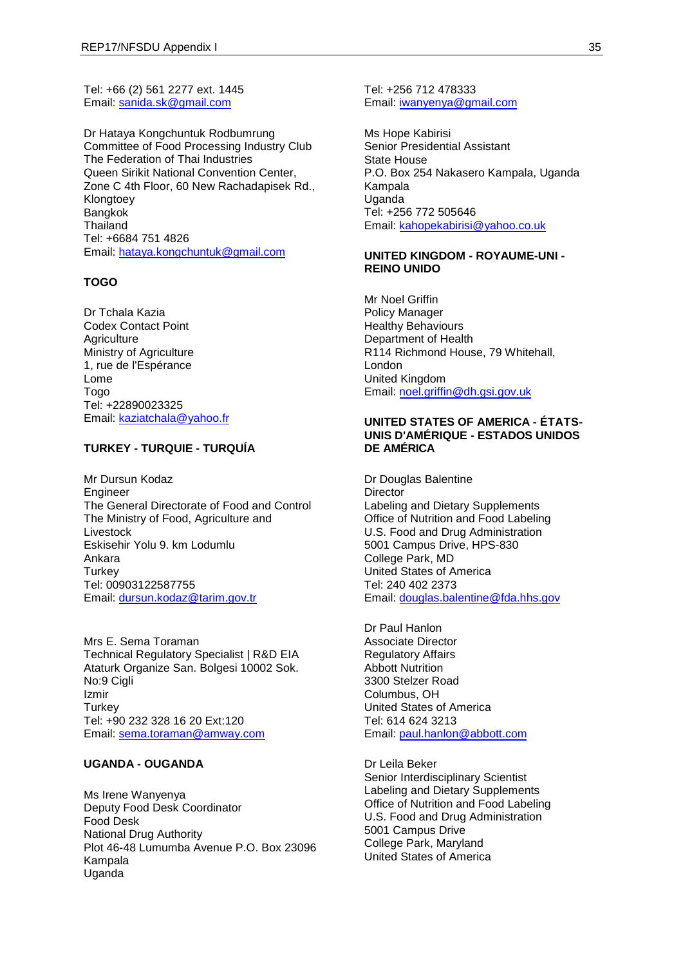Tel: +66 (2) 561 2277 ext. 1445 Email: [sanida.sk@gmail.com](mailto:sanida.sk@gmail.com)

Dr Hataya Kongchuntuk Rodbumrung Committee of Food Processing Industry Club The Federation of Thai Industries Queen Sirikit National Convention Center, Zone C 4th Floor, 60 New Rachadapisek Rd., Klongtoev Bangkok **Thailand** Tel: +6684 751 4826 Email: [hataya.kongchuntuk@gmail.com](mailto:hataya.kongchuntuk@gmail.com)

### **TOGO**

Dr Tchala Kazia Codex Contact Point **Agriculture** Ministry of Agriculture 1, rue de l'Espérance Lome Togo Tel: +22890023325 Email: [kaziatchala@yahoo.fr](mailto:kaziatchala@yahoo.fr)

## **TURKEY - TURQUIE - TURQUÍA**

Mr Dursun Kodaz Engineer The General Directorate of Food and Control The Ministry of Food, Agriculture and Livestock Eskisehir Yolu 9. km Lodumlu Ankara **Turkey** Tel: 00903122587755 Email: [dursun.kodaz@tarim.gov.tr](mailto:dursun.kodaz@tarim.gov.tr)

Mrs E. Sema Toraman Technical Regulatory Specialist | R&D EIA Ataturk Organize San. Bolgesi 10002 Sok. No:9 Cigli Izmir **Turkey** Tel: +90 232 328 16 20 Ext:120 Email: [sema.toraman@amway.com](mailto:sema.toraman@amway.com)

### **UGANDA - OUGANDA**

Ms Irene Wanyenya Deputy Food Desk Coordinator Food Desk National Drug Authority Plot 46-48 Lumumba Avenue P.O. Box 23096 Kampala **Uganda** 

Tel: +256 712 478333 Email: [iwanyenya@gmail.com](mailto:iwanyenya@gmail.com)

Ms Hope Kabirisi Senior Presidential Assistant State House P.O. Box 254 Nakasero Kampala, Uganda Kampala Uganda Tel: +256 772 505646 Email: [kahopekabirisi@yahoo.co.uk](mailto:kahopekabirisi@yahoo.co.uk)

#### **UNITED KINGDOM - ROYAUME-UNI - REINO UNIDO**

Mr Noel Griffin Policy Manager Healthy Behaviours Department of Health R114 Richmond House, 79 Whitehall, London United Kingdom Email: [noel.griffin@dh.gsi.gov.uk](mailto:noel.griffin@dh.gsi.gov.uk)

## **UNITED STATES OF AMERICA - ÉTATS-UNIS D'AMÉRIQUE - ESTADOS UNIDOS DE AMÉRICA**

Dr Douglas Balentine **Director** Labeling and Dietary Supplements Office of Nutrition and Food Labeling U.S. Food and Drug Administration 5001 Campus Drive, HPS-830 College Park, MD United States of America Tel: 240 402 2373 Email: [douglas.balentine@fda.hhs.gov](mailto:douglas.balentine@fda.hhs.gov)

Dr Paul Hanlon Associate Director Regulatory Affairs Abbott Nutrition 3300 Stelzer Road Columbus, OH United States of America Tel: 614 624 3213 Email: [paul.hanlon@abbott.com](mailto:paul.hanlon@abbott.com)

Dr Leila Beker Senior Interdisciplinary Scientist Labeling and Dietary Supplements Office of Nutrition and Food Labeling U.S. Food and Drug Administration 5001 Campus Drive College Park, Maryland United States of America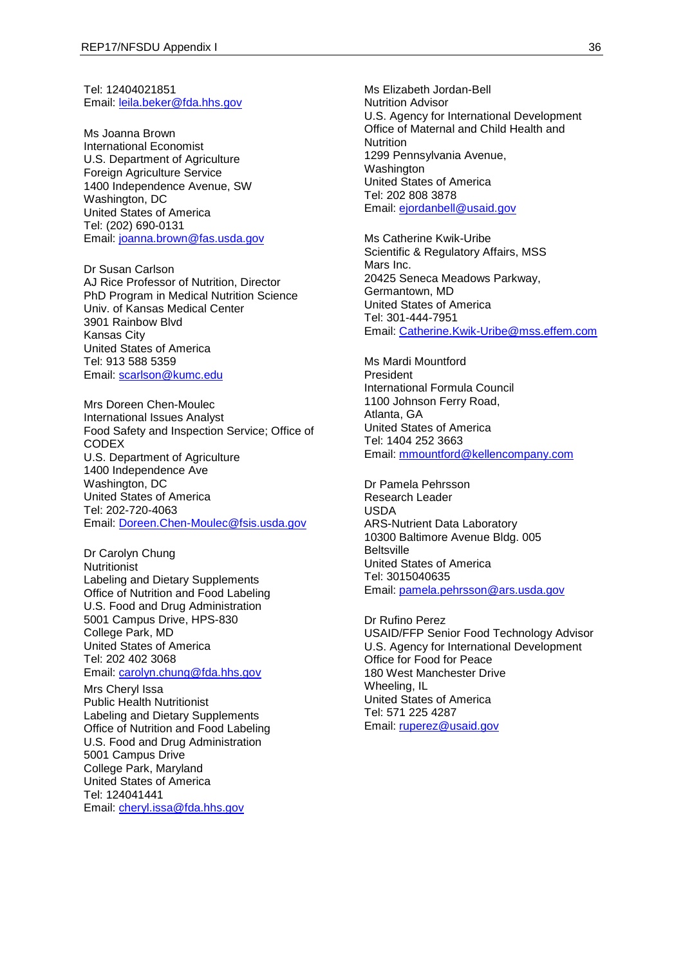Tel: 12404021851 Email: [leila.beker@fda.hhs.gov](mailto:leila.beker@fda.hhs.gov)

Ms Joanna Brown International Economist U.S. Department of Agriculture Foreign Agriculture Service 1400 Independence Avenue, SW Washington, DC United States of America Tel: (202) 690-0131 Email: [joanna.brown@fas.usda.gov](mailto:joanna.brown@fas.usda.gov)

Dr Susan Carlson AJ Rice Professor of Nutrition, Director PhD Program in Medical Nutrition Science Univ. of Kansas Medical Center 3901 Rainbow Blvd Kansas City United States of America Tel: 913 588 5359 Email: [scarlson@kumc.edu](mailto:scarlson@kumc.edu)

Mrs Doreen Chen-Moulec International Issues Analyst Food Safety and Inspection Service; Office of CODEX U.S. Department of Agriculture 1400 Independence Ave Washington, DC United States of America Tel: 202-720-4063 Email: [Doreen.Chen-Moulec@fsis.usda.gov](mailto:Doreen.Chen-Moulec@fsis.usda.gov)

Dr Carolyn Chung **Nutritionist** Labeling and Dietary Supplements Office of Nutrition and Food Labeling U.S. Food and Drug Administration 5001 Campus Drive, HPS-830 College Park, MD United States of America Tel: 202 402 3068 Email: [carolyn.chung@fda.hhs.gov](mailto:carolyn.chung@fda.hhs.gov)

Mrs Cheryl Issa Public Health Nutritionist Labeling and Dietary Supplements Office of Nutrition and Food Labeling U.S. Food and Drug Administration 5001 Campus Drive College Park, Maryland United States of America Tel: 124041441 Email: [cheryl.issa@fda.hhs.gov](mailto:cheryl.issa@fda.hhs.gov)

Ms Elizabeth Jordan-Bell Nutrition Advisor U.S. Agency for International Development Office of Maternal and Child Health and **Nutrition** 1299 Pennsylvania Avenue, Washington United States of America Tel: 202 808 3878 Email: [ejordanbell@usaid.gov](mailto:ejordanbell@usaid.gov)

Ms Catherine Kwik-Uribe Scientific & Regulatory Affairs, MSS Mars Inc. 20425 Seneca Meadows Parkway, Germantown, MD United States of America Tel: 301-444-7951 Email: [Catherine.Kwik-Uribe@mss.effem.com](mailto:Catherine.Kwik-Uribe@mss.effem.com)

Ms Mardi Mountford President International Formula Council 1100 Johnson Ferry Road, Atlanta, GA United States of America Tel: 1404 252 3663 Email: [mmountford@kellencompany.com](mailto:mmountford@kellencompany.com)

Dr Pamela Pehrsson Research Leader USDA ARS-Nutrient Data Laboratory 10300 Baltimore Avenue Bldg. 005 **Beltsville** United States of America Tel: 3015040635 Email: [pamela.pehrsson@ars.usda.gov](mailto:pamela.pehrsson@ars.usda.gov)

Dr Rufino Perez USAID/FFP Senior Food Technology Advisor U.S. Agency for International Development Office for Food for Peace 180 West Manchester Drive Wheeling, IL United States of America Tel: 571 225 4287 Email: [ruperez@usaid.gov](mailto:ruperez@usaid.gov)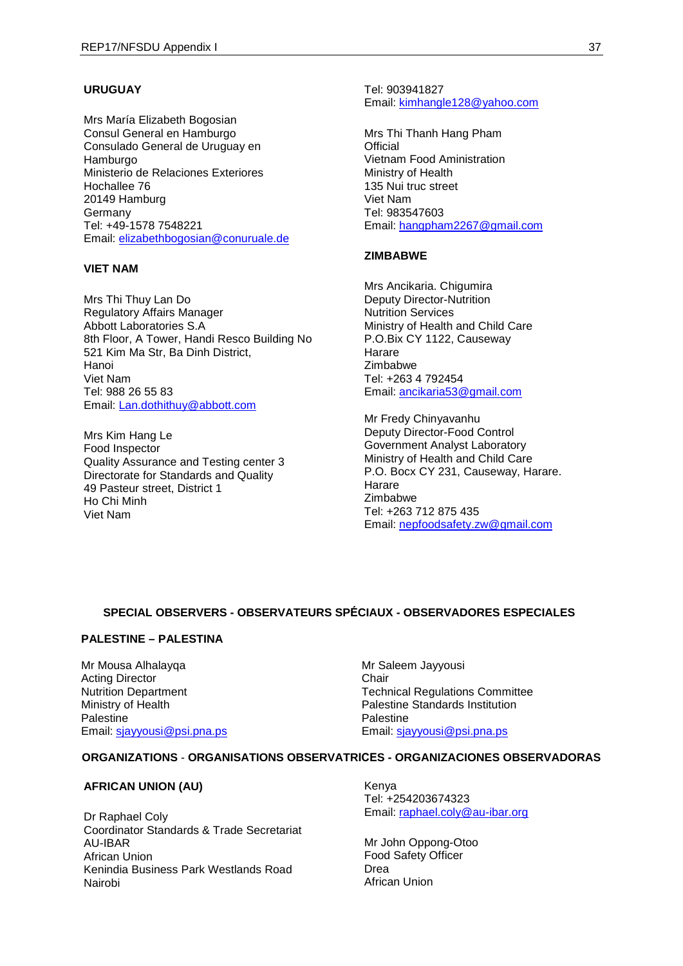### **URUGUAY**

Mrs María Elizabeth Bogosian Consul General en Hamburgo Consulado General de Uruguay en Hamburgo Ministerio de Relaciones Exteriores Hochallee 76 20149 Hamburg **Germany** Tel: +49-1578 7548221 Email: [elizabethbogosian@conuruale.de](mailto:elizabethbogosian@conuruale.de)

#### **VIET NAM**

Mrs Thi Thuy Lan Do Regulatory Affairs Manager Abbott Laboratories S.A 8th Floor, A Tower, Handi Resco Building No 521 Kim Ma Str, Ba Dinh District, Hanoi Viet Nam Tel: 988 26 55 83 Email: [Lan.dothithuy@abbott.com](mailto:Lan.dothithuy@abbott.com)

Mrs Kim Hang Le Food Inspector Quality Assurance and Testing center 3 Directorate for Standards and Quality 49 Pasteur street, District 1 Ho Chi Minh Viet Nam

Tel: 903941827 Email: [kimhangle128@yahoo.com](mailto:kimhangle128@yahoo.com)

Mrs Thi Thanh Hang Pham **Official** Vietnam Food Aministration Ministry of Health 135 Nui truc street Viet Nam Tel: 983547603 Email: [hangpham2267@gmail.com](mailto:hangpham2267@gmail.com)

#### **ZIMBABWE**

Mrs Ancikaria. Chigumira Deputy Director-Nutrition Nutrition Services Ministry of Health and Child Care P.O.Bix CY 1122, Causeway Harare Zimbabwe Tel: +263 4 792454 Email: [ancikaria53@gmail.com](mailto:ancikaria53@gmail.com) 

Mr Fredy Chinyavanhu Deputy Director-Food Control Government Analyst Laboratory Ministry of Health and Child Care P.O. Bocx CY 231, Causeway, Harare. Harare Zimbabwe Tel: +263 712 875 435 Email: [nepfoodsafety.zw@gmail.com](mailto:nepfoodsafety.zw@gmail.com)

## **SPECIAL OBSERVERS - OBSERVATEURS SPÉCIAUX - OBSERVADORES ESPECIALES**

#### **PALESTINE – PALESTINA**

Mr Mousa Alhalayqa Acting Director Nutrition Department Ministry of Health Palestine Email: [sjayyousi@psi.pna.ps](mailto:sjayyousi@psi.pna.ps)

Mr Saleem Jayyousi **Chair** Technical Regulations Committee Palestine Standards Institution Palestine Email: [sjayyousi@psi.pna.ps](mailto:sjayyousi@psi.pna.ps)

#### **ORGANIZATIONS** - **ORGANISATIONS OBSERVATRICES - ORGANIZACIONES OBSERVADORAS**

#### **AFRICAN UNION (AU)**

Dr Raphael Coly Coordinator Standards & Trade Secretariat AU-IBAR African Union Kenindia Business Park Westlands Road Nairobi

Kenya Tel: +254203674323 Email: [raphael.coly@au-ibar.org](mailto:raphael.coly@au-ibar.org)

Mr John Oppong-Otoo Food Safety Officer Drea African Union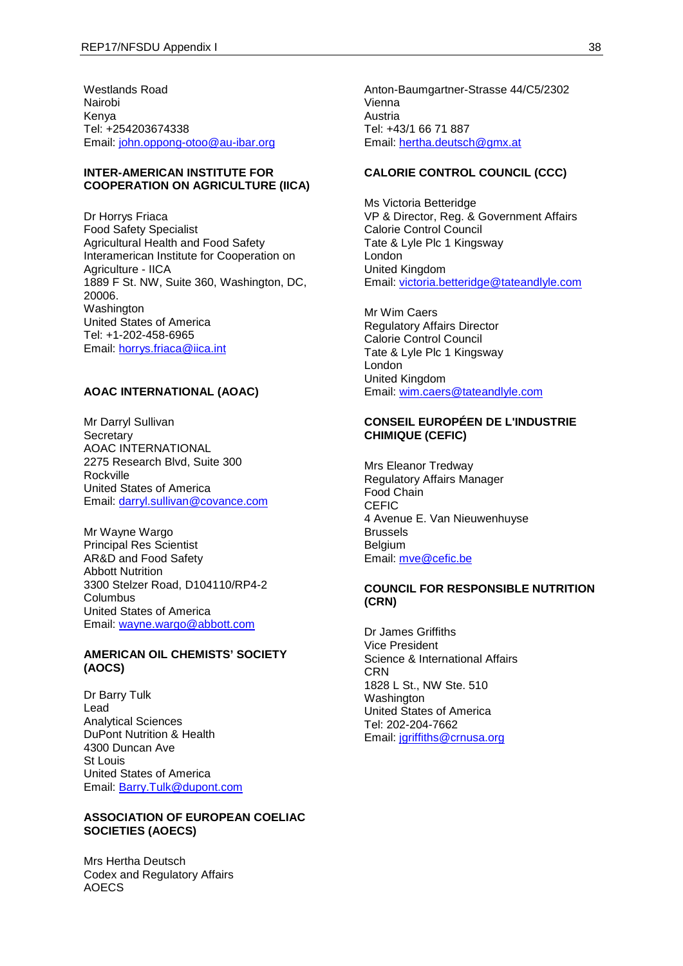Westlands Road Nairobi Kenya Tel: +254203674338 Email: [john.oppong-otoo@au-ibar.org](mailto:john.oppong-otoo@au-ibar.org)

#### **INTER-AMERICAN INSTITUTE FOR COOPERATION ON AGRICULTURE (IICA)**

Dr Horrys Friaca Food Safety Specialist Agricultural Health and Food Safety Interamerican Institute for Cooperation on Agriculture - IICA 1889 F St. NW, Suite 360, Washington, DC, 20006. Washington United States of America Tel: +1-202-458-6965 Email: [horrys.friaca@iica.int](mailto:horrys.friaca@iica.int)

#### **AOAC INTERNATIONAL (AOAC)**

Mr Darryl Sullivan **Secretary** AOAC INTERNATIONAL 2275 Research Blvd, Suite 300 Rockville United States of America Email: [darryl.sullivan@covance.com](mailto:darryl.sullivan@covance.com)

Mr Wayne Wargo Principal Res Scientist AR&D and Food Safety Abbott Nutrition 3300 Stelzer Road, D104110/RP4-2 **Columbus** United States of America Email: [wayne.wargo@abbott.com](mailto:wayne.wargo@abbott.com)

### **AMERICAN OIL CHEMISTS' SOCIETY (AOCS)**

Dr Barry Tulk Lead Analytical Sciences DuPont Nutrition & Health 4300 Duncan Ave St Louis United States of America Email: [Barry.Tulk@dupont.com](mailto:Barry.Tulk@dupont.com)

#### **ASSOCIATION OF EUROPEAN COELIAC SOCIETIES (AOECS)**

Mrs Hertha Deutsch Codex and Regulatory Affairs AOECS

Anton-Baumgartner-Strasse 44/C5/2302 Vienna Austria Tel: +43/1 66 71 887 Email: [hertha.deutsch@gmx.at](mailto:hertha.deutsch@gmx.at)

## **CALORIE CONTROL COUNCIL (CCC)**

Ms Victoria Betteridge VP & Director, Reg. & Government Affairs Calorie Control Council Tate & Lyle Plc 1 Kingsway London United Kingdom Email: [victoria.betteridge@tateandlyle.com](mailto:victoria.betteridge@tateandlyle.com)

Mr Wim Caers Regulatory Affairs Director Calorie Control Council Tate & Lyle Plc 1 Kingsway London United Kingdom Email: [wim.caers@tateandlyle.com](mailto:wim.caers@tateandlyle.com)

## **CONSEIL EUROPÉEN DE L'INDUSTRIE CHIMIQUE (CEFIC)**

Mrs Eleanor Tredway Regulatory Affairs Manager Food Chain **CEFIC** 4 Avenue E. Van Nieuwenhuyse Brussels **Belgium** Email: [mve@cefic.be](mailto:mve@cefic.be)

#### **COUNCIL FOR RESPONSIBLE NUTRITION (CRN)**

Dr James Griffiths Vice President Science & International Affairs **CRN** 1828 L St., NW Ste. 510 **Washington** United States of America Tel: 202-204-7662 Email: [jgriffiths@crnusa.org](mailto:jgriffiths@crnusa.org)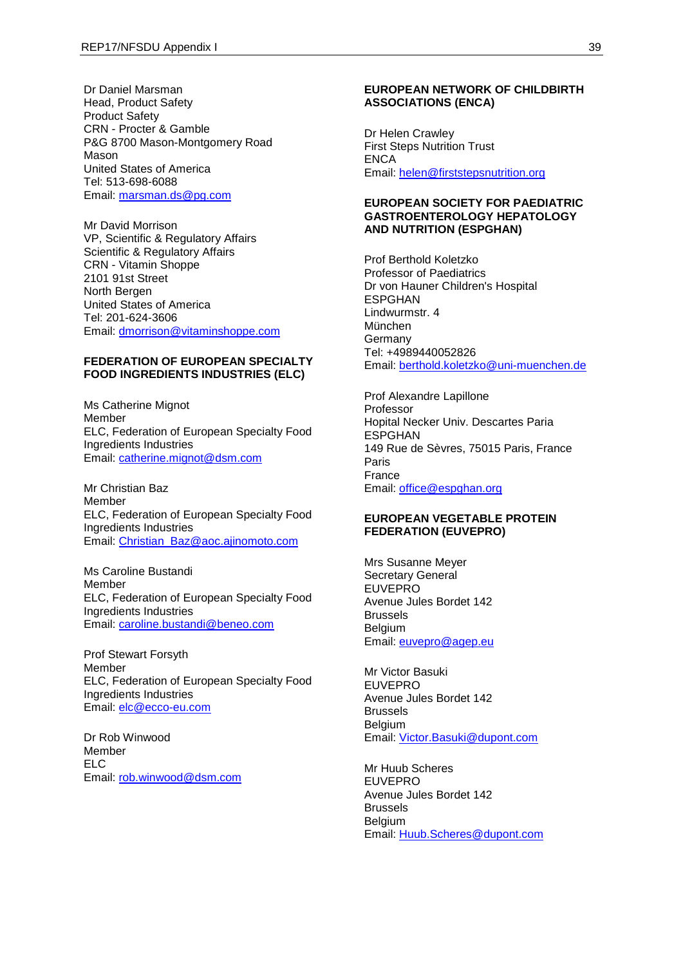Dr Daniel Marsman Head, Product Safety Product Safety CRN - Procter & Gamble P&G 8700 Mason-Montgomery Road Mason United States of America Tel: 513-698-6088 Email: [marsman.ds@pg.com](mailto:marsman.ds@pg.com)

Mr David Morrison VP, Scientific & Regulatory Affairs Scientific & Regulatory Affairs CRN - Vitamin Shoppe 2101 91st Street North Bergen United States of America Tel: 201-624-3606 Email: [dmorrison@vitaminshoppe.com](mailto:dmorrison@vitaminshoppe.com)

## **FEDERATION OF EUROPEAN SPECIALTY FOOD INGREDIENTS INDUSTRIES (ELC)**

Ms Catherine Mignot Member ELC, Federation of European Specialty Food Ingredients Industries Email: [catherine.mignot@dsm.com](mailto:catherine.mignot@dsm.com)

Mr Christian Baz Member ELC, Federation of European Specialty Food Ingredients Industries Email: [Christian\\_Baz@aoc.ajinomoto.com](mailto:Christian_Baz@aoc.ajinomoto.com)

Ms Caroline Bustandi **Memher** ELC, Federation of European Specialty Food Ingredients Industries Email: [caroline.bustandi@beneo.com](mailto:caroline.bustandi@beneo.com)

Prof Stewart Forsyth Member ELC, Federation of European Specialty Food Ingredients Industries Email: [elc@ecco-eu.com](mailto:elc@ecco-eu.com)

Dr Rob Winwood Member ELC Email: [rob.winwood@dsm.com](mailto:rob.winwood@dsm.com)

#### **EUROPEAN NETWORK OF CHILDBIRTH ASSOCIATIONS (ENCA)**

Dr Helen Crawley First Steps Nutrition Trust **FNCA** Email: [helen@firststepsnutrition.org](mailto:helen@firststepsnutrition.org)

#### **EUROPEAN SOCIETY FOR PAEDIATRIC GASTROENTEROLOGY HEPATOLOGY AND NUTRITION (ESPGHAN)**

Prof Berthold Koletzko Professor of Paediatrics Dr von Hauner Children's Hospital ESPGHAN Lindwurmstr. 4 München Germany Tel: +4989440052826 Email: [berthold.koletzko@uni-muenchen.de](mailto:berthold.koletzko@uni-muenchen.de)

Prof Alexandre Lapillone Professor Hopital Necker Univ. Descartes Paria ESPGHAN 149 Rue de Sèvres, 75015 Paris, France Paris France Email: [office@espghan.org](mailto:office@espghan.org)

## **EUROPEAN VEGETABLE PROTEIN FEDERATION (EUVEPRO)**

Mrs Susanne Meyer Secretary General **EUVEPRO** Avenue Jules Bordet 142 Brussels **Belgium** Email: [euvepro@agep.eu](mailto:euvepro@agep.eu)

Mr Victor Basuki EUVEPRO Avenue Jules Bordet 142 Brussels **Belgium** Email: [Victor.Basuki@dupont.com](mailto:Victor.Basuki@dupont.com)

Mr Huub Scheres EUVEPRO Avenue Jules Bordet 142 Brussels Belgium Email: [Huub.Scheres@dupont.com](mailto:Huub.Scheres@dupont.com)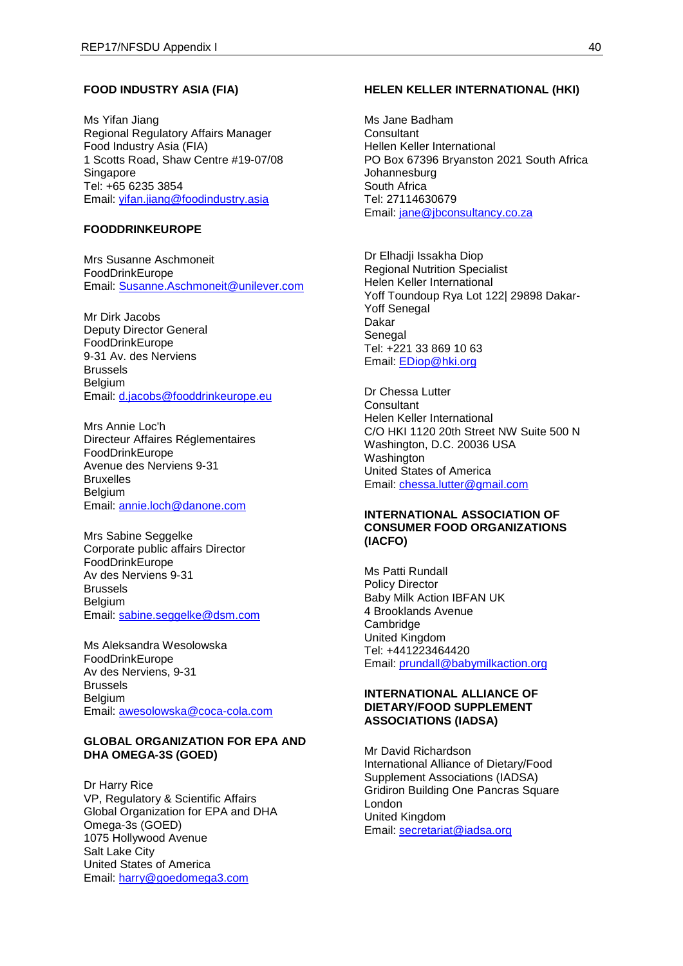#### **FOOD INDUSTRY ASIA (FIA)**

Ms Yifan Jiang Regional Regulatory Affairs Manager Food Industry Asia (FIA) 1 Scotts Road, Shaw Centre #19-07/08 **Singapore** Tel: +65 6235 3854 Email: [yifan.jiang@foodindustry.asia](mailto:yifan.jiang@foodindustry.asia)

## **FOODDRINKEUROPE**

Mrs Susanne Aschmoneit FoodDrinkEurope Email: [Susanne.Aschmoneit@unilever.com](mailto:Susanne.Aschmoneit@unilever.com)

Mr Dirk Jacobs Deputy Director General FoodDrinkEurope 9-31 Av. des Nerviens Brussels Belgium Email: [d.jacobs@fooddrinkeurope.eu](mailto:d.jacobs@fooddrinkeurope.eu)

Mrs Annie Loc'h Directeur Affaires Réglementaires FoodDrinkEurope Avenue des Nerviens 9-31 Bruxelles Belgium Email: [annie.loch@danone.com](mailto:annie.loch@danone.com)

Mrs Sabine Seggelke Corporate public affairs Director FoodDrinkEurope Av des Nerviens 9-31 Brussels Belgium Email: [sabine.seggelke@dsm.com](mailto:sabine.seggelke@dsm.com)

Ms Aleksandra Wesolowska FoodDrinkEurope Av des Nerviens, 9-31 Brussels **Belgium** Email: [awesolowska@coca-cola.com](mailto:awesolowska@coca-cola.com)

#### **GLOBAL ORGANIZATION FOR EPA AND DHA OMEGA-3S (GOED)**

Dr Harry Rice VP, Regulatory & Scientific Affairs Global Organization for EPA and DHA Omega-3s (GOED) 1075 Hollywood Avenue Salt Lake City United States of America Email: [harry@goedomega3.com](mailto:harry@goedomega3.com)

#### **HELEN KELLER INTERNATIONAL (HKI)**

Ms Jane Badham **Consultant** Hellen Keller International PO Box 67396 Bryanston 2021 South Africa Johannesburg South Africa Tel: 27114630679 Email: [jane@jbconsultancy.co.za](mailto:jane@jbconsultancy.co.za)

Dr Elhadji Issakha Diop Regional Nutrition Specialist Helen Keller International Yoff Toundoup Rya Lot 122| 29898 Dakar-Yoff Senegal Dakar **Senegal** Tel: +221 33 869 10 63 Email: [EDiop@hki.org](mailto:EDiop@hki.org)

Dr Chessa Lutter **Consultant** Helen Keller International C/O HKI 1120 20th Street NW Suite 500 N Washington, D.C. 20036 USA Washington United States of America Email: [chessa.lutter@gmail.com](mailto:chessa.lutter@gmail.com)

## **INTERNATIONAL ASSOCIATION OF CONSUMER FOOD ORGANIZATIONS (IACFO)**

Ms Patti Rundall Policy Director Baby Milk Action IBFAN UK 4 Brooklands Avenue **Cambridge** United Kingdom Tel: +441223464420 Email: [prundall@babymilkaction.org](mailto:prundall@babymilkaction.org)

#### **INTERNATIONAL ALLIANCE OF DIETARY/FOOD SUPPLEMENT ASSOCIATIONS (IADSA)**

Mr David Richardson International Alliance of Dietary/Food Supplement Associations (IADSA) Gridiron Building One Pancras Square London United Kingdom Email: [secretariat@iadsa.org](mailto:secretariat@iadsa.org)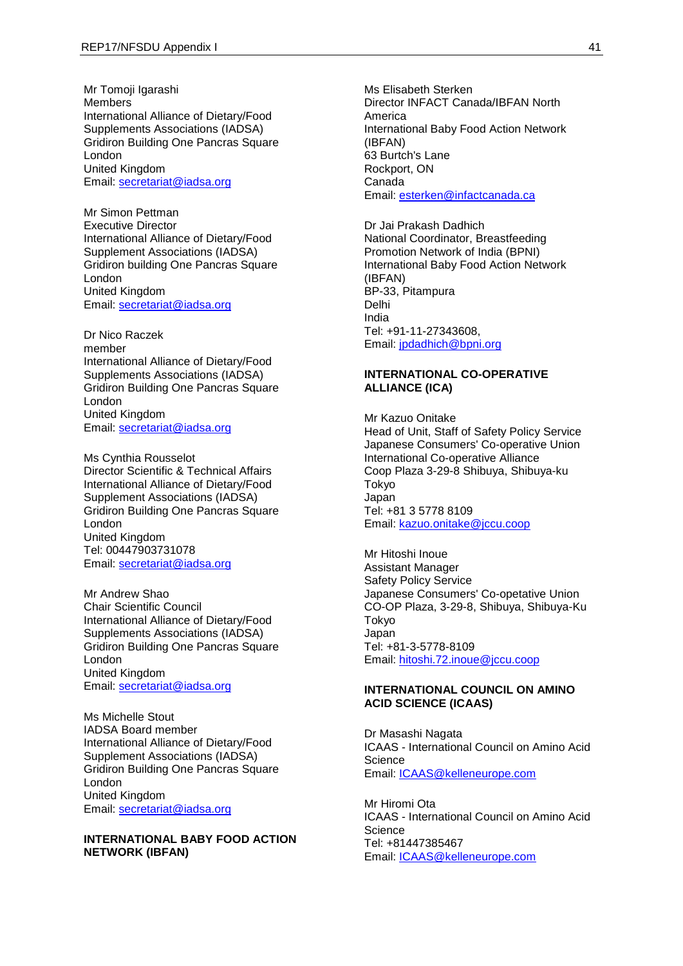Mr Tomoji Igarashi Members International Alliance of Dietary/Food Supplements Associations (IADSA) Gridiron Building One Pancras Square London United Kingdom Email: [secretariat@iadsa.org](mailto:secretariat@iadsa.org)

Mr Simon Pettman Executive Director International Alliance of Dietary/Food Supplement Associations (IADSA) Gridiron building One Pancras Square London United Kingdom Email: [secretariat@iadsa.org](mailto:secretariat@iadsa.org)

Dr Nico Raczek member International Alliance of Dietary/Food Supplements Associations (IADSA) Gridiron Building One Pancras Square London United Kingdom Email: [secretariat@iadsa.org](mailto:secretariat@iadsa.org)

Ms Cynthia Rousselot Director Scientific & Technical Affairs International Alliance of Dietary/Food Supplement Associations (IADSA) Gridiron Building One Pancras Square London United Kingdom Tel: 00447903731078 Email: [secretariat@iadsa.org](mailto:secretariat@iadsa.org)

Mr Andrew Shao Chair Scientific Council International Alliance of Dietary/Food Supplements Associations (IADSA) Gridiron Building One Pancras Square London United Kingdom Email: [secretariat@iadsa.org](mailto:secretariat@iadsa.org)

Ms Michelle Stout IADSA Board member International Alliance of Dietary/Food Supplement Associations (IADSA) Gridiron Building One Pancras Square London United Kingdom Email: [secretariat@iadsa.org](mailto:secretariat@iadsa.org)

## **INTERNATIONAL BABY FOOD ACTION NETWORK (IBFAN)**

Ms Elisabeth Sterken Director INFACT Canada/IBFAN North America International Baby Food Action Network (IBFAN) 63 Burtch's Lane Rockport, ON Canada Email: [esterken@infactcanada.ca](mailto:esterken@infactcanada.ca)

Dr Jai Prakash Dadhich National Coordinator, Breastfeeding Promotion Network of India (BPNI) International Baby Food Action Network (IBFAN) BP-33, Pitampura Delhi India Tel: +91-11-27343608, Email: [jpdadhich@bpni.org](mailto:jpdadhich@bpni.org)

## **INTERNATIONAL CO-OPERATIVE ALLIANCE (ICA)**

Mr Kazuo Onitake Head of Unit, Staff of Safety Policy Service Japanese Consumers' Co-operative Union International Co-operative Alliance Coop Plaza 3-29-8 Shibuya, Shibuya-ku Tokyo Japan Tel: +81 3 5778 8109 Email: [kazuo.onitake@jccu.coop](mailto:kazuo.onitake@jccu.coop)

Mr Hitoshi Inoue Assistant Manager Safety Policy Service Japanese Consumers' Co-opetative Union CO-OP Plaza, 3-29-8, Shibuya, Shibuya-Ku Tokyo Japan Tel: +81-3-5778-8109 Email: [hitoshi.72.inoue@jccu.coop](mailto:hitoshi.72.inoue@jccu.coop)

#### **INTERNATIONAL COUNCIL ON AMINO ACID SCIENCE (ICAAS)**

Dr Masashi Nagata ICAAS - International Council on Amino Acid **Science** Email: [ICAAS@kelleneurope.com](mailto:ICAAS@kelleneurope.com)

Mr Hiromi Ota ICAAS - International Council on Amino Acid **Science** Tel: +81447385467 Email: [ICAAS@kelleneurope.com](mailto:ICAAS@kelleneurope.com)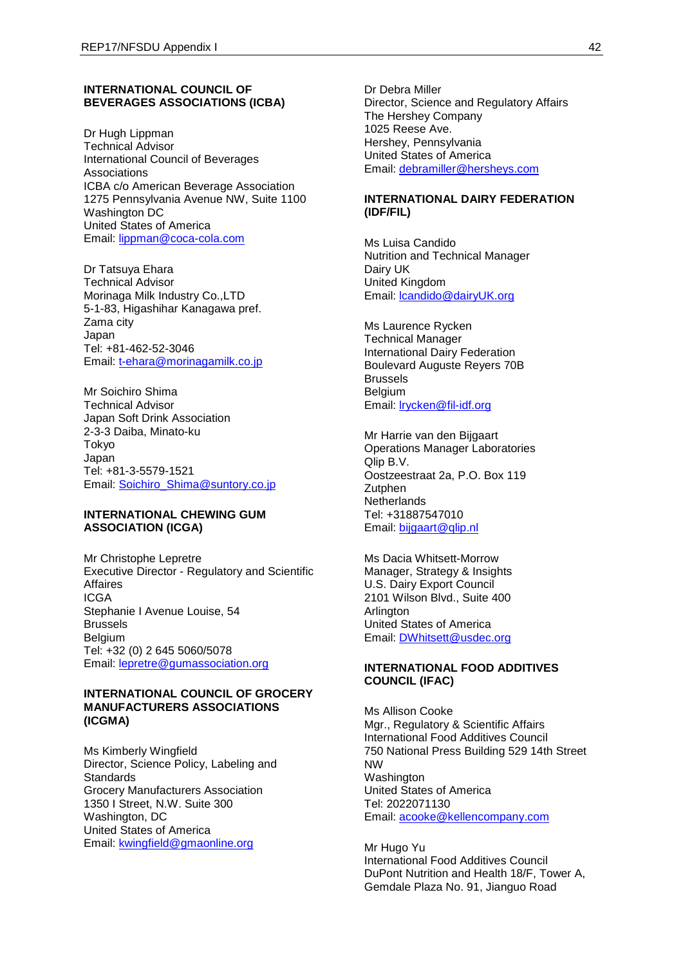#### **INTERNATIONAL COUNCIL OF BEVERAGES ASSOCIATIONS (ICBA)**

Dr Hugh Lippman Technical Advisor International Council of Beverages Associations ICBA c/o American Beverage Association 1275 Pennsylvania Avenue NW, Suite 1100 Washington DC United States of America Email: [lippman@coca-cola.com](mailto:lippman@coca-cola.com)

Dr Tatsuya Ehara Technical Advisor Morinaga Milk Industry Co.,LTD 5-1-83, Higashihar Kanagawa pref. Zama city Japan Tel: +81-462-52-3046 Email: [t-ehara@morinagamilk.co.jp](mailto:t-ehara@morinagamilk.co.jp)

Mr Soichiro Shima Technical Advisor Japan Soft Drink Association 2-3-3 Daiba, Minato-ku Tokyo Japan Tel: +81-3-5579-1521 Email: [Soichiro\\_Shima@suntory.co.jp](mailto:Soichiro_Shima@suntory.co.jp)

#### **INTERNATIONAL CHEWING GUM ASSOCIATION (ICGA)**

Mr Christophe Lepretre Executive Director - Regulatory and Scientific Affaires **ICGA** Stephanie I Avenue Louise, 54 Brussels **Belgium** Tel: +32 (0) 2 645 5060/5078 Email: [lepretre@gumassociation.org](mailto:lepretre@gumassociation.org)

### **INTERNATIONAL COUNCIL OF GROCERY MANUFACTURERS ASSOCIATIONS (ICGMA)**

Ms Kimberly Wingfield Director, Science Policy, Labeling and Standards Grocery Manufacturers Association 1350 I Street, N.W. Suite 300 Washington, DC United States of America Email: [kwingfield@gmaonline.org](mailto:kwingfield@gmaonline.org)

Dr Debra Miller Director, Science and Regulatory Affairs The Hershey Company 1025 Reese Ave. Hershey, Pennsylvania United States of America Email: [debramiller@hersheys.com](mailto:debramiller@hersheys.com)

## **INTERNATIONAL DAIRY FEDERATION (IDF/FIL)**

Ms Luisa Candido Nutrition and Technical Manager Dairy UK United Kingdom Email: [lcandido@dairyUK.org](mailto:lcandido@dairyUK.org)

Ms Laurence Rycken Technical Manager International Dairy Federation Boulevard Auguste Reyers 70B Brussels Belgium Email: [lrycken@fil-idf.org](mailto:lrycken@fil-idf.org)

Mr Harrie van den Bijgaart Operations Manager Laboratories Qlip B.V. Oostzeestraat 2a, P.O. Box 119 **Zutphen Netherlands** Tel: +31887547010 Email: bijgaart@glip.nl

Ms Dacia Whitsett-Morrow Manager, Strategy & Insights U.S. Dairy Export Council 2101 Wilson Blvd., Suite 400 **Arlington** United States of America Email: [DWhitsett@usdec.org](mailto:DWhitsett@usdec.org)

#### **INTERNATIONAL FOOD ADDITIVES COUNCIL (IFAC)**

Ms Allison Cooke Mgr., Regulatory & Scientific Affairs International Food Additives Council 750 National Press Building 529 14th Street NW Washington United States of America Tel: 2022071130 Email: [acooke@kellencompany.com](mailto:acooke@kellencompany.com)

Mr Hugo Yu International Food Additives Council DuPont Nutrition and Health 18/F, Tower A, Gemdale Plaza No. 91, Jianguo Road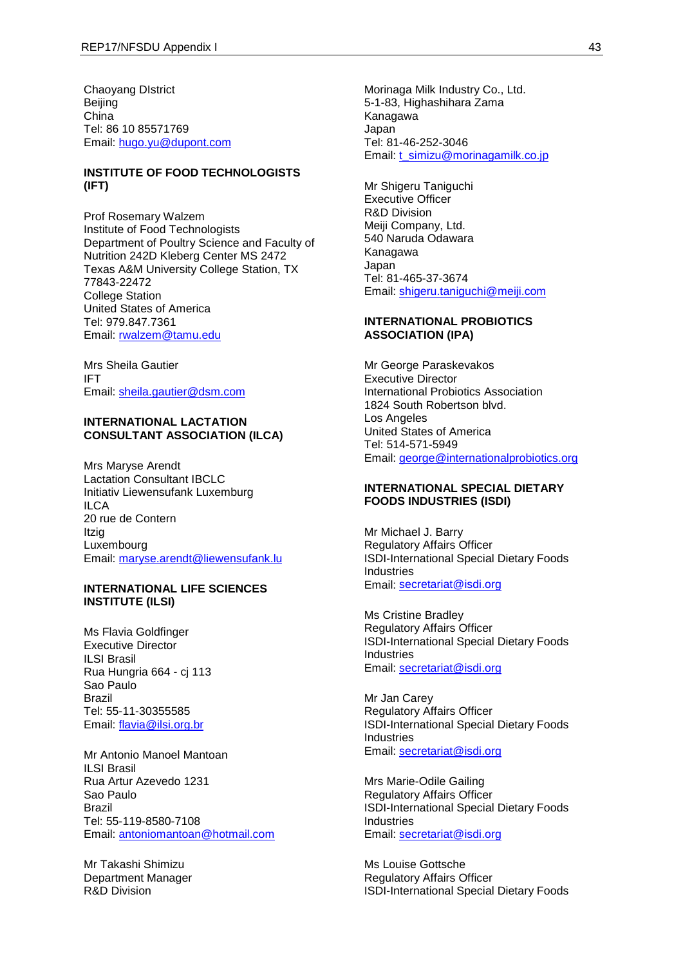Chaoyang DIstrict Beijing China Tel: 86 10 85571769 Email: [hugo.yu@dupont.com](mailto:hugo.yu@dupont.com)

## **INSTITUTE OF FOOD TECHNOLOGISTS (IFT)**

Prof Rosemary Walzem Institute of Food Technologists Department of Poultry Science and Faculty of Nutrition 242D Kleberg Center MS 2472 Texas A&M University College Station, TX 77843-22472 College Station United States of America Tel: 979.847.7361 Email: [rwalzem@tamu.edu](mailto:rwalzem@tamu.edu)

Mrs Sheila Gautier IFT Email: [sheila.gautier@dsm.com](mailto:sheila.gautier@dsm.com)

## **INTERNATIONAL LACTATION CONSULTANT ASSOCIATION (ILCA)**

Mrs Maryse Arendt Lactation Consultant IBCLC Initiativ Liewensufank Luxemburg ILCA 20 rue de Contern Itzig Luxembourg Email: [maryse.arendt@liewensufank.lu](mailto:maryse.arendt@liewensufank.lu)

#### **INTERNATIONAL LIFE SCIENCES INSTITUTE (ILSI)**

Ms Flavia Goldfinger Executive Director ILSI Brasil Rua Hungria 664 - cj 113 Sao Paulo Brazil Tel: 55-11-30355585 Email: [flavia@ilsi.org.br](mailto:flavia@ilsi.org.br)

Mr Antonio Manoel Mantoan ILSI Brasil Rua Artur Azevedo 1231 Sao Paulo Brazil Tel: 55-119-8580-7108 Email: [antoniomantoan@hotmail.com](mailto:antoniomantoan@hotmail.com)

Mr Takashi Shimizu Department Manager R&D Division

Morinaga Milk Industry Co., Ltd. 5-1-83, Highashihara Zama Kanagawa Japan Tel: 81-46-252-3046 Email: [t\\_simizu@morinagamilk.co.jp](mailto:t_simizu@morinagamilk.co.jp)

Mr Shigeru Taniguchi Executive Officer R&D Division Meiji Company, Ltd. 540 Naruda Odawara Kanagawa Japan Tel: 81-465-37-3674 Email: [shigeru.taniguchi@meiji.com](mailto:shigeru.taniguchi@meiji.com)

#### **INTERNATIONAL PROBIOTICS ASSOCIATION (IPA)**

Mr George Paraskevakos Executive Director International Probiotics Association 1824 South Robertson blvd. Los Angeles United States of America Tel: 514-571-5949 Email: [george@internationalprobiotics.org](mailto:george@internationalprobiotics.org)

### **INTERNATIONAL SPECIAL DIETARY FOODS INDUSTRIES (ISDI)**

Mr Michael J. Barry Regulatory Affairs Officer ISDI-International Special Dietary Foods Industries Email: [secretariat@isdi.org](mailto:secretariat@isdi.org)

Ms Cristine Bradley Regulatory Affairs Officer ISDI-International Special Dietary Foods Industries Email: [secretariat@isdi.org](mailto:secretariat@isdi.org)

Mr Jan Carey Regulatory Affairs Officer ISDI-International Special Dietary Foods Industries Email: [secretariat@isdi.org](mailto:secretariat@isdi.org)

Mrs Marie-Odile Gailing Regulatory Affairs Officer ISDI-International Special Dietary Foods Industries Email: [secretariat@isdi.org](mailto:secretariat@isdi.org)

Ms Louise Gottsche Regulatory Affairs Officer ISDI-International Special Dietary Foods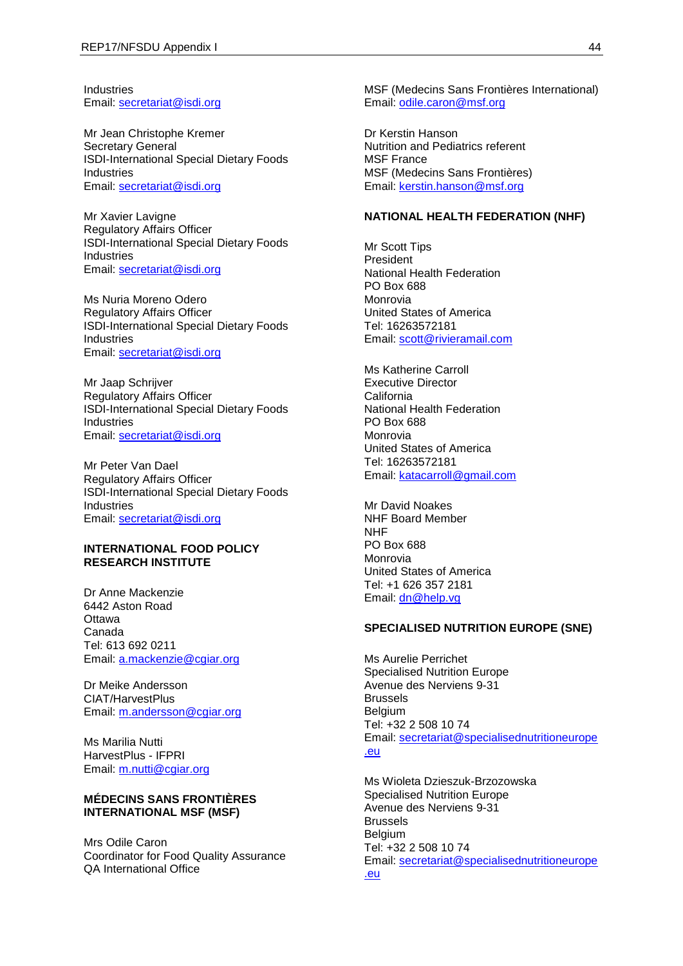Industries Email: [secretariat@isdi.org](mailto:secretariat@isdi.org)

Mr Jean Christophe Kremer Secretary General ISDI-International Special Dietary Foods Industries Email: [secretariat@isdi.org](mailto:secretariat@isdi.org)

Mr Xavier Lavigne Regulatory Affairs Officer ISDI-International Special Dietary Foods Industries Email: [secretariat@isdi.org](mailto:secretariat@isdi.org)

Ms Nuria Moreno Odero Regulatory Affairs Officer ISDI-International Special Dietary Foods Industries Email: [secretariat@isdi.org](mailto:secretariat@isdi.org)

Mr Jaap Schrijver Regulatory Affairs Officer ISDI-International Special Dietary Foods **Industries** Email: [secretariat@isdi.org](mailto:secretariat@isdi.org)

Mr Peter Van Dael Regulatory Affairs Officer ISDI-International Special Dietary Foods Industries Email: [secretariat@isdi.org](mailto:secretariat@isdi.org)

## **INTERNATIONAL FOOD POLICY RESEARCH INSTITUTE**

Dr Anne Mackenzie 6442 Aston Road **Ottawa** Canada Tel: 613 692 0211 Email: [a.mackenzie@cgiar.org](mailto:a.mackenzie@cgiar.org)

Dr Meike Andersson CIAT/HarvestPlus Email: [m.andersson@cgiar.org](mailto:m.andersson@cgiar.org)

Ms Marilia Nutti HarvestPlus - IFPRI Email: [m.nutti@cgiar.org](mailto:m.nutti@cgiar.org)

### **MÉDECINS SANS FRONTIÈRES INTERNATIONAL MSF (MSF)**

Mrs Odile Caron Coordinator for Food Quality Assurance QA International Office

MSF (Medecins Sans Frontières International) Email: [odile.caron@msf.org](mailto:odile.caron@msf.org)

Dr Kerstin Hanson Nutrition and Pediatrics referent MSF France MSF (Medecins Sans Frontières) Email: [kerstin.hanson@msf.org](mailto:kerstin.hanson@msf.org)

#### **NATIONAL HEALTH FEDERATION (NHF)**

Mr Scott Tips President National Health Federation PO Box 688 Monrovia United States of America Tel: 16263572181 Email: [scott@rivieramail.com](mailto:scott@rivieramail.com)

Ms Katherine Carroll Executive Director **California** National Health Federation PO Box 688 Monrovia United States of America Tel: 16263572181 Email: [katacarroll@gmail.com](mailto:katacarroll@gmail.com)

Mr David Noakes NHF Board Member NHF PO Box 688 Monrovia United States of America Tel: +1 626 357 2181 Email: [dn@help.vg](mailto:dn@help.vg)

#### **SPECIALISED NUTRITION EUROPE (SNE)**

Ms Aurelie Perrichet Specialised Nutrition Europe Avenue des Nerviens 9-31 Brussels **Belgium** Tel: +32 2 508 10 74 Email: [secretariat@specialisednutritioneurope](mailto:secretariat@specialisednutritioneurope.eu) [.eu](mailto:secretariat@specialisednutritioneurope.eu)

Ms Wioleta Dzieszuk-Brzozowska Specialised Nutrition Europe Avenue des Nerviens 9-31 Brussels **Belgium** Tel: +32 2 508 10 74 Email: [secretariat@specialisednutritioneurope](mailto:secretariat@specialisednutritioneurope.eu) [.eu](mailto:secretariat@specialisednutritioneurope.eu)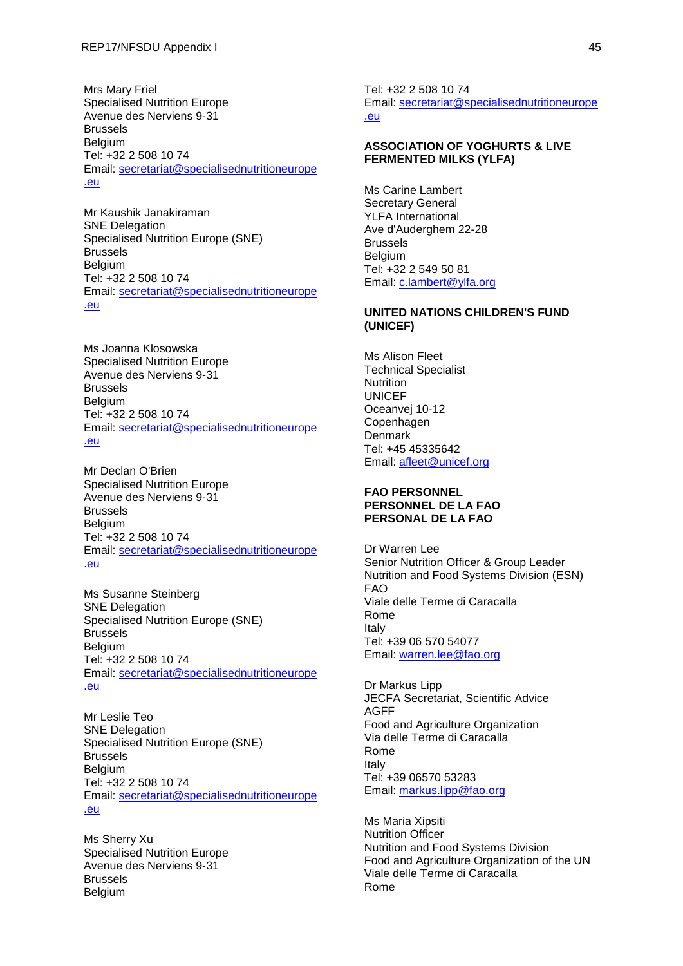Mrs Mary Friel Specialised Nutrition Europe Avenue des Nerviens 9-31 Brussels Belgium Tel: +32 2 508 10 74 Email: [secretariat@specialisednutritioneurope](mailto:secretariat@specialisednutritioneurope.eu) [.eu](mailto:secretariat@specialisednutritioneurope.eu)

Mr Kaushik Janakiraman SNE Delegation Specialised Nutrition Europe (SNE) Brussels Belgium Tel: +32 2 508 10 74 Email: [secretariat@specialisednutritioneurope](mailto:secretariat@specialisednutritioneurope.eu) [.eu](mailto:secretariat@specialisednutritioneurope.eu)

Ms Joanna Klosowska Specialised Nutrition Europe Avenue des Nerviens 9-31 Brussels **Belgium** Tel: +32 2 508 10 74 Email: [secretariat@specialisednutritioneurope](mailto:secretariat@specialisednutritioneurope.eu) [.eu](mailto:secretariat@specialisednutritioneurope.eu)

Mr Declan O'Brien Specialised Nutrition Europe Avenue des Nerviens 9-31 Brussels **Belgium** Tel: +32 2 508 10 74 Email: [secretariat@specialisednutritioneurope](mailto:secretariat@specialisednutritioneurope.eu) [.eu](mailto:secretariat@specialisednutritioneurope.eu)

Ms Susanne Steinberg SNE Delegation Specialised Nutrition Europe (SNE) Brussels Belgium Tel: +32 2 508 10 74 Email: [secretariat@specialisednutritioneurope](mailto:secretariat@specialisednutritioneurope.eu) [.eu](mailto:secretariat@specialisednutritioneurope.eu)

Mr Leslie Teo SNE Delegation Specialised Nutrition Europe (SNE) Brussels Belgium Tel: +32 2 508 10 74 Email: [secretariat@specialisednutritioneurope](mailto:secretariat@specialisednutritioneurope.eu) [.eu](mailto:secretariat@specialisednutritioneurope.eu)

Ms Sherry Xu Specialised Nutrition Europe Avenue des Nerviens 9-31 Brussels Belgium

Tel: +32 2 508 10 74 Email: [secretariat@specialisednutritioneurope](mailto:secretariat@specialisednutritioneurope.eu) [.eu](mailto:secretariat@specialisednutritioneurope.eu)

### **ASSOCIATION OF YOGHURTS & LIVE FERMENTED MILKS (YLFA)**

Ms Carine Lambert Secretary General YLFA International Ave d'Auderghem 22-28 Brussels Belgium Tel: +32 2 549 50 81 Email: [c.lambert@ylfa.org](mailto:c.lambert@ylfa.org)

#### **UNITED NATIONS CHILDREN'S FUND (UNICEF)**

Ms Alison Fleet Technical Specialist **Nutrition** UNICEF Oceanvej 10-12 **Copenhagen** Denmark Tel: +45 45335642 Email: [afleet@unicef.org](mailto:afleet@unicef.org)

#### **FAO PERSONNEL PERSONNEL DE LA FAO PERSONAL DE LA FAO**

Dr Warren Lee Senior Nutrition Officer & Group Leader Nutrition and Food Systems Division (ESN) FAO Viale delle Terme di Caracalla Rome Italy Tel: +39 06 570 54077 Email: [warren.lee@fao.org](mailto:warren.lee@fao.org)

Dr Markus Lipp JECFA Secretariat, Scientific Advice AGFF Food and Agriculture Organization Via delle Terme di Caracalla Rome Italy Tel: +39 06570 53283 Email: [markus.lipp@fao.org](mailto:markus.lipp@fao.org)

Ms Maria Xipsiti Nutrition Officer Nutrition and Food Systems Division Food and Agriculture Organization of the UN Viale delle Terme di Caracalla Rome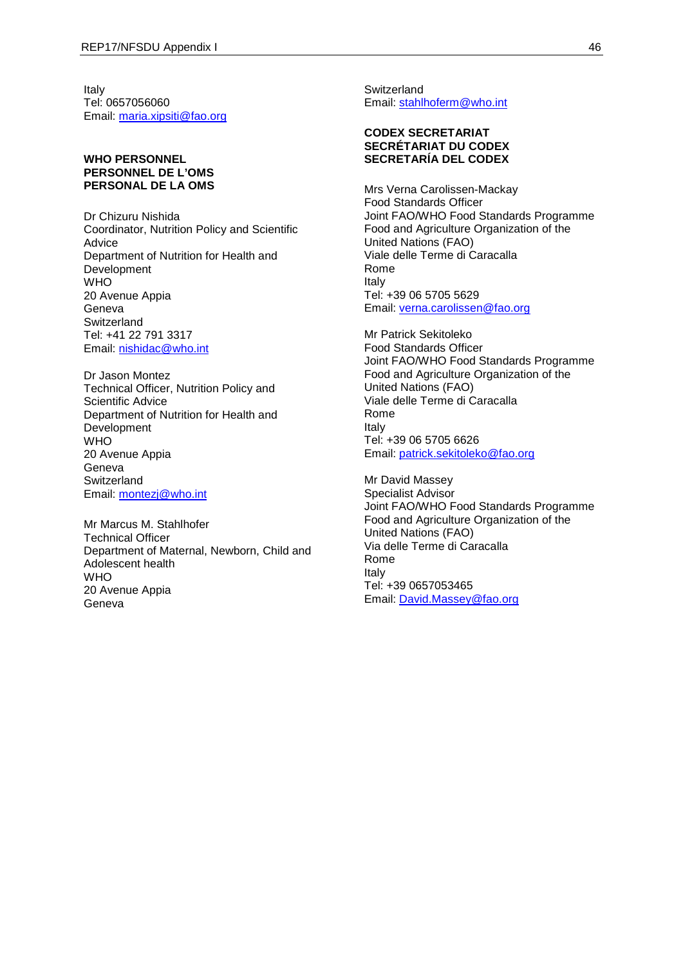Italy Tel: 0657056060 Email: [maria.xipsiti@fao.org](mailto:maria.xipsiti@fao.org)

## **WHO PERSONNEL PERSONNEL DE L'OMS PERSONAL DE LA OMS**

Dr Chizuru Nishida Coordinator, Nutrition Policy and Scientific Advice Department of Nutrition for Health and Development WHO 20 Avenue Appia Geneva **Switzerland** Tel: +41 22 791 3317 Email: [nishidac@who.int](mailto:nishidac@who.int)

Dr Jason Montez Technical Officer, Nutrition Policy and Scientific Advice Department of Nutrition for Health and Development WHO 20 Avenue Appia Geneva **Switzerland** Email: [montezj@who.int](mailto:montezj@who.int)

Mr Marcus M. Stahlhofer Technical Officer Department of Maternal, Newborn, Child and Adolescent health **WHO** 20 Avenue Appia Geneva

**Switzerland** Email: [stahlhoferm@who.int](mailto:stahlhoferm@who.int)

## **CODEX SECRETARIAT SECRÉTARIAT DU CODEX SECRETARÍA DEL CODEX**

Mrs Verna Carolissen-Mackay Food Standards Officer Joint FAO/WHO Food Standards Programme Food and Agriculture Organization of the United Nations (FAO) Viale delle Terme di Caracalla Rome Italy Tel: +39 06 5705 5629 Email: [verna.carolissen@fao.org](mailto:verna.carolissen@fao.org)

Mr Patrick Sekitoleko Food Standards Officer Joint FAO/WHO Food Standards Programme Food and Agriculture Organization of the United Nations (FAO) Viale delle Terme di Caracalla Rome Italy Tel: +39 06 5705 6626 Email: [patrick.sekitoleko@fao.org](mailto:patrick.sekitoleko@fao.org)

Mr David Massey Specialist Advisor Joint FAO/WHO Food Standards Programme Food and Agriculture Organization of the United Nations (FAO) Via delle Terme di Caracalla Rome Italy Tel: +39 0657053465 Email: [David.Massey@fao.org](mailto:David.Massey@fao.org)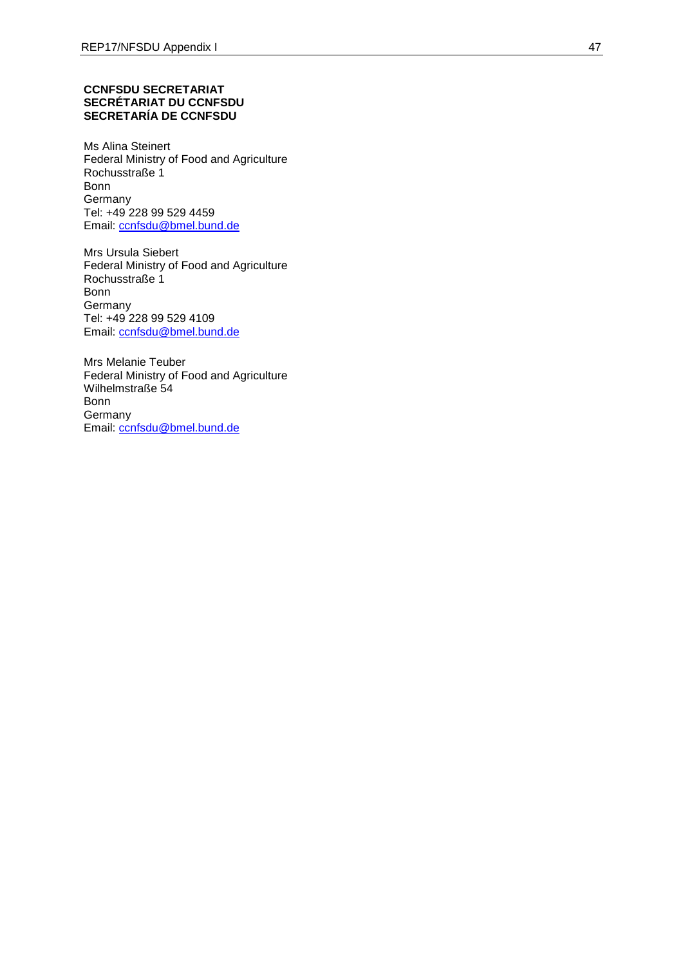#### **CCNFSDU SECRETARIAT SECRÉTARIAT DU CCNFSDU SECRETARÍA DE CCNFSDU**

Ms Alina Steinert Federal Ministry of Food and Agriculture Rochusstraße 1 Bonn Germany Tel: +49 228 99 529 4459 Email: [ccnfsdu@bmel.bund.de](mailto:ccnfsdu@bmel.bund.de)

Mrs Ursula Siebert Federal Ministry of Food and Agriculture Rochusstraße 1 Bonn **Germany** Tel: +49 228 99 529 4109 Email: [ccnfsdu@bmel.bund.de](mailto:ccnfsdu@bmel.bund.de)

Mrs Melanie Teuber Federal Ministry of Food and Agriculture Wilhelmstraße 54 Bonn **Germany** Email: [ccnfsdu@bmel.bund.de](mailto:ccnfsdu@bmel.bund.de)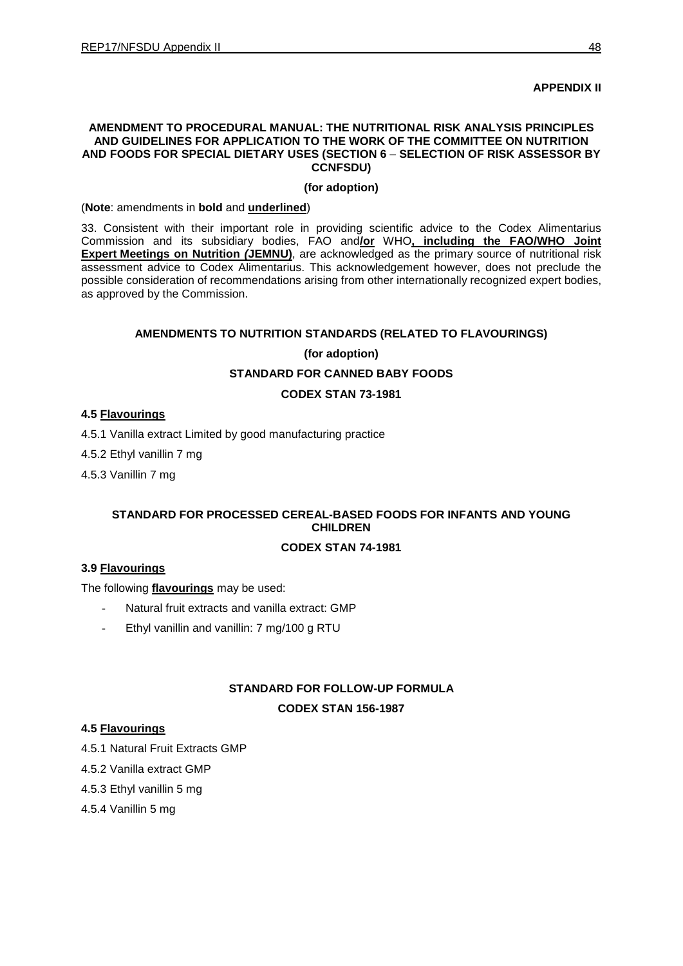## **APPENDIX II**

#### **AMENDMENT TO PROCEDURAL MANUAL: THE NUTRITIONAL RISK ANALYSIS PRINCIPLES AND GUIDELINES FOR APPLICATION TO THE WORK OF THE COMMITTEE ON NUTRITION AND FOODS FOR SPECIAL DIETARY USES (SECTION 6** – **SELECTION OF RISK ASSESSOR BY CCNFSDU)**

### **(for adoption)**

(**Note**: amendments in **bold** and **underlined**)

33. Consistent with their important role in providing scientific advice to the Codex Alimentarius Commission and its subsidiary bodies, FAO and**/or** WHO**, including the FAO/WHO Joint Expert Meetings on Nutrition** *(***JEMNU)**, are acknowledged as the primary source of nutritional risk assessment advice to Codex Alimentarius. This acknowledgement however, does not preclude the possible consideration of recommendations arising from other internationally recognized expert bodies, as approved by the Commission.

## **AMENDMENTS TO NUTRITION STANDARDS (RELATED TO FLAVOURINGS)**

#### **(for adoption)**

## **STANDARD FOR CANNED BABY FOODS**

## **CODEX STAN 73-1981**

#### **4.5 Flavourings**

4.5.1 Vanilla extract Limited by good manufacturing practice

4.5.2 Ethyl vanillin 7 mg

4.5.3 Vanillin 7 mg

## **STANDARD FOR PROCESSED CEREAL-BASED FOODS FOR INFANTS AND YOUNG CHILDREN**

## **CODEX STAN 74-1981**

## **3.9 Flavourings**

The following **flavourings** may be used:

- Natural fruit extracts and vanilla extract: GMP
- Ethyl vanillin and vanillin: 7 mg/100 g RTU

# **STANDARD FOR FOLLOW-UP FORMULA CODEX STAN 156-1987**

## **4.5 Flavourings**

4.5.1 Natural Fruit Extracts GMP

4.5.2 Vanilla extract GMP

4.5.3 Ethyl vanillin 5 mg

4.5.4 Vanillin 5 mg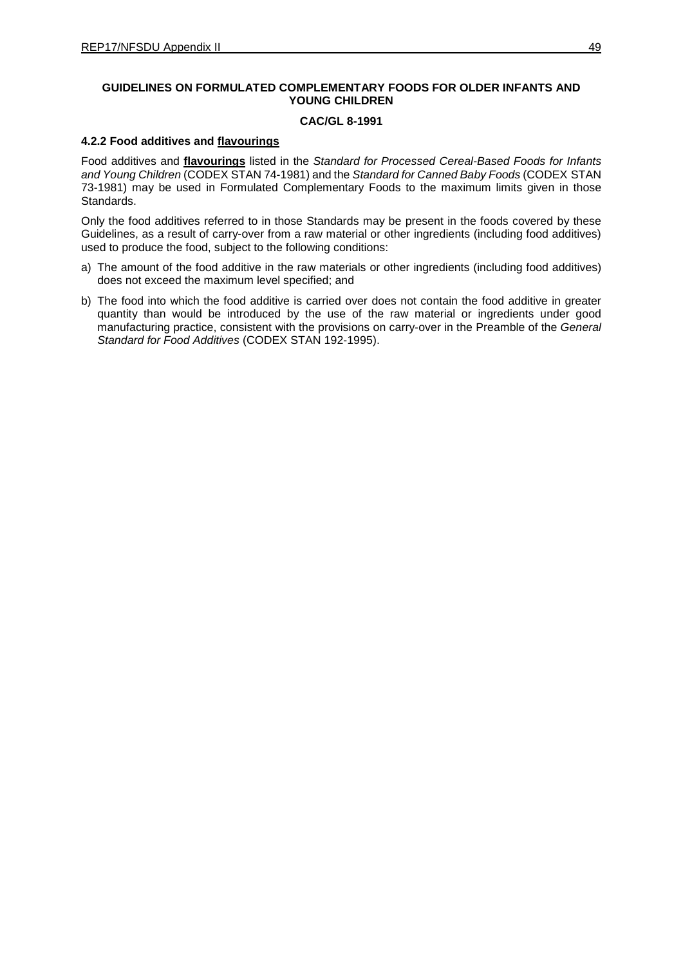## **GUIDELINES ON FORMULATED COMPLEMENTARY FOODS FOR OLDER INFANTS AND YOUNG CHILDREN**

## **CAC/GL 8-1991**

## **4.2.2 Food additives and flavourings**

Food additives and **flavourings** listed in the *Standard for Processed Cereal-Based Foods for Infants and Young Children* (CODEX STAN 74-1981) and the *Standard for Canned Baby Foods* (CODEX STAN 73-1981) may be used in Formulated Complementary Foods to the maximum limits given in those Standards.

Only the food additives referred to in those Standards may be present in the foods covered by these Guidelines, as a result of carry-over from a raw material or other ingredients (including food additives) used to produce the food, subject to the following conditions:

- a) The amount of the food additive in the raw materials or other ingredients (including food additives) does not exceed the maximum level specified; and
- b) The food into which the food additive is carried over does not contain the food additive in greater quantity than would be introduced by the use of the raw material or ingredients under good manufacturing practice, consistent with the provisions on carry-over in the Preamble of the *General Standard for Food Additives* (CODEX STAN 192-1995).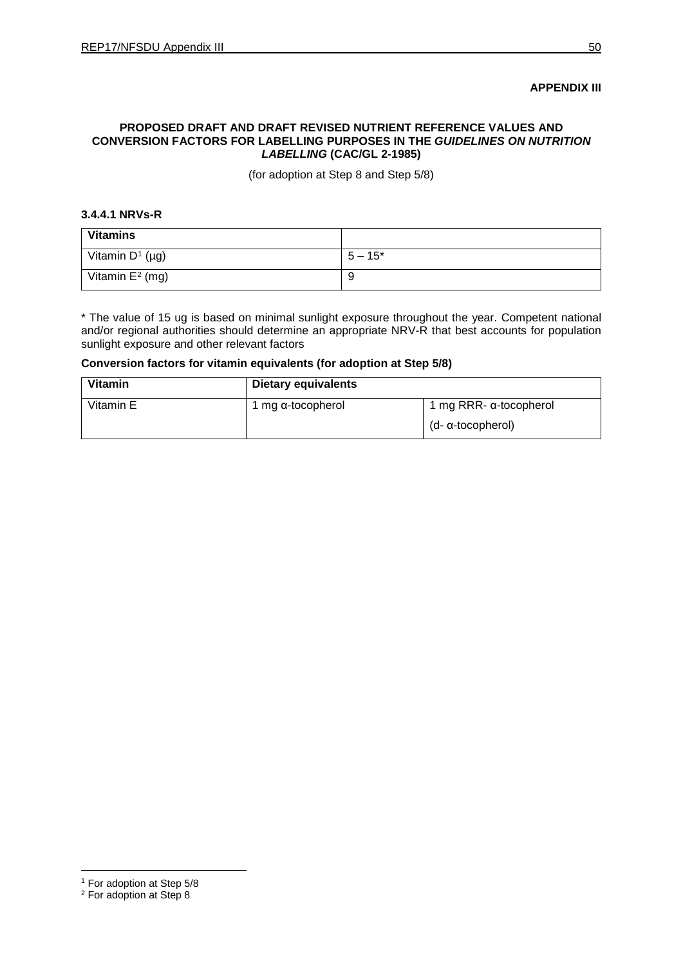#### **APPENDIX III**

## **PROPOSED DRAFT AND DRAFT REVISED NUTRIENT REFERENCE VALUES AND CONVERSION FACTORS FOR LABELLING PURPOSES IN THE** *GUIDELINES ON NUTRITION LABELLING* **(CAC/GL 2-1985)**

(for adoption at Step 8 and Step 5/8)

#### **3.4.4.1 NRVs-R**

| <b>Vitamins</b>    |           |
|--------------------|-----------|
| Vitamin $D^1$ (µg) | $5 - 15*$ |
| Vitamin $E^2$ (mg) | -9        |

\* The value of 15 ug is based on minimal sunlight exposure throughout the year. Competent national and/or regional authorities should determine an appropriate NRV-R that best accounts for population sunlight exposure and other relevant factors

## **Conversion factors for vitamin equivalents (for adoption at Step 5/8)**

| <b>Vitamin</b> | <b>Dietary equivalents</b> |                                |
|----------------|----------------------------|--------------------------------|
| Vitamin E      | 1 mg $\alpha$ -tocopherol  | 1 mg RRR- $\alpha$ -tocopherol |
|                |                            | (d- α-tocopherol)              |

 $\overline{a}$ 

<span id="page-54-0"></span><sup>1</sup> For adoption at Step 5/8

<span id="page-54-1"></span><sup>2</sup> For adoption at Step 8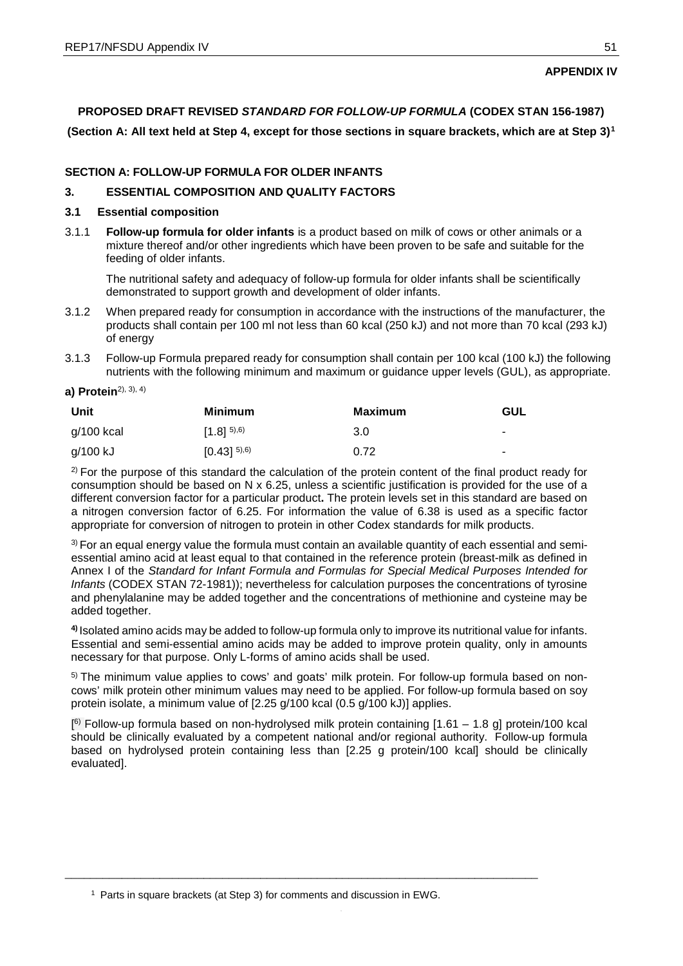## <span id="page-55-1"></span>**APPENDIX IV**

**PROPOSED DRAFT REVISED** *STANDARD FOR FOLLOW-UP FORMULA* **(CODEX STAN 156-1987)**

**(Section A: All text held at Step 4, except for those sections in square brackets, which are at Step 3)[1](#page-55-0)**

## **SECTION A: FOLLOW-UP FORMULA FOR OLDER INFANTS**

## **3. ESSENTIAL COMPOSITION AND QUALITY FACTORS**

### **3.1 Essential composition**

3.1.1 **Follow-up formula for older infants** is a product based on milk of cows or other animals or a mixture thereof and/or other ingredients which have been proven to be safe and suitable for the feeding of older infants.

The nutritional safety and adequacy of follow-up formula for older infants shall be scientifically demonstrated to support growth and development of older infants.

- 3.1.2 When prepared ready for consumption in accordance with the instructions of the manufacturer, the products shall contain per 100 ml not less than 60 kcal (250 kJ) and not more than 70 kcal (293 kJ) of energy
- 3.1.3 Follow-up Formula prepared ready for consumption shall contain per 100 kcal (100 kJ) the following nutrients with the following minimum and maximum or guidance upper levels (GUL), as appropriate.
- **a) Protein**2), 3), 4)

| Unit       | Minimum                   | Maximum | <b>GUL</b>     |
|------------|---------------------------|---------|----------------|
| g/100 kcal | $[1.8]^{5,6}$             | 3.0     | ۰              |
| g/100 kJ   | $[0.43]$ <sup>5),6)</sup> | 0.72    | $\blacksquare$ |

 $2)$  For the purpose of this standard the calculation of the protein content of the final product ready for consumption should be based on N x 6.25, unless a scientific justification is provided for the use of a different conversion factor for a particular product**.** The protein levels set in this standard are based on a nitrogen conversion factor of 6.25. For information the value of 6.38 is used as a specific factor appropriate for conversion of nitrogen to protein in other Codex standards for milk products.

3) For an equal energy value the formula must contain an available quantity of each essential and semiessential amino acid at least equal to that contained in the reference protein (breast-milk as defined in Annex I of the *Standard for Infant Formula and Formulas for Special Medical Purposes Intended for Infants* (CODEX STAN 72-1981)); nevertheless for calculation purposes the concentrations of tyrosine and phenylalanine may be added together and the concentrations of methionine and cysteine may be added together.

**4)** Isolated amino acids may be added to follow-up formula only to improve its nutritional value for infants. Essential and semi-essential amino acids may be added to improve protein quality, only in amounts necessary for that purpose. Only L-forms of amino acids shall be used.

5) The minimum value applies to cows' and goats' milk protein. For follow-up formula based on noncows' milk protein other minimum values may need to be applied. For follow-up formula based on soy protein isolate, a minimum value of [2.25 g/100 kcal (0.5 g/100 kJ)] applies.

[ 6) Follow-up formula based on non-hydrolysed milk protein containing [1.61 – 1.8 g] protein/100 kcal should be clinically evaluated by a competent national and/or regional authority. Follow-up formula based on hydrolysed protein containing less than [2.25 g protein/100 kcal] should be clinically evaluated].

<span id="page-55-0"></span>\_\_\_\_\_\_\_\_\_\_\_\_\_\_\_\_\_\_\_\_\_\_\_\_\_\_\_\_\_\_\_\_\_\_\_\_\_\_\_\_\_\_\_\_\_\_\_\_\_\_\_\_\_\_\_\_\_\_\_\_\_\_\_\_\_\_\_\_\_\_\_\_\_\_\_

<sup>&</sup>lt;sup>1</sup> Parts in square brackets (at Step 3) for comments and discussion in EWG.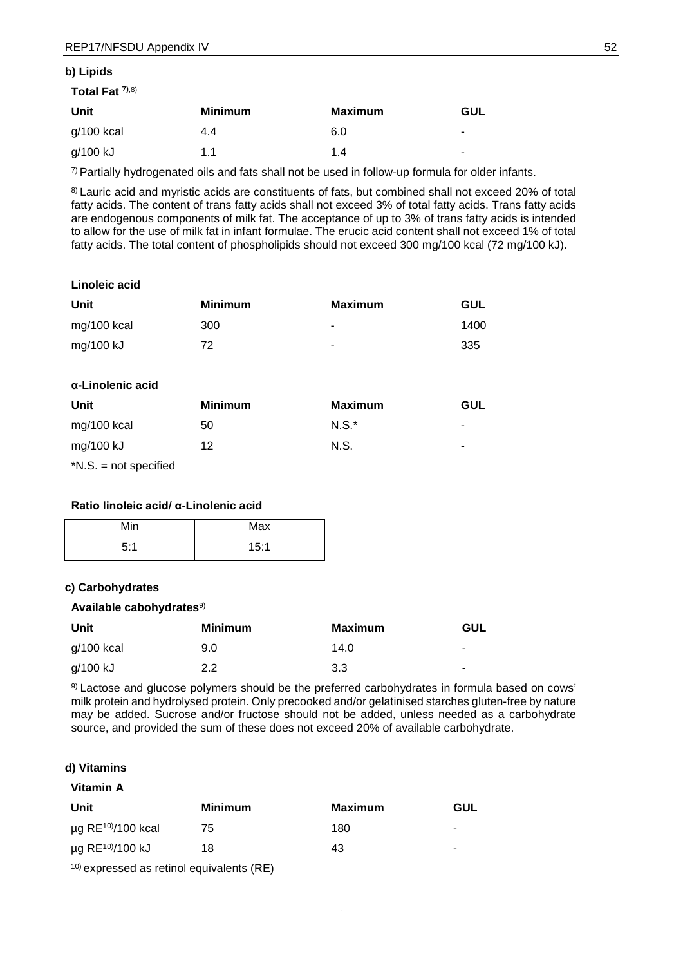#### **b) Lipids**

| Total Fat $7,8$ |                |                |                          |
|-----------------|----------------|----------------|--------------------------|
| Unit            | <b>Minimum</b> | <b>Maximum</b> | GUL                      |
| $g/100$ kcal    | 4.4            | 6.0            | ۰.                       |
| g/100 kJ        | 1.1            | 1.4            | $\overline{\phantom{0}}$ |

 $7$  Partially hydrogenated oils and fats shall not be used in follow-up formula for older infants.

8) Lauric acid and myristic acids are constituents of fats, but combined shall not exceed 20% of total fatty acids. The content of trans fatty acids shall not exceed 3% of total fatty acids. Trans fatty acids are endogenous components of milk fat. The acceptance of up to 3% of trans fatty acids is intended to allow for the use of milk fat in infant formulae. The erucic acid content shall not exceed 1% of total fatty acids. The total content of phospholipids should not exceed 300 mg/100 kcal (72 mg/100 kJ).

#### **Linoleic acid**

| Unit        | <b>Minimum</b> | Maximum | GUL  |
|-------------|----------------|---------|------|
| mg/100 kcal | 300            | ۰       | 1400 |
| mg/100 kJ   | 72             | ۰       | 335  |

#### **α-Linolenic acid**

| Unit        | <b>Minimum</b> | Maximum  | <b>GUL</b> |
|-------------|----------------|----------|------------|
| mg/100 kcal | 50             | $N.S.^*$ | ۰          |
| mg/100 kJ   | 12             | N.S.     | ۰          |

\*N.S. = not specified

#### **Ratio linoleic acid/ α-Linolenic acid**

| Min | Max  |
|-----|------|
| 5:1 | 15:1 |

#### **c) Carbohydrates**

### **Available cabohydrates**9)

| Unit       | <b>Minimum</b> | <b>Maximum</b> | GUL            |
|------------|----------------|----------------|----------------|
| g/100 kcal | 9.0            | 14.0           | $\blacksquare$ |
| g/100 kJ   | 2.2            | 3.3            | $\blacksquare$ |

9) Lactose and glucose polymers should be the preferred carbohydrates in formula based on cows' milk protein and hydrolysed protein. Only precooked and/or gelatinised starches gluten-free by nature may be added. Sucrose and/or fructose should not be added, unless needed as a carbohydrate source, and provided the sum of these does not exceed 20% of available carbohydrate.

## **d) Vitamins Vitamin A**

| <b>Minimum</b> | <b>Maximum</b> | GUL |
|----------------|----------------|-----|
| 75             | 180            |     |
| 18             | 43             | ۰   |
|                |                |     |

10) expressed as retinol equivalents (RE)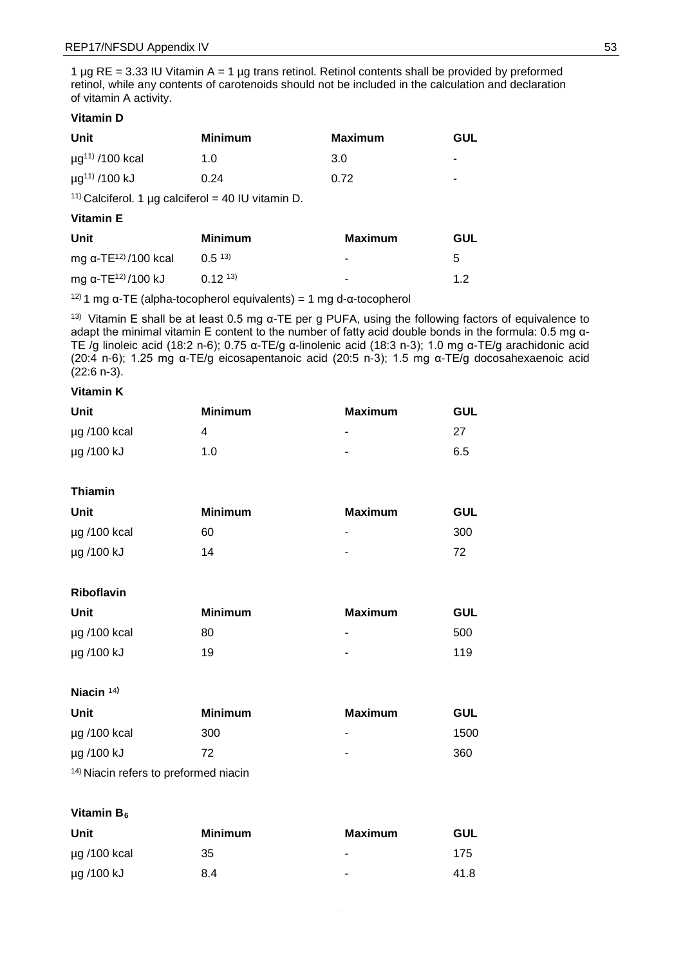1  $\mu$ g RE = 3.33 IU Vitamin A = 1  $\mu$ g trans retinol. Retinol contents shall be provided by preformed retinol, while any contents of carotenoids should not be included in the calculation and declaration of vitamin A activity.

## **Vitamin D**

| Unit                             | <b>Minimum</b> | <b>Maximum</b> | GUL                      |
|----------------------------------|----------------|----------------|--------------------------|
| $\mu$ g <sup>11)</sup> /100 kcal | 1.0            | 3.0            | $\overline{\phantom{a}}$ |
| $\mu$ g <sup>11)</sup> /100 kJ   | 0.24           | 0.72           | $\overline{\phantom{a}}$ |

<sup>11)</sup> Calciferol. 1 µg calciferol = 40 IU vitamin D.

## **Vitamin E**

| Unit                                     | <b>Minimum</b> | Maximum | GUL |
|------------------------------------------|----------------|---------|-----|
| mg $\alpha$ -TE <sup>12)</sup> /100 kcal | (1.5, 13)      | ۰       | 5   |
| mg α-TE <sup>12)</sup> /100 kJ           | $(12^{13})$    | ۰       | 12  |

 $12)$  1 mg α-TE (alpha-tocopherol equivalents) = 1 mg d-α-tocopherol

<sup>13)</sup> Vitamin E shall be at least 0.5 mg α-TE per g PUFA, using the following factors of equivalence to adapt the minimal vitamin E content to the number of fatty acid double bonds in the formula: 0.5 mg α-TE /g linoleic acid (18:2 n-6); 0.75 α-TE/g α-linolenic acid (18:3 n-3); 1.0 mg α-TE/g arachidonic acid (20:4 n-6); 1.25 mg α-TE/g eicosapentanoic acid (20:5 n-3); 1.5 mg α-TE/g docosahexaenoic acid  $(22:6 n-3)$ .

## **Vitamin K**

| Unit              | <b>Minimum</b> | Maximum        | GUL |
|-------------------|----------------|----------------|-----|
| $\mu$ g /100 kcal | 4              | ۰              | 27  |
| µg /100 kJ        | 1.0            | $\blacksquare$ | 6.5 |

#### **Thiamin**

| Unit              | <b>Minimum</b> | Maximum | GUL |
|-------------------|----------------|---------|-----|
| $\mu$ g /100 kcal | 60             | ٠       | 300 |
| µg /100 kJ        | 14             | ٠       | 72  |

## **Riboflavin**

| Unit              | <b>Minimum</b> | Maximum | GUL |
|-------------------|----------------|---------|-----|
| $\mu$ g /100 kcal | 80             | ۰       | 500 |
| µg /100 kJ        | 19             | ۰       | 119 |

#### **Niacin** <sup>14</sup>**)**

| Unit              | <b>Minimum</b> | Maximum | GUL  |
|-------------------|----------------|---------|------|
| $\mu$ g /100 kcal | 300            | ۰       | 1500 |
| µg /100 kJ        | 72             | ۰       | 360  |
| $\mathcal{A}$     |                |         |      |

# 14) Niacin refers to preformed niacin

#### **Vitamin B<sub>6</sub>**

| Unit              | <b>Minimum</b> | Maximum        | GUL  |
|-------------------|----------------|----------------|------|
| $\mu$ g /100 kcal | 35             | $\blacksquare$ | 175  |
| µg /100 kJ        | 8.4            | ۰              | 41.8 |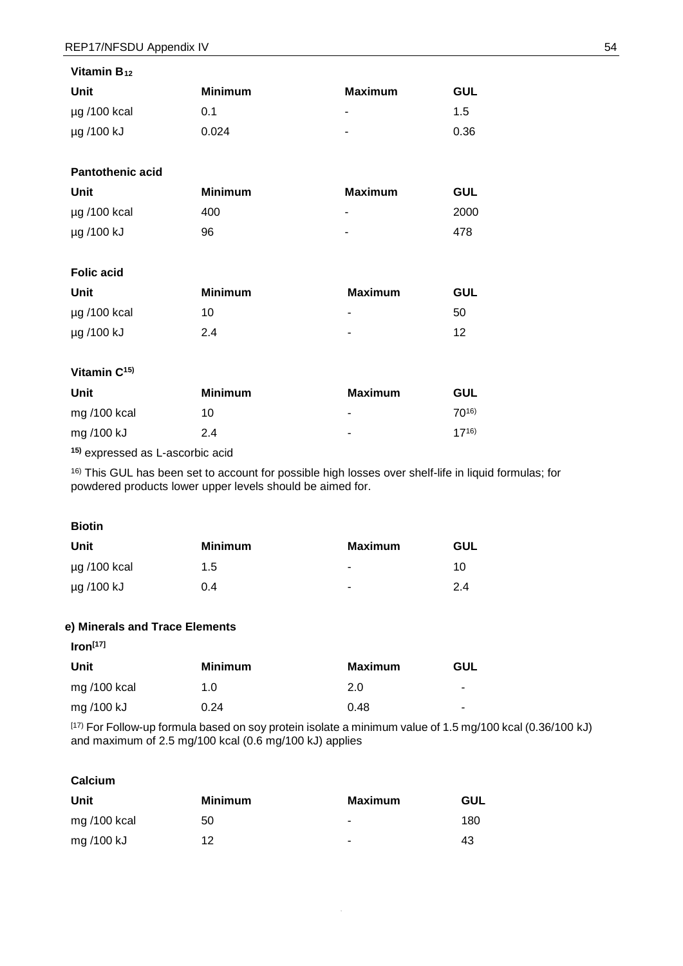| Vitamin B <sub>12</sub>  |                |                          |            |
|--------------------------|----------------|--------------------------|------------|
| Unit                     | <b>Minimum</b> | <b>Maximum</b>           | <b>GUL</b> |
| µg /100 kcal             | 0.1            | $\overline{\phantom{0}}$ | 1.5        |
| µg /100 kJ               | 0.024          |                          | 0.36       |
|                          |                |                          |            |
| <b>Pantothenic acid</b>  |                |                          |            |
| Unit                     | <b>Minimum</b> | <b>Maximum</b>           | <b>GUL</b> |
| µg /100 kcal             | 400            | $\overline{\phantom{0}}$ | 2000       |
| µg /100 kJ               | 96             |                          | 478        |
|                          |                |                          |            |
| <b>Folic acid</b>        |                |                          |            |
| Unit                     | <b>Minimum</b> | <b>Maximum</b>           | <b>GUL</b> |
| µg /100 kcal             | 10             | $\overline{\phantom{a}}$ | 50         |
| µg /100 kJ               | 2.4            |                          | 12         |
|                          |                |                          |            |
| Vitamin C <sup>15)</sup> |                |                          |            |
| Unit                     | <b>Minimum</b> | <b>Maximum</b>           | <b>GUL</b> |
| mg /100 kcal             | 10             | ۰                        | $70^{16}$  |
| mg /100 kJ               | 2.4            |                          | $17^{16}$  |

**15)** expressed as L-ascorbic acid

16) This GUL has been set to account for possible high losses over shelf-life in liquid formulas; for powdered products lower upper levels should be aimed for.

#### **Biotin**

| Unit              | Minimum | <b>Maximum</b> | <b>GUL</b> |
|-------------------|---------|----------------|------------|
| $\mu$ g /100 kcal | 1.5     | ۰              | 10         |
| µg /100 kJ        | 0.4     | ٠              | 2.4        |

## **e) Minerals and Trace Elements**

**Iron[17]**

| Unit           | <b>Minimum</b> | Maximum | GUL            |
|----------------|----------------|---------|----------------|
| mg $/100$ kcal | 1.0            | 2.0     | ۰              |
| mg /100 kJ     | 0.24           | 0.48    | $\blacksquare$ |

[17) For Follow-up formula based on soy protein isolate a minimum value of 1.5 mg/100 kcal (0.36/100 kJ) and maximum of 2.5 mg/100 kcal (0.6 mg/100 kJ) applies

#### **Calcium**

| Unit           | <b>Minimum</b> | Maximum | <b>GUL</b> |
|----------------|----------------|---------|------------|
| mg $/100$ kcal | 50             | ٠       | 180        |
| mg /100 kJ     | 12             | ۰       | 43         |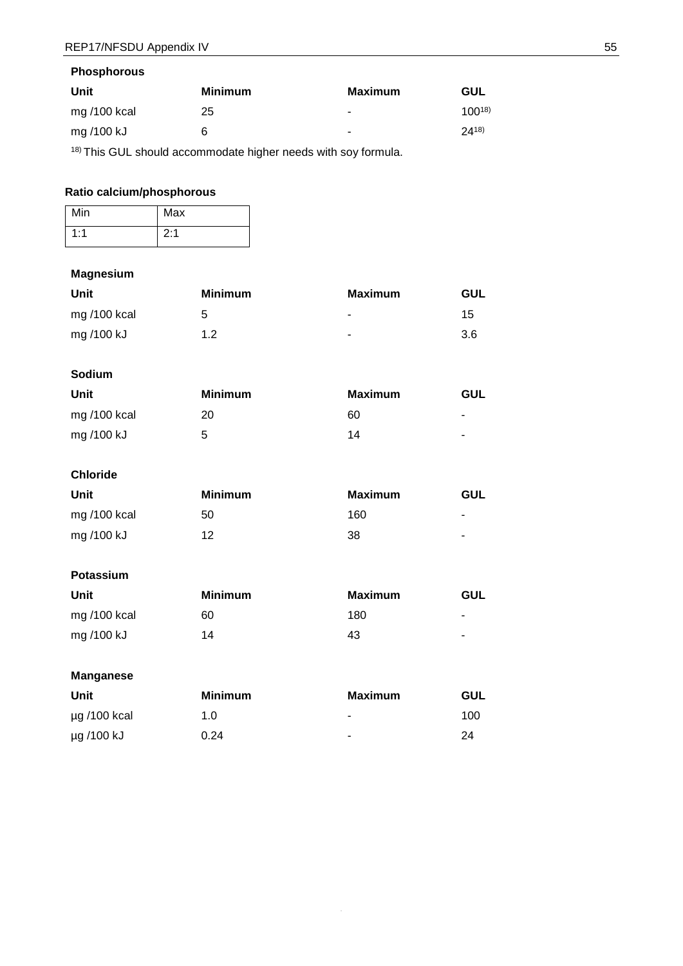| Unit           | <b>Minimum</b> | <b>Maximum</b> | GUL        |
|----------------|----------------|----------------|------------|
| mg $/100$ kcal | 25             | ۰              | $100^{18}$ |
| mg /100 kJ     | 6              | ۰              | $24^{18}$  |

18) This GUL should accommodate higher needs with soy formula.

# **Ratio calcium/phosphorous**

| Min | Max |
|-----|-----|
| 1:1 | 2:1 |

## **Magnesium**

| Unit        | <b>Minimum</b> | <b>Maximum</b> | GUL |
|-------------|----------------|----------------|-----|
| mg/100 kcal | 5              | $\blacksquare$ | 15  |
| mg /100 kJ  | 1.2            | ۰              | 3.6 |

# **Sodium**

| Unit           | Minimum | <b>Maximum</b> | GUL            |
|----------------|---------|----------------|----------------|
| mg $/100$ kcal | 20      | 60             | $\blacksquare$ |
| mg /100 kJ     | 5       | 14             | $\blacksquare$ |

# **Chloride**

| Unit           | Minimum | <b>Maximum</b> | GUL                      |
|----------------|---------|----------------|--------------------------|
| mg $/100$ kcal | 50      | 160            | $\blacksquare$           |
| mg /100 kJ     | 12      | 38             | $\overline{\phantom{a}}$ |

# **Potassium**

| Unit           | <b>Minimum</b> | Maximum | GUL            |
|----------------|----------------|---------|----------------|
| mg $/100$ kcal | 60             | 180     | $\blacksquare$ |
| mg /100 kJ     | 14             | 43      | $\blacksquare$ |

## **Manganese**

| Unit              | <b>Minimum</b> | Maximum | GUL |
|-------------------|----------------|---------|-----|
| $\mu$ g /100 kcal | 1.0            | ۰       | 100 |
| µg /100 kJ        | 0.24           | ٠       | 24  |

55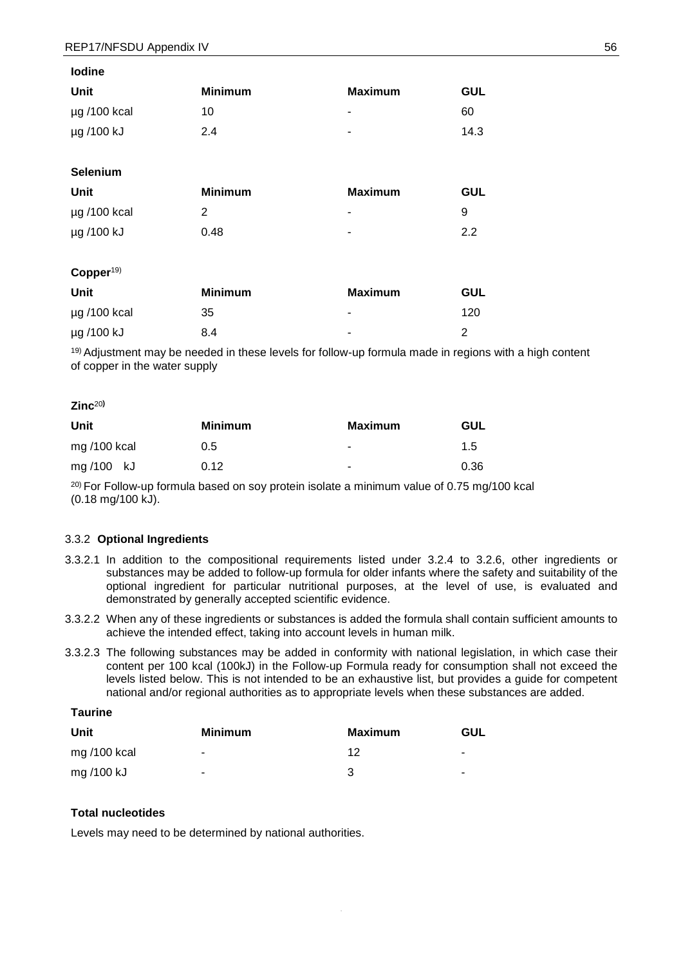| סווווטיו          |                |                |            |
|-------------------|----------------|----------------|------------|
| Unit              | <b>Minimum</b> | <b>Maximum</b> | <b>GUL</b> |
| $\mu$ g /100 kcal | 10             | ۰              | 60         |
| µg /100 kJ        | 2.4            | ۰              | 14.3       |
|                   |                |                |            |

| Unit              | <b>Minimum</b> | Maximum | <b>GUL</b> |
|-------------------|----------------|---------|------------|
| $\mu$ g /100 kcal |                | ۰       | ч          |
| µg /100 kJ        | 0.48           |         | 22         |

#### **Copper**19)

**Selenium** 

**Iodine**

| Unit              | <b>Minimum</b> | Maximum | GUL |
|-------------------|----------------|---------|-----|
| $\mu$ g /100 kcal | 35             | ۰       | 120 |
| µg /100 kJ        | 8.4            | ۰       | 2   |

19) Adjustment may be needed in these levels for follow-up formula made in regions with a high content of copper in the water supply

#### **Zinc**<sup>20</sup>**)**

| Unit           | <b>Minimum</b> | <b>Maximum</b> | GUL  |
|----------------|----------------|----------------|------|
| mg $/100$ kcal | 0.5            | ۰              | 1.5  |
| mg/100 kJ      | 0.12           | ۰              | 0.36 |

 $20$ ) For Follow-up formula based on soy protein isolate a minimum value of 0.75 mg/100 kcal (0.18 mg/100 kJ).

#### 3.3.2 **Optional Ingredients**

- 3.3.2.1 In addition to the compositional requirements listed under 3.2.4 to 3.2.6, other ingredients or substances may be added to follow-up formula for older infants where the safety and suitability of the optional ingredient for particular nutritional purposes, at the level of use, is evaluated and demonstrated by generally accepted scientific evidence.
- 3.3.2.2 When any of these ingredients or substances is added the formula shall contain sufficient amounts to achieve the intended effect, taking into account levels in human milk.
- 3.3.2.3 The following substances may be added in conformity with national legislation, in which case their content per 100 kcal (100kJ) in the Follow-up Formula ready for consumption shall not exceed the levels listed below. This is not intended to be an exhaustive list, but provides a guide for competent national and/or regional authorities as to appropriate levels when these substances are added.

# **Taurine**

| Unit        | <b>Minimum</b> | Maximum | GUL            |
|-------------|----------------|---------|----------------|
| mg/100 kcal | ۰.             | ィっ      | $\blacksquare$ |
| mg /100 kJ  | ۰.             | З       | $\blacksquare$ |

## **Total nucleotides**

Levels may need to be determined by national authorities.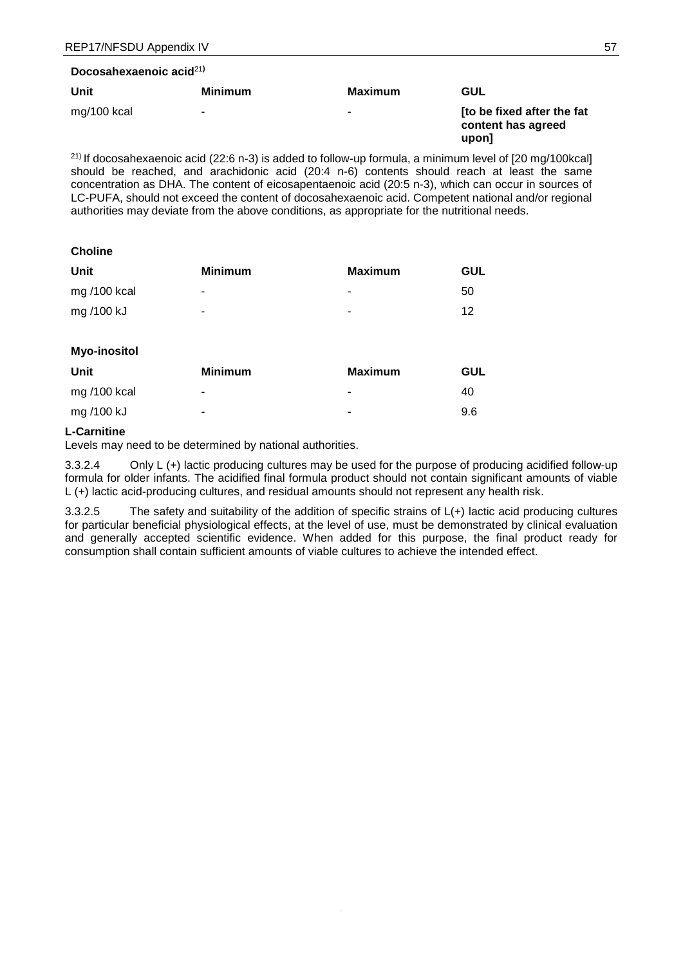| Docosahexaenoic acid <sup>21)</sup> |  |
|-------------------------------------|--|
|-------------------------------------|--|

| Unit        | <b>Minimum</b> | Maximum | GUL                                                       |
|-------------|----------------|---------|-----------------------------------------------------------|
| mg/100 kcal | ۰              | ۰       | Ito be fixed after the fat<br>content has agreed<br>upon] |

21) If docosahexaenoic acid (22:6 n-3) is added to follow-up formula, a minimum level of [20 mg/100kcal] should be reached, and arachidonic acid (20:4 n-6) contents should reach at least the same concentration as DHA. The content of eicosapentaenoic acid (20:5 n-3), which can occur in sources of LC-PUFA, should not exceed the content of docosahexaenoic acid. Competent national and/or regional authorities may deviate from the above conditions, as appropriate for the nutritional needs.

#### **Choline**

| Unit         | <b>Minimum</b>           | Maximum | <b>GUL</b> |
|--------------|--------------------------|---------|------------|
| mg /100 kcal | $\overline{\phantom{a}}$ | ۰       | 50         |
| mg /100 kJ   | ۰                        | ۰       | 12         |
|              |                          |         |            |

## **Myo-inositol**

| Unit           | <b>Minimum</b> | Maximum | GUL |
|----------------|----------------|---------|-----|
| mg $/100$ kcal | $\blacksquare$ | ۰       | 40  |
| mg /100 kJ     |                | ۰       | 9.6 |

## **L-Carnitine**

Levels may need to be determined by national authorities.

3.3.2.4 Only L (+) lactic producing cultures may be used for the purpose of producing acidified follow-up formula for older infants. The acidified final formula product should not contain significant amounts of viable L (+) lactic acid-producing cultures, and residual amounts should not represent any health risk.

3.3.2.5 The safety and suitability of the addition of specific strains of L(+) lactic acid producing cultures for particular beneficial physiological effects, at the level of use, must be demonstrated by clinical evaluation and generally accepted scientific evidence. When added for this purpose, the final product ready for consumption shall contain sufficient amounts of viable cultures to achieve the intended effect.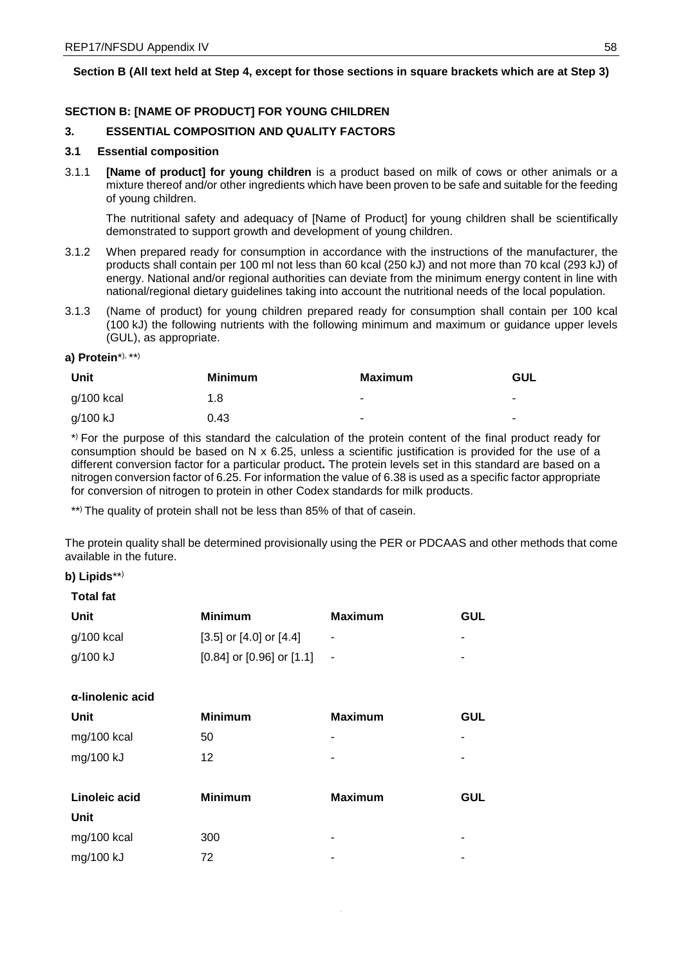## **Section B (All text held at Step 4, except for those sections in square brackets which are at Step 3[\)](#page-55-1)**

## **SECTION B: [NAME OF PRODUCT] FOR YOUNG CHILDREN**

## **3. ESSENTIAL COMPOSITION AND QUALITY FACTORS**

#### **3.1 Essential composition**

3.1.1 **[Name of product] for young children** is a product based on milk of cows or other animals or a mixture thereof and/or other ingredients which have been proven to be safe and suitable for the feeding of young children.

The nutritional safety and adequacy of [Name of Product] for young children shall be scientifically demonstrated to support growth and development of young children.

- 3.1.2 When prepared ready for consumption in accordance with the instructions of the manufacturer, the products shall contain per 100 ml not less than 60 kcal (250 kJ) and not more than 70 kcal (293 kJ) of energy. National and/or regional authorities can deviate from the minimum energy content in line with national/regional dietary guidelines taking into account the nutritional needs of the local population.
- 3.1.3 (Name of product) for young children prepared ready for consumption shall contain per 100 kcal (100 kJ) the following nutrients with the following minimum and maximum or guidance upper levels (GUL), as appropriate.

#### **a) Protein**\*), \*\*)

| Unit       | <b>Minimum</b> | <b>Maximum</b> | GUL            |
|------------|----------------|----------------|----------------|
| g/100 kcal | 1.8            | $\blacksquare$ | $\blacksquare$ |
| g/100 kJ   | 0.43           | $\blacksquare$ | ٠              |

\*) For the purpose of this standard the calculation of the protein content of the final product ready for consumption should be based on N x 6.25, unless a scientific justification is provided for the use of a different conversion factor for a particular product**.** The protein levels set in this standard are based on a nitrogen conversion factor of 6.25. For information the value of 6.38 is used as a specific factor appropriate for conversion of nitrogen to protein in other Codex standards for milk products.

\*\*) The quality of protein shall not be less than 85% of that of casein.

The protein quality shall be determined provisionally using the PER or PDCAAS and other methods that come available in the future.

#### **b) Lipids**\*\*)

**Total fat**

| Unit         | Minimum                           | Maximum | GUL |
|--------------|-----------------------------------|---------|-----|
| $q/100$ kcal | [3.5] or [4.0] or [4.4]           | ۰       |     |
| g/100 kJ     | $[0.84]$ or $[0.96]$ or $[1.1]$ - |         | ۰   |

### **α-linolenic acid**

| <b>Unit</b>   | <b>Minimum</b> | <b>Maximum</b> | <b>GUL</b> |
|---------------|----------------|----------------|------------|
| mg/100 kcal   | 50             | ۰              |            |
| mg/100 kJ     | 12             | ٠              |            |
|               |                |                |            |
|               |                |                |            |
| Linoleic acid | <b>Minimum</b> | <b>Maximum</b> | <b>GUL</b> |
| Unit          |                |                |            |
| mg/100 kcal   | 300            | ۰              | ۰          |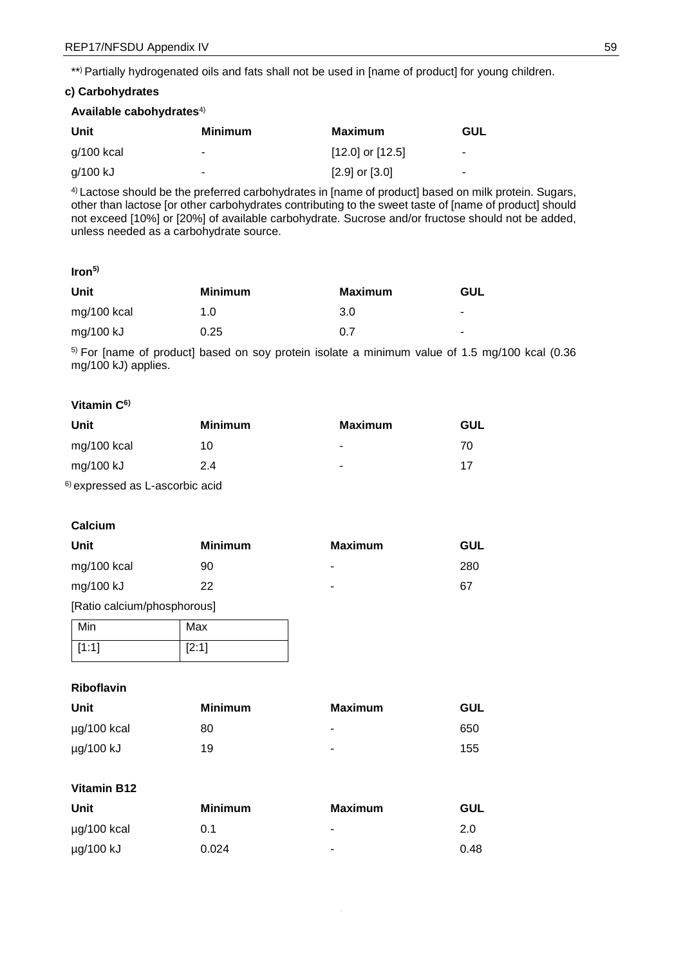\*\*) Partially hydrogenated oils and fats shall not be used in [name of product] for young children.

#### **c) Carbohydrates**

#### **Available cabohydrates**4)

| Unit         | Minimum | Maximum              | <b>GUL</b> |
|--------------|---------|----------------------|------------|
| $g/100$ kcal |         | $[12.0]$ or $[12.5]$ | ۰          |
| g/100 kJ     | ۰       | $[2.9]$ or $[3.0]$   | ۰          |

4) Lactose should be the preferred carbohydrates in [name of product] based on milk protein. Sugars, other than lactose [or other carbohydrates contributing to the sweet taste of [name of product] should not exceed [10%] or [20%] of available carbohydrate. Sucrose and/or fructose should not be added, unless needed as a carbohydrate source.

## **Iron5)**

| Unit          | <b>Minimum</b> | Maximum | GUL            |
|---------------|----------------|---------|----------------|
| $mg/100$ kcal | 1.0            | 3.0     | $\blacksquare$ |
| mg/100 kJ     | 0.25           | 0.7     | ۰.             |

5) For [name of product] based on soy protein isolate a minimum value of 1.5 mg/100 kcal (0.36 mg/100 kJ) applies.

## **Vitamin C6)**

| Unit                                  | <b>Minimum</b> | <b>Maximum</b> | <b>GUL</b> |
|---------------------------------------|----------------|----------------|------------|
| mg/100 kcal                           | 10             | ۰              | 70         |
| mg/100 kJ                             | 2.4            | -              | 17         |
| $\delta$ averageed as L accorbig sold |                |                |            |

6) expressed as L-ascorbic acid

### **Calcium**

| Unit                               | <b>Minimum</b> | <b>Maximum</b> | GUL |
|------------------------------------|----------------|----------------|-----|
| mg/100 kcal                        | 90             |                | 280 |
| mg/100 kJ                          | 22             | -              | 67  |
| <b>Exatio</b> calcium/nhosnhorousl |                |                |     |

[Ratio calcium/phosphorous]

| Min   | Max   |
|-------|-------|
| [1:1] | [2:1] |

### **Riboflavin**

| Unit        | <b>Minimum</b> | <b>Maximum</b> | <b>GUL</b> |
|-------------|----------------|----------------|------------|
| µg/100 kcal | 80             |                | 650        |
| µg/100 kJ   | 19             | ۰              | 155        |

## **Vitamin B12**

| Unit             | Minimum | Maximum | <b>GUL</b> |
|------------------|---------|---------|------------|
| $\mu$ g/100 kcal | 0.1     | ۰       | 2.0        |
| µg/100 kJ        | 0.024   | ۰       | 0.48       |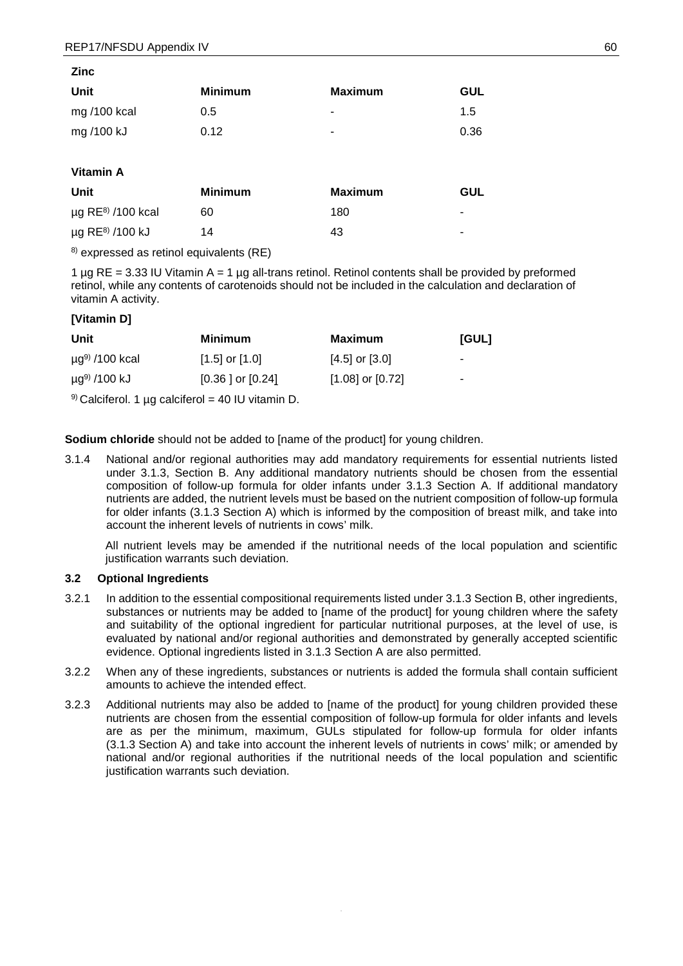| Zinc        |                |                |            |
|-------------|----------------|----------------|------------|
| Unit        | <b>Minimum</b> | <b>Maximum</b> | <b>GUL</b> |
| mg/100 kcal | 0.5            | ٠              | 1.5        |
| mg /100 kJ  | 0.12           | ٠              | 0.36       |
|             |                |                |            |

## **Vitamin A**

| Unit                               | <b>Minimum</b> | Maximum | GUL |
|------------------------------------|----------------|---------|-----|
| $\mu$ g RE <sup>8)</sup> /100 kcal | 60             | 180     | ۰   |
| $\mu$ g RE <sup>8)</sup> /100 kJ   | 14             | 43      | ۰   |

8) expressed as retinol equivalents (RE)

1  $\mu$ g RE = 3.33 IU Vitamin A = 1  $\mu$ g all-trans retinol. Retinol contents shall be provided by preformed retinol, while any contents of carotenoids should not be included in the calculation and declaration of vitamin A activity.

## **[Vitamin D]**

| Unit                            | Minimum              | Maximum              | <b>IGULI</b>             |
|---------------------------------|----------------------|----------------------|--------------------------|
| $\mu$ g <sup>9)</sup> /100 kcal | $[1.5]$ or $[1.0]$   | $[4.5]$ or $[3.0]$   | $\overline{\phantom{a}}$ |
| $\mu$ g <sup>9)</sup> /100 kJ   | $[0.36]$ or $[0.24]$ | $[1.08]$ or $[0.72]$ | ۰                        |

 $9)$  Calciferol. 1 µg calciferol = 40 IU vitamin D.

**Sodium chloride** should not be added to [name of the product] for young children.

3.1.4 National and/or regional authorities may add mandatory requirements for essential nutrients listed under 3.1.3, Section B. Any additional mandatory nutrients should be chosen from the essential composition of follow-up formula for older infants under 3.1.3 Section A. If additional mandatory nutrients are added, the nutrient levels must be based on the nutrient composition of follow-up formula for older infants (3.1.3 Section A) which is informed by the composition of breast milk, and take into account the inherent levels of nutrients in cows' milk.

All nutrient levels may be amended if the nutritional needs of the local population and scientific justification warrants such deviation.

#### **3.2 Optional Ingredients**

- 3.2.1 In addition to the essential compositional requirements listed under 3.1.3 Section B, other ingredients, substances or nutrients may be added to [name of the product] for young children where the safety and suitability of the optional ingredient for particular nutritional purposes, at the level of use, is evaluated by national and/or regional authorities and demonstrated by generally accepted scientific evidence. Optional ingredients listed in 3.1.3 Section A are also permitted.
- 3.2.2 When any of these ingredients, substances or nutrients is added the formula shall contain sufficient amounts to achieve the intended effect.
- 3.2.3 Additional nutrients may also be added to [name of the product] for young children provided these nutrients are chosen from the essential composition of follow-up formula for older infants and levels are as per the minimum, maximum, GULs stipulated for follow-up formula for older infants (3.1.3 Section A) and take into account the inherent levels of nutrients in cows' milk; or amended by national and/or regional authorities if the nutritional needs of the local population and scientific justification warrants such deviation.